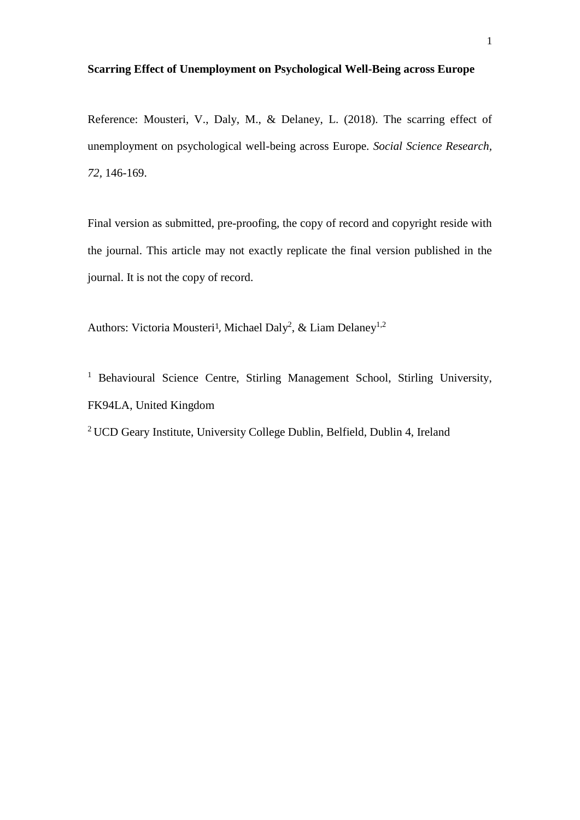# **Scarring Effect of Unemployment on Psychological Well-Being across Europe**

Reference: Mousteri, V., Daly, M., & Delaney, L. (2018). The scarring effect of unemployment on psychological well-being across Europe. *Social Science Research, 72,* 146-169.

Final version as submitted, pre-proofing, the copy of record and copyright reside with the journal. This article may not exactly replicate the final version published in the journal. It is not the copy of record.

Authors: Victoria Mousteri<sup>1</sup>, Michael Daly<sup>2</sup>, & Liam Delaney<sup>1,2</sup>

<sup>1</sup> Behavioural Science Centre, Stirling Management School, Stirling University, FK94LA, United Kingdom

<sup>2</sup> UCD Geary Institute, University College Dublin, Belfield, Dublin 4, Ireland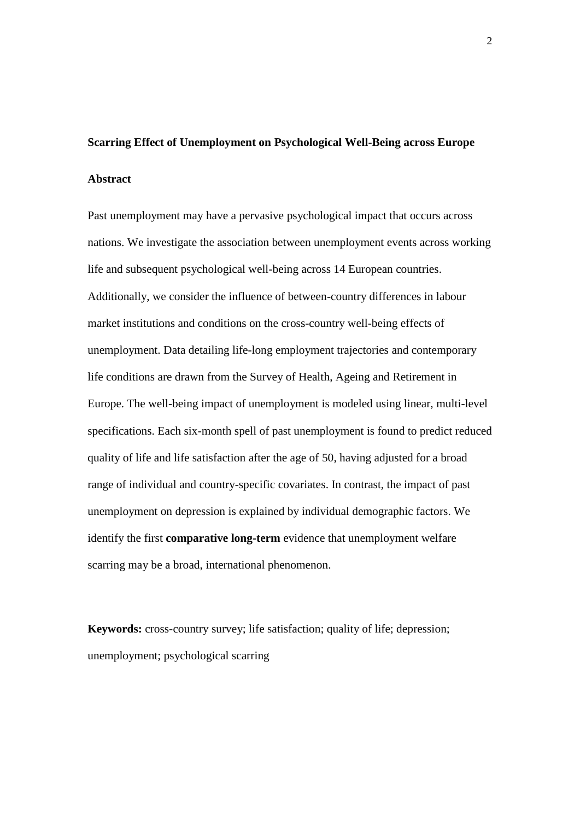## **Scarring Effect of Unemployment on Psychological Well-Being across Europe**

## **Abstract**

Past unemployment may have a pervasive psychological impact that occurs across nations. We investigate the association between unemployment events across working life and subsequent psychological well-being across 14 European countries. Additionally, we consider the influence of between-country differences in labour market institutions and conditions on the cross-country well-being effects of unemployment. Data detailing life-long employment trajectories and contemporary life conditions are drawn from the Survey of Health, Ageing and Retirement in Europe. The well-being impact of unemployment is modeled using linear, multi-level specifications. Each six-month spell of past unemployment is found to predict reduced quality of life and life satisfaction after the age of 50, having adjusted for a broad range of individual and country-specific covariates. In contrast, the impact of past unemployment on depression is explained by individual demographic factors. We identify the first **comparative long-term** evidence that unemployment welfare scarring may be a broad, international phenomenon.

**Keywords:** cross-country survey; life satisfaction; quality of life; depression; unemployment; psychological scarring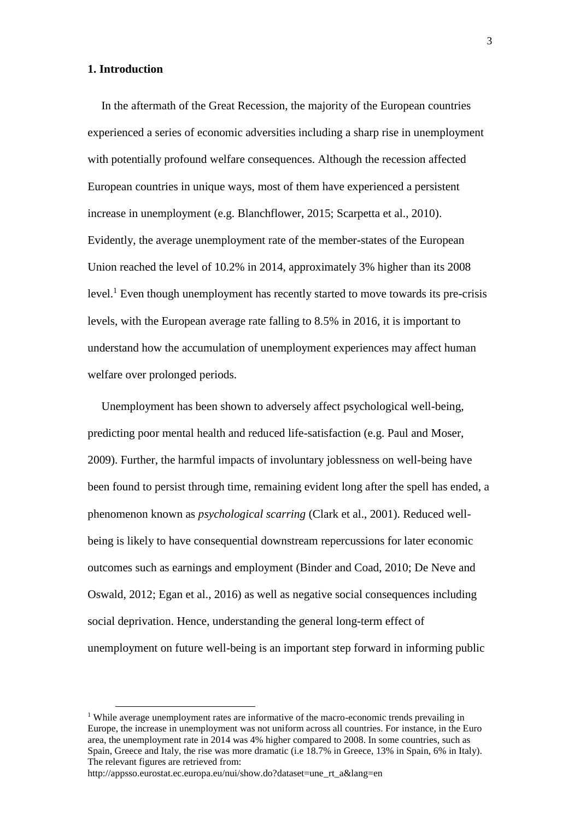# **1. Introduction**

In the aftermath of the Great Recession, the majority of the European countries experienced a series of economic adversities including a sharp rise in unemployment with potentially profound welfare consequences. Although the recession affected European countries in unique ways, most of them have experienced a persistent increase in unemployment (e.g. Blanchflower, 2015; Scarpetta et al., 2010). Evidently, the average unemployment rate of the member-states of the European Union reached the level of 10.2% in 2014, approximately 3% higher than its 2008 level.<sup>1</sup> Even though unemployment has recently started to move towards its pre-crisis levels, with the European average rate falling to 8.5% in 2016, it is important to understand how the accumulation of unemployment experiences may affect human welfare over prolonged periods.

Unemployment has been shown to adversely affect psychological well-being, predicting poor mental health and reduced life-satisfaction (e.g. Paul and Moser, 2009). Further, the harmful impacts of involuntary joblessness on well-being have been found to persist through time, remaining evident long after the spell has ended, a phenomenon known as *psychological scarring* (Clark et al., 2001). Reduced wellbeing is likely to have consequential downstream repercussions for later economic outcomes such as earnings and employment (Binder and Coad, 2010; De Neve and Oswald, 2012; Egan et al., 2016) as well as negative social consequences including social deprivation. Hence, understanding the general long-term effect of unemployment on future well-being is an important step forward in informing public

 $\overline{\phantom{0}}$ 

<sup>&</sup>lt;sup> $1$ </sup> While average unemployment rates are informative of the macro-economic trends prevailing in Europe, the increase in unemployment was not uniform across all countries. For instance, in the Euro area, the unemployment rate in 2014 was 4% higher compared to 2008. In some countries, such as Spain, Greece and Italy, the rise was more dramatic (i.e 18.7% in Greece, 13% in Spain, 6% in Italy). The relevant figures are retrieved from:

http://appsso.eurostat.ec.europa.eu/nui/show.do?dataset=une\_rt\_a&lang=en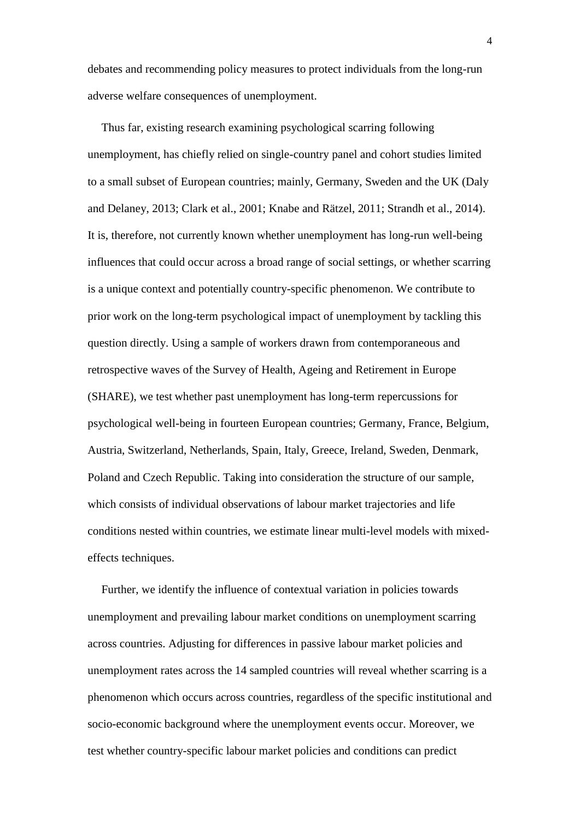debates and recommending policy measures to protect individuals from the long-run adverse welfare consequences of unemployment.

Thus far, existing research examining psychological scarring following unemployment, has chiefly relied on single-country panel and cohort studies limited to a small subset of European countries; mainly, Germany, Sweden and the UK (Daly and Delaney, 2013; Clark et al., 2001; Knabe and Rätzel, 2011; Strandh et al., 2014). It is, therefore, not currently known whether unemployment has long-run well-being influences that could occur across a broad range of social settings, or whether scarring is a unique context and potentially country-specific phenomenon. We contribute to prior work on the long-term psychological impact of unemployment by tackling this question directly. Using a sample of workers drawn from contemporaneous and retrospective waves of the Survey of Health, Ageing and Retirement in Europe (SHARE), we test whether past unemployment has long-term repercussions for psychological well-being in fourteen European countries; Germany, France, Belgium, Austria, Switzerland, Netherlands, Spain, Italy, Greece, Ireland, Sweden, Denmark, Poland and Czech Republic. Taking into consideration the structure of our sample, which consists of individual observations of labour market trajectories and life conditions nested within countries, we estimate linear multi-level models with mixedeffects techniques.

Further, we identify the influence of contextual variation in policies towards unemployment and prevailing labour market conditions on unemployment scarring across countries. Adjusting for differences in passive labour market policies and unemployment rates across the 14 sampled countries will reveal whether scarring is a phenomenon which occurs across countries, regardless of the specific institutional and socio-economic background where the unemployment events occur. Moreover, we test whether country-specific labour market policies and conditions can predict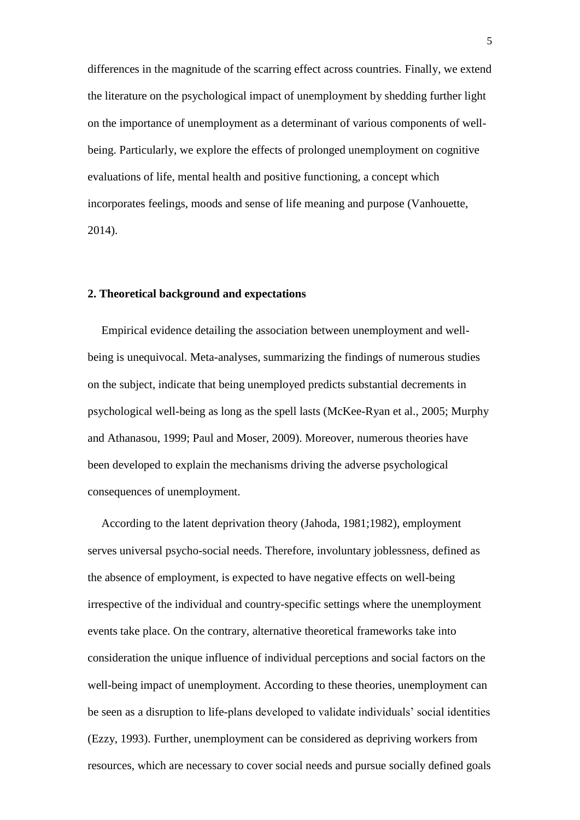differences in the magnitude of the scarring effect across countries. Finally, we extend the literature on the psychological impact of unemployment by shedding further light on the importance of unemployment as a determinant of various components of wellbeing. Particularly, we explore the effects of prolonged unemployment on cognitive evaluations of life, mental health and positive functioning, a concept which incorporates feelings, moods and sense of life meaning and purpose (Vanhouette, 2014).

# **2. Theoretical background and expectations**

Empirical evidence detailing the association between unemployment and wellbeing is unequivocal. Meta-analyses, summarizing the findings of numerous studies on the subject, indicate that being unemployed predicts substantial decrements in psychological well-being as long as the spell lasts (McKee-Ryan et al., 2005; Murphy and Athanasou, 1999; Paul and Moser, 2009). Moreover, numerous theories have been developed to explain the mechanisms driving the adverse psychological consequences of unemployment.

According to the latent deprivation theory (Jahoda, 1981;1982), employment serves universal psycho-social needs. Therefore, involuntary joblessness, defined as the absence of employment, is expected to have negative effects on well-being irrespective of the individual and country-specific settings where the unemployment events take place. On the contrary, alternative theoretical frameworks take into consideration the unique influence of individual perceptions and social factors on the well-being impact of unemployment. According to these theories, unemployment can be seen as a disruption to life-plans developed to validate individuals' social identities (Ezzy, 1993). Further, unemployment can be considered as depriving workers from resources, which are necessary to cover social needs and pursue socially defined goals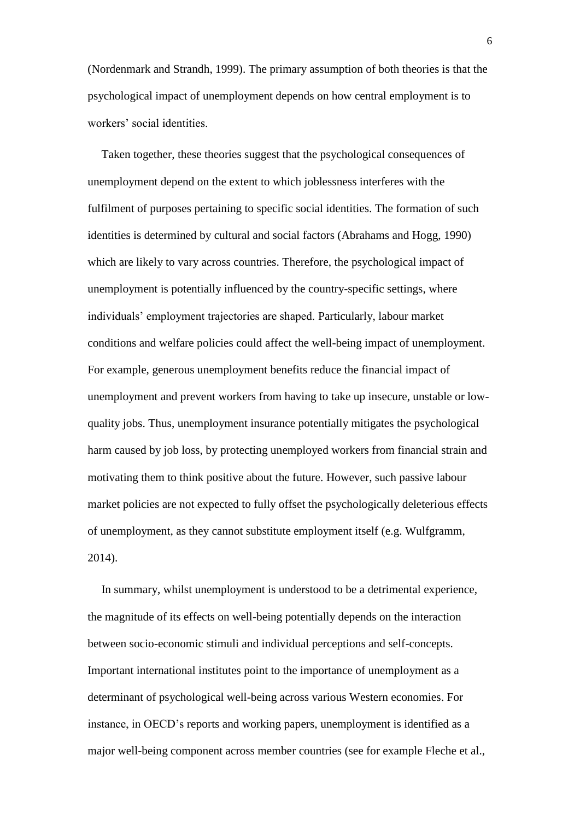(Nordenmark and Strandh, 1999). The primary assumption of both theories is that the psychological impact of unemployment depends on how central employment is to workers' social identities.

Taken together, these theories suggest that the psychological consequences of unemployment depend on the extent to which joblessness interferes with the fulfilment of purposes pertaining to specific social identities. The formation of such identities is determined by cultural and social factors (Abrahams and Hogg, 1990) which are likely to vary across countries. Therefore, the psychological impact of unemployment is potentially influenced by the country-specific settings, where individuals' employment trajectories are shaped. Particularly, labour market conditions and welfare policies could affect the well-being impact of unemployment. For example, generous unemployment benefits reduce the financial impact of unemployment and prevent workers from having to take up insecure, unstable or lowquality jobs. Thus, unemployment insurance potentially mitigates the psychological harm caused by job loss, by protecting unemployed workers from financial strain and motivating them to think positive about the future. However, such passive labour market policies are not expected to fully offset the psychologically deleterious effects of unemployment, as they cannot substitute employment itself (e.g. Wulfgramm, 2014).

In summary, whilst unemployment is understood to be a detrimental experience, the magnitude of its effects on well-being potentially depends on the interaction between socio-economic stimuli and individual perceptions and self-concepts. Important international institutes point to the importance of unemployment as a determinant of psychological well-being across various Western economies. For instance, in OECD's reports and working papers, unemployment is identified as a major well-being component across member countries (see for example Fleche et al.,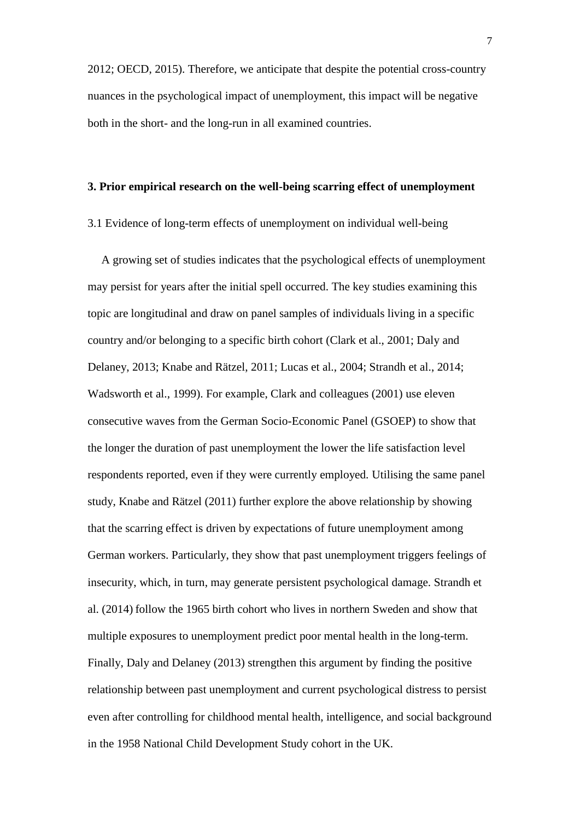2012; OECD, 2015). Therefore, we anticipate that despite the potential cross-country nuances in the psychological impact of unemployment, this impact will be negative both in the short- and the long-run in all examined countries.

## **3. Prior empirical research on the well-being scarring effect of unemployment**

## 3.1 Evidence of long-term effects of unemployment on individual well-being

A growing set of studies indicates that the psychological effects of unemployment may persist for years after the initial spell occurred. The key studies examining this topic are longitudinal and draw on panel samples of individuals living in a specific country and/or belonging to a specific birth cohort (Clark et al., 2001; Daly and Delaney, 2013; Knabe and Rätzel, 2011; Lucas et al., 2004; Strandh et al., 2014; Wadsworth et al., 1999). For example, Clark and colleagues (2001) use eleven consecutive waves from the German Socio-Economic Panel (GSOEP) to show that the longer the duration of past unemployment the lower the life satisfaction level respondents reported, even if they were currently employed. Utilising the same panel study, Knabe and Rätzel (2011) further explore the above relationship by showing that the scarring effect is driven by expectations of future unemployment among German workers. Particularly, they show that past unemployment triggers feelings of insecurity, which, in turn, may generate persistent psychological damage. Strandh et al. (2014) follow the 1965 birth cohort who lives in northern Sweden and show that multiple exposures to unemployment predict poor mental health in the long-term. Finally, Daly and Delaney (2013) strengthen this argument by finding the positive relationship between past unemployment and current psychological distress to persist even after controlling for childhood mental health, intelligence, and social background in the 1958 National Child Development Study cohort in the UK.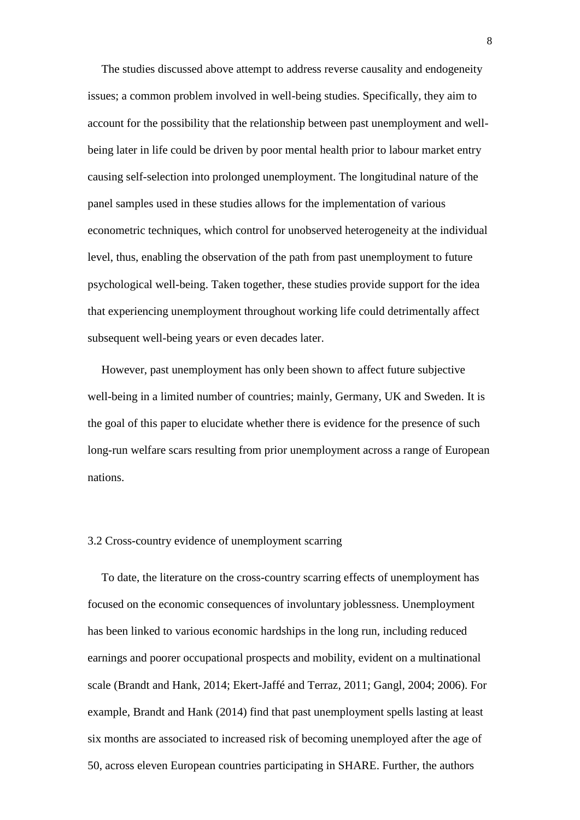The studies discussed above attempt to address reverse causality and endogeneity issues; a common problem involved in well-being studies. Specifically, they aim to account for the possibility that the relationship between past unemployment and wellbeing later in life could be driven by poor mental health prior to labour market entry causing self-selection into prolonged unemployment. The longitudinal nature of the panel samples used in these studies allows for the implementation of various econometric techniques, which control for unobserved heterogeneity at the individual level, thus, enabling the observation of the path from past unemployment to future psychological well-being. Taken together, these studies provide support for the idea that experiencing unemployment throughout working life could detrimentally affect subsequent well-being years or even decades later.

However, past unemployment has only been shown to affect future subjective well-being in a limited number of countries; mainly, Germany, UK and Sweden. It is the goal of this paper to elucidate whether there is evidence for the presence of such long-run welfare scars resulting from prior unemployment across a range of European nations.

## 3.2 Cross-country evidence of unemployment scarring

To date, the literature on the cross-country scarring effects of unemployment has focused on the economic consequences of involuntary joblessness. Unemployment has been linked to various economic hardships in the long run, including reduced earnings and poorer occupational prospects and mobility, evident on a multinational scale (Brandt and Hank, 2014; Ekert-Jaffé and Terraz, 2011; Gangl, 2004; 2006). For example, Brandt and Hank (2014) find that past unemployment spells lasting at least six months are associated to increased risk of becoming unemployed after the age of 50, across eleven European countries participating in SHARE. Further, the authors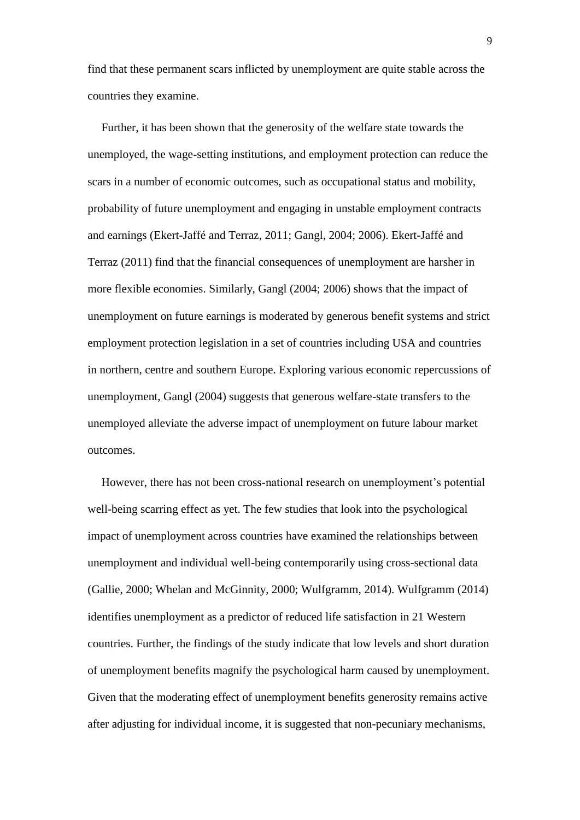find that these permanent scars inflicted by unemployment are quite stable across the countries they examine.

Further, it has been shown that the generosity of the welfare state towards the unemployed, the wage-setting institutions, and employment protection can reduce the scars in a number of economic outcomes, such as occupational status and mobility, probability of future unemployment and engaging in unstable employment contracts and earnings (Ekert-Jaffé and Terraz, 2011; Gangl, 2004; 2006). Ekert-Jaffé and Terraz (2011) find that the financial consequences of unemployment are harsher in more flexible economies. Similarly, Gangl (2004; 2006) shows that the impact of unemployment on future earnings is moderated by generous benefit systems and strict employment protection legislation in a set of countries including USA and countries in northern, centre and southern Europe. Exploring various economic repercussions of unemployment, Gangl (2004) suggests that generous welfare-state transfers to the unemployed alleviate the adverse impact of unemployment on future labour market outcomes.

However, there has not been cross-national research on unemployment's potential well-being scarring effect as yet. The few studies that look into the psychological impact of unemployment across countries have examined the relationships between unemployment and individual well-being contemporarily using cross-sectional data (Gallie, 2000; Whelan and McGinnity, 2000; Wulfgramm, 2014). Wulfgramm (2014) identifies unemployment as a predictor of reduced life satisfaction in 21 Western countries. Further, the findings of the study indicate that low levels and short duration of unemployment benefits magnify the psychological harm caused by unemployment. Given that the moderating effect of unemployment benefits generosity remains active after adjusting for individual income, it is suggested that non-pecuniary mechanisms,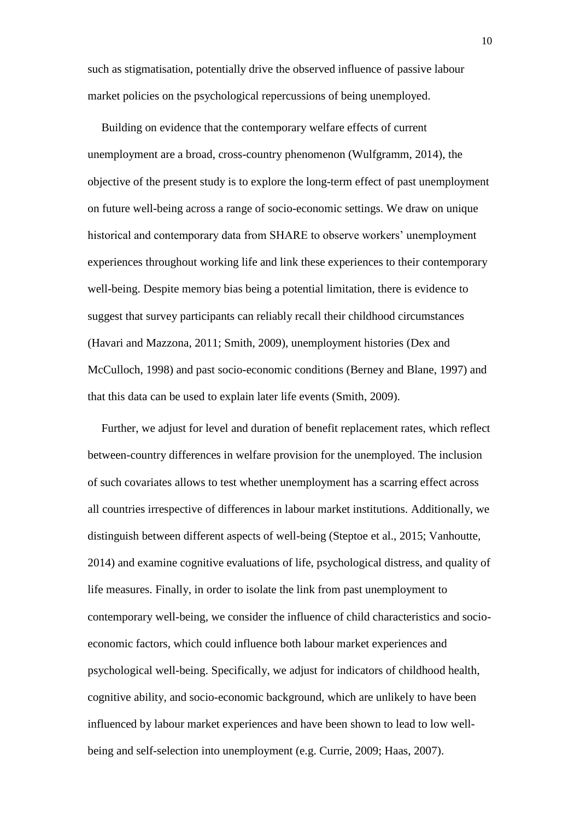such as stigmatisation, potentially drive the observed influence of passive labour market policies on the psychological repercussions of being unemployed.

Building on evidence that the contemporary welfare effects of current unemployment are a broad, cross-country phenomenon (Wulfgramm, 2014), the objective of the present study is to explore the long-term effect of past unemployment on future well-being across a range of socio-economic settings. We draw on unique historical and contemporary data from SHARE to observe workers' unemployment experiences throughout working life and link these experiences to their contemporary well-being. Despite memory bias being a potential limitation, there is evidence to suggest that survey participants can reliably recall their childhood circumstances (Havari and Mazzona, 2011; Smith, 2009), unemployment histories (Dex and McCulloch, 1998) and past socio-economic conditions (Berney and Blane, 1997) and that this data can be used to explain later life events (Smith, 2009).

Further, we adjust for level and duration of benefit replacement rates, which reflect between-country differences in welfare provision for the unemployed. The inclusion of such covariates allows to test whether unemployment has a scarring effect across all countries irrespective of differences in labour market institutions. Additionally, we distinguish between different aspects of well-being (Steptoe et al., 2015; Vanhoutte, 2014) and examine cognitive evaluations of life, psychological distress, and quality of life measures. Finally, in order to isolate the link from past unemployment to contemporary well-being, we consider the influence of child characteristics and socioeconomic factors, which could influence both labour market experiences and psychological well-being. Specifically, we adjust for indicators of childhood health, cognitive ability, and socio-economic background, which are unlikely to have been influenced by labour market experiences and have been shown to lead to low wellbeing and self-selection into unemployment (e.g. Currie, 2009; Haas, 2007).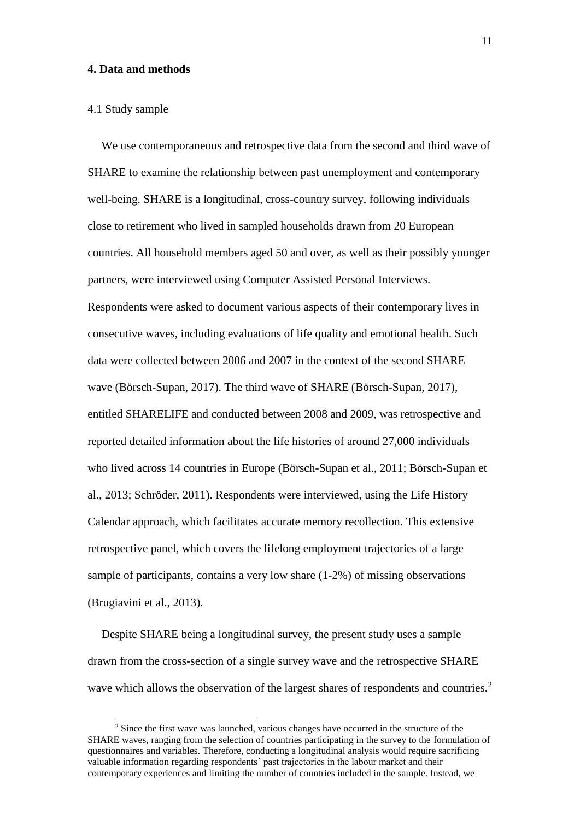## **4. Data and methods**

#### 4.1 Study sample

 $\overline{a}$ 

We use contemporaneous and retrospective data from the second and third wave of SHARE to examine the relationship between past unemployment and contemporary well-being. SHARE is a longitudinal, cross-country survey, following individuals close to retirement who lived in sampled households drawn from 20 European countries. All household members aged 50 and over, as well as their possibly younger partners, were interviewed using Computer Assisted Personal Interviews. Respondents were asked to document various aspects of their contemporary lives in consecutive waves, including evaluations of life quality and emotional health. Such data were collected between 2006 and 2007 in the context of the second SHARE wave (Börsch-Supan, 2017). The third wave of SHARE (Börsch-Supan, 2017), entitled SHARELIFE and conducted between 2008 and 2009, was retrospective and reported detailed information about the life histories of around 27,000 individuals who lived across 14 countries in Europe (Börsch-Supan et al., 2011; Börsch-Supan et al., 2013; Schröder, 2011). Respondents were interviewed, using the Life History Calendar approach, which facilitates accurate memory recollection. This extensive retrospective panel, which covers the lifelong employment trajectories of a large sample of participants, contains a very low share (1-2%) of missing observations (Brugiavini et al., 2013).

Despite SHARE being a longitudinal survey, the present study uses a sample drawn from the cross-section of a single survey wave and the retrospective SHARE wave which allows the observation of the largest shares of respondents and countries.<sup>2</sup>

<sup>&</sup>lt;sup>2</sup> Since the first wave was launched, various changes have occurred in the structure of the SHARE waves, ranging from the selection of countries participating in the survey to the formulation of questionnaires and variables. Therefore, conducting a longitudinal analysis would require sacrificing valuable information regarding respondents' past trajectories in the labour market and their contemporary experiences and limiting the number of countries included in the sample. Instead, we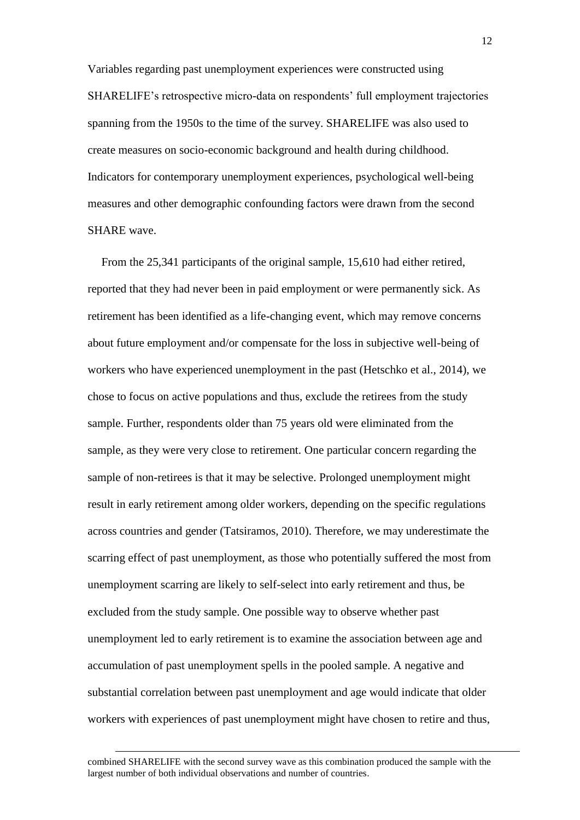Variables regarding past unemployment experiences were constructed using SHARELIFE's retrospective micro-data on respondents' full employment trajectories spanning from the 1950s to the time of the survey. SHARELIFE was also used to create measures on socio-economic background and health during childhood. Indicators for contemporary unemployment experiences, psychological well-being measures and other demographic confounding factors were drawn from the second SHARE wave.

From the 25,341 participants of the original sample, 15,610 had either retired, reported that they had never been in paid employment or were permanently sick. As retirement has been identified as a life-changing event, which may remove concerns about future employment and/or compensate for the loss in subjective well-being of workers who have experienced unemployment in the past (Hetschko et al., 2014), we chose to focus on active populations and thus, exclude the retirees from the study sample. Further, respondents older than 75 years old were eliminated from the sample, as they were very close to retirement. One particular concern regarding the sample of non-retirees is that it may be selective. Prolonged unemployment might result in early retirement among older workers, depending on the specific regulations across countries and gender (Tatsiramos, 2010). Therefore, we may underestimate the scarring effect of past unemployment, as those who potentially suffered the most from unemployment scarring are likely to self-select into early retirement and thus, be excluded from the study sample. One possible way to observe whether past unemployment led to early retirement is to examine the association between age and accumulation of past unemployment spells in the pooled sample. A negative and substantial correlation between past unemployment and age would indicate that older workers with experiences of past unemployment might have chosen to retire and thus,

l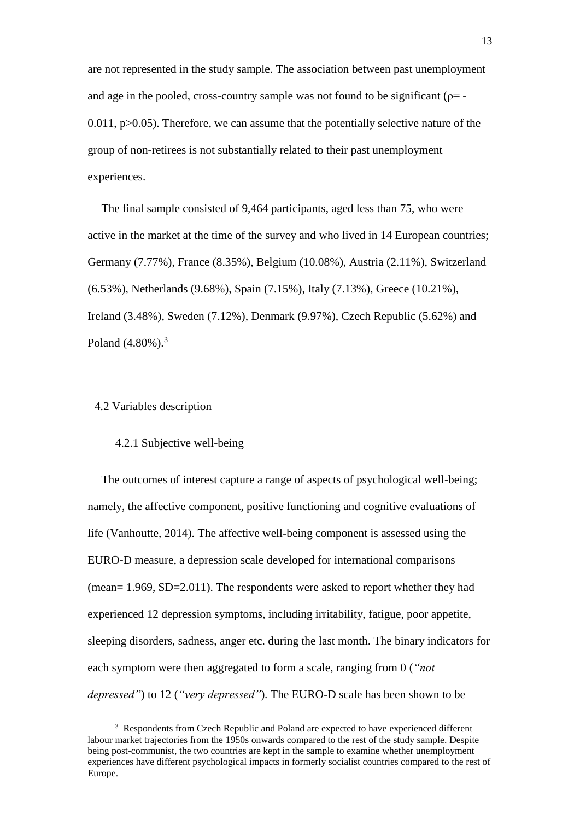are not represented in the study sample. The association between past unemployment and age in the pooled, cross-country sample was not found to be significant ( $p = 0.011$ ,  $p > 0.05$ ). Therefore, we can assume that the potentially selective nature of the group of non-retirees is not substantially related to their past unemployment experiences.

The final sample consisted of 9,464 participants, aged less than 75, who were active in the market at the time of the survey and who lived in 14 European countries; Germany (7.77%), France (8.35%), Belgium (10.08%), Austria (2.11%), Switzerland (6.53%), Netherlands (9.68%), Spain (7.15%), Italy (7.13%), Greece (10.21%), Ireland (3.48%), Sweden (7.12%), Denmark (9.97%), Czech Republic (5.62%) and Poland  $(4.80\%)$ .<sup>3</sup>

## 4.2 Variables description

 $\overline{a}$ 

#### 4.2.1 Subjective well-being

The outcomes of interest capture a range of aspects of psychological well-being; namely, the affective component, positive functioning and cognitive evaluations of life (Vanhoutte, 2014). The affective well-being component is assessed using the EURO-D measure, a depression scale developed for international comparisons (mean= 1.969, SD=2.011). The respondents were asked to report whether they had experienced 12 depression symptoms, including irritability, fatigue, poor appetite, sleeping disorders, sadness, anger etc. during the last month. The binary indicators for each symptom were then aggregated to form a scale, ranging from 0 (*"not depressed"*) to 12 (*"very depressed"*)*.* The EURO-D scale has been shown to be

<sup>&</sup>lt;sup>3</sup> Respondents from Czech Republic and Poland are expected to have experienced different labour market trajectories from the 1950s onwards compared to the rest of the study sample. Despite being post-communist, the two countries are kept in the sample to examine whether unemployment experiences have different psychological impacts in formerly socialist countries compared to the rest of Europe.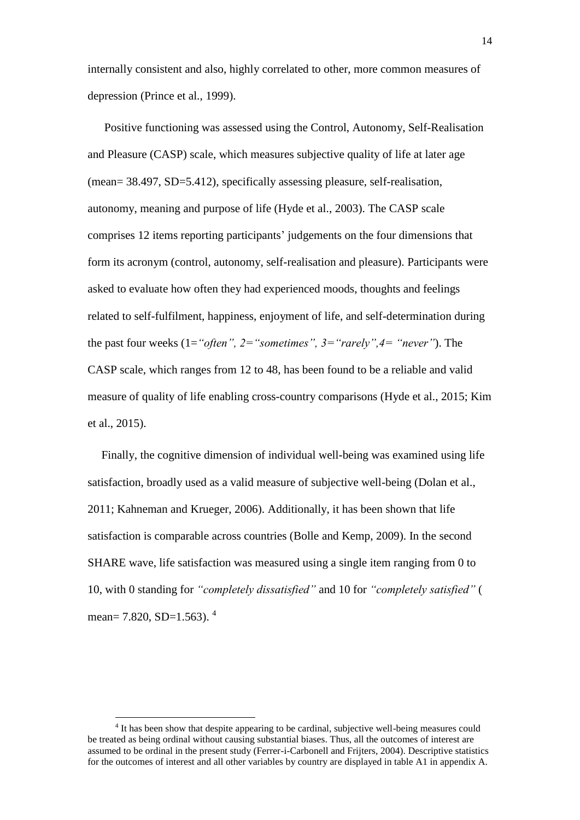internally consistent and also, highly correlated to other, more common measures of depression (Prince et al., 1999).

Positive functioning was assessed using the Control, Autonomy, Self-Realisation and Pleasure (CASP) scale, which measures subjective quality of life at later age (mean= 38.497, SD=5.412), specifically assessing pleasure, self-realisation, autonomy, meaning and purpose of life (Hyde et al., 2003). The CASP scale comprises 12 items reporting participants' judgements on the four dimensions that form its acronym (control, autonomy, self-realisation and pleasure). Participants were asked to evaluate how often they had experienced moods, thoughts and feelings related to self-fulfilment, happiness, enjoyment of life, and self-determination during the past four weeks (1=*"often", 2="sometimes", 3="rarely",4= "never"*). The CASP scale, which ranges from 12 to 48, has been found to be a reliable and valid measure of quality of life enabling cross-country comparisons (Hyde et al., 2015; Kim et al., 2015).

Finally, the cognitive dimension of individual well-being was examined using life satisfaction, broadly used as a valid measure of subjective well-being (Dolan et al., 2011; Kahneman and Krueger, 2006). Additionally, it has been shown that life satisfaction is comparable across countries (Bolle and Kemp, 2009). In the second SHARE wave, life satisfaction was measured using a single item ranging from 0 to 10, with 0 standing for *"completely dissatisfied"* and 10 for *"completely satisfied"* ( mean= 7.820, SD= $1.563$ ).<sup>4</sup>

 $\overline{\phantom{0}}$ 

<sup>&</sup>lt;sup>4</sup> It has been show that despite appearing to be cardinal, subjective well-being measures could be treated as being ordinal without causing substantial biases. Thus, all the outcomes of interest are assumed to be ordinal in the present study (Ferrer-i-Carbonell and Frijters, 2004). Descriptive statistics for the outcomes of interest and all other variables by country are displayed in table A1 in appendix A.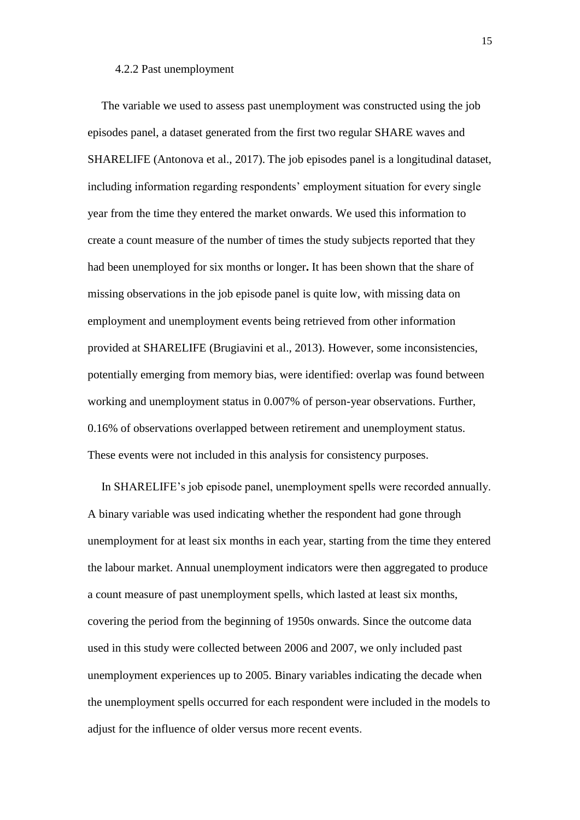#### 4.2.2 Past unemployment

The variable we used to assess past unemployment was constructed using the job episodes panel, a dataset generated from the first two regular SHARE waves and SHARELIFE (Antonova et al., 2017). The job episodes panel is a longitudinal dataset, including information regarding respondents' employment situation for every single year from the time they entered the market onwards. We used this information to create a count measure of the number of times the study subjects reported that they had been unemployed for six months or longer**.** It has been shown that the share of missing observations in the job episode panel is quite low, with missing data on employment and unemployment events being retrieved from other information provided at SHARELIFE (Brugiavini et al., 2013). However, some inconsistencies, potentially emerging from memory bias, were identified: overlap was found between working and unemployment status in 0.007% of person-year observations. Further, 0.16% of observations overlapped between retirement and unemployment status. These events were not included in this analysis for consistency purposes.

In SHARELIFE's job episode panel, unemployment spells were recorded annually. A binary variable was used indicating whether the respondent had gone through unemployment for at least six months in each year, starting from the time they entered the labour market. Annual unemployment indicators were then aggregated to produce a count measure of past unemployment spells, which lasted at least six months, covering the period from the beginning of 1950s onwards. Since the outcome data used in this study were collected between 2006 and 2007, we only included past unemployment experiences up to 2005. Binary variables indicating the decade when the unemployment spells occurred for each respondent were included in the models to adjust for the influence of older versus more recent events.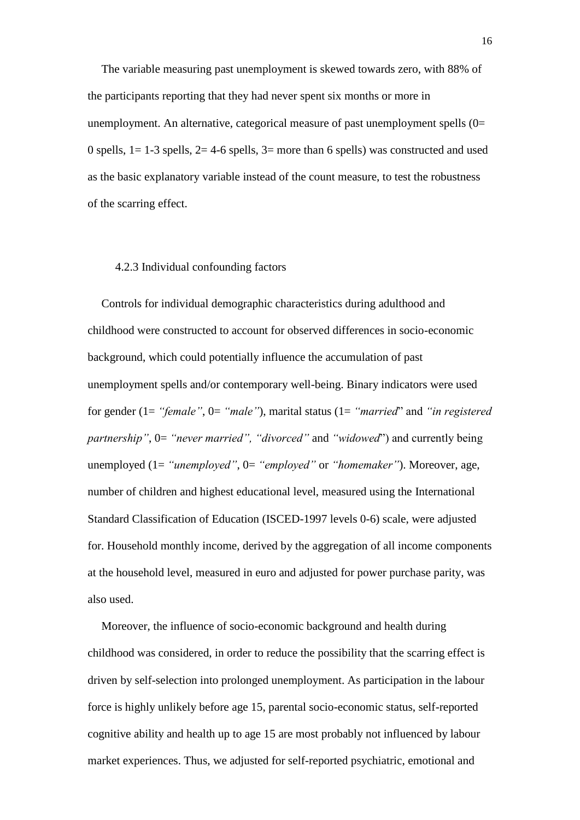The variable measuring past unemployment is skewed towards zero, with 88% of the participants reporting that they had never spent six months or more in unemployment. An alternative, categorical measure of past unemployment spells (0= 0 spells,  $1 = 1-3$  spells,  $2 = 4-6$  spells,  $3=$  more than 6 spells) was constructed and used as the basic explanatory variable instead of the count measure, to test the robustness of the scarring effect.

## 4.2.3 Individual confounding factors

Controls for individual demographic characteristics during adulthood and childhood were constructed to account for observed differences in socio-economic background, which could potentially influence the accumulation of past unemployment spells and/or contemporary well-being. Binary indicators were used for gender (1= *"female"*, 0= *"male"*), marital status (1= *"married*" and *"in registered partnership"*, 0= *"never married", "divorced"* and *"widowed*") and currently being unemployed (1= *"unemployed"*, 0= *"employed"* or *"homemaker"*). Moreover, age, number of children and highest educational level, measured using the International Standard Classification of Education (ISCED-1997 levels 0-6) scale, were adjusted for. Household monthly income, derived by the aggregation of all income components at the household level, measured in euro and adjusted for power purchase parity, was also used.

Moreover, the influence of socio-economic background and health during childhood was considered, in order to reduce the possibility that the scarring effect is driven by self-selection into prolonged unemployment. As participation in the labour force is highly unlikely before age 15, parental socio-economic status, self-reported cognitive ability and health up to age 15 are most probably not influenced by labour market experiences. Thus, we adjusted for self-reported psychiatric, emotional and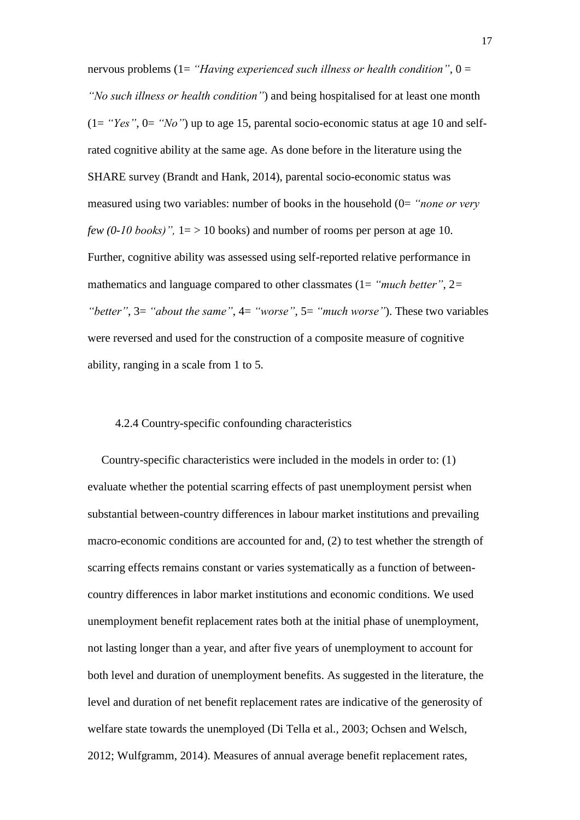nervous problems (1= *"Having experienced such illness or health condition"*, 0 = *"No such illness or health condition"*) and being hospitalised for at least one month (1= *"Yes"*, 0= *"No"*) up to age 15, parental socio-economic status at age 10 and selfrated cognitive ability at the same age. As done before in the literature using the SHARE survey (Brandt and Hank, 2014), parental socio-economic status was measured using two variables: number of books in the household (0= *"none or very few (0-10 books)*",  $1 = > 10$  books) and number of rooms per person at age 10. Further, cognitive ability was assessed using self-reported relative performance in mathematics and language compared to other classmates (1= *"much better"*, 2*= "better"*, 3= *"about the same"*, 4= *"worse"*, 5= *"much worse"*). These two variables were reversed and used for the construction of a composite measure of cognitive ability, ranging in a scale from 1 to 5.

#### 4.2.4 Country-specific confounding characteristics

Country-specific characteristics were included in the models in order to: (1) evaluate whether the potential scarring effects of past unemployment persist when substantial between-country differences in labour market institutions and prevailing macro-economic conditions are accounted for and, (2) to test whether the strength of scarring effects remains constant or varies systematically as a function of betweencountry differences in labor market institutions and economic conditions. We used unemployment benefit replacement rates both at the initial phase of unemployment, not lasting longer than a year, and after five years of unemployment to account for both level and duration of unemployment benefits. As suggested in the literature, the level and duration of net benefit replacement rates are indicative of the generosity of welfare state towards the unemployed (Di Tella et al., 2003; Ochsen and Welsch, 2012; Wulfgramm, 2014). Measures of annual average benefit replacement rates,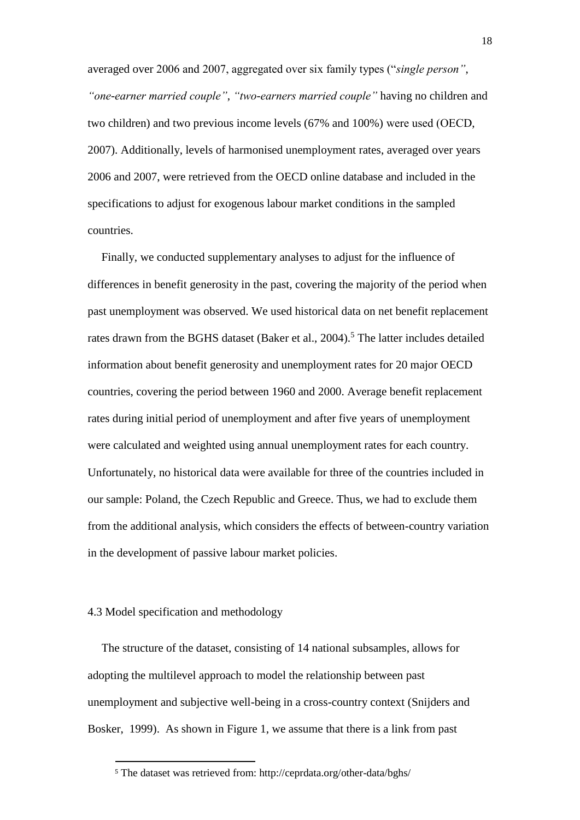averaged over 2006 and 2007, aggregated over six family types ("*single person"*, *"one-earner married couple"*, *"two-earners married couple"* having no children and two children) and two previous income levels (67% and 100%) were used (ΟΕCD, 2007). Additionally, levels of harmonised unemployment rates, averaged over years 2006 and 2007, were retrieved from the OECD online database and included in the specifications to adjust for exogenous labour market conditions in the sampled countries.

Finally, we conducted supplementary analyses to adjust for the influence of differences in benefit generosity in the past, covering the majority of the period when past unemployment was observed. We used historical data on net benefit replacement rates drawn from the BGHS dataset (Baker et al., 2004).<sup>5</sup> The latter includes detailed information about benefit generosity and unemployment rates for 20 major OECD countries, covering the period between 1960 and 2000. Average benefit replacement rates during initial period of unemployment and after five years of unemployment were calculated and weighted using annual unemployment rates for each country. Unfortunately, no historical data were available for three of the countries included in our sample: Poland, the Czech Republic and Greece. Thus, we had to exclude them from the additional analysis, which considers the effects of between-country variation in the development of passive labour market policies.

## 4.3 Model specification and methodology

 $\overline{\phantom{0}}$ 

Τhe structure of the dataset, consisting of 14 national subsamples, allows for adopting the multilevel approach to model the relationship between past unemployment and subjective well-being in a cross-country context (Snijders and Bosker, 1999). As shown in Figure 1, we assume that there is a link from past

<sup>5</sup> The dataset was retrieved from: http://ceprdata.org/other-data/bghs/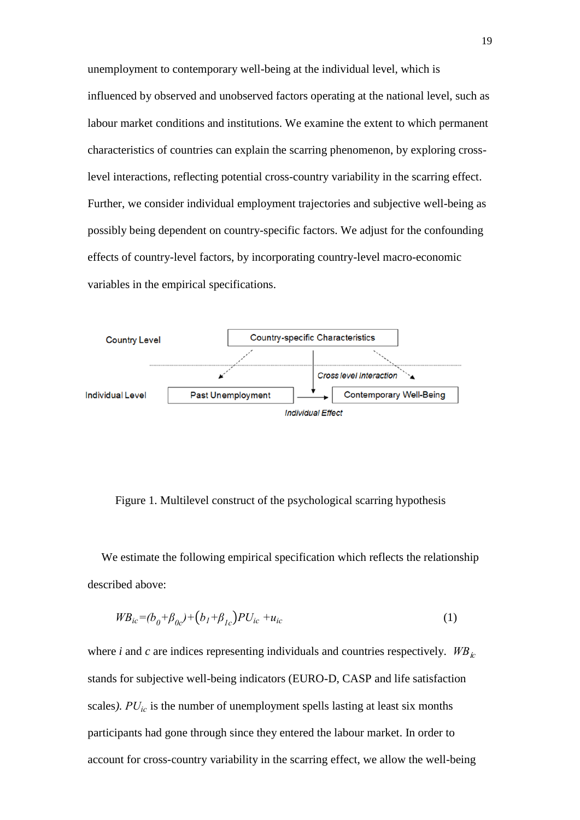unemployment to contemporary well-being at the individual level, which is influenced by observed and unobserved factors operating at the national level, such as labour market conditions and institutions. We examine the extent to which permanent characteristics of countries can explain the scarring phenomenon, by exploring crosslevel interactions, reflecting potential cross-country variability in the scarring effect. Further, we consider individual employment trajectories and subjective well-being as possibly being dependent on country-specific factors. We adjust for the confounding effects of country-level factors, by incorporating country-level macro-economic variables in the empirical specifications.



Figure 1. Multilevel construct of the psychological scarring hypothesis

We estimate the following empirical specification which reflects the relationship described above:

$$
W B_{ic} = (b_0 + \beta_{0c}) + (b_1 + \beta_{1c}) P U_{ic} + u_{ic}
$$
 (1)

where *i* and *c* are indices representing individuals and countries respectively.  $W B_{i c}$ stands for subjective well-being indicators (EURO-D, CASP and life satisfaction scales*). PUic* is the number of unemployment spells lasting at least six months participants had gone through since they entered the labour market. In order to account for cross-country variability in the scarring effect, we allow the well-being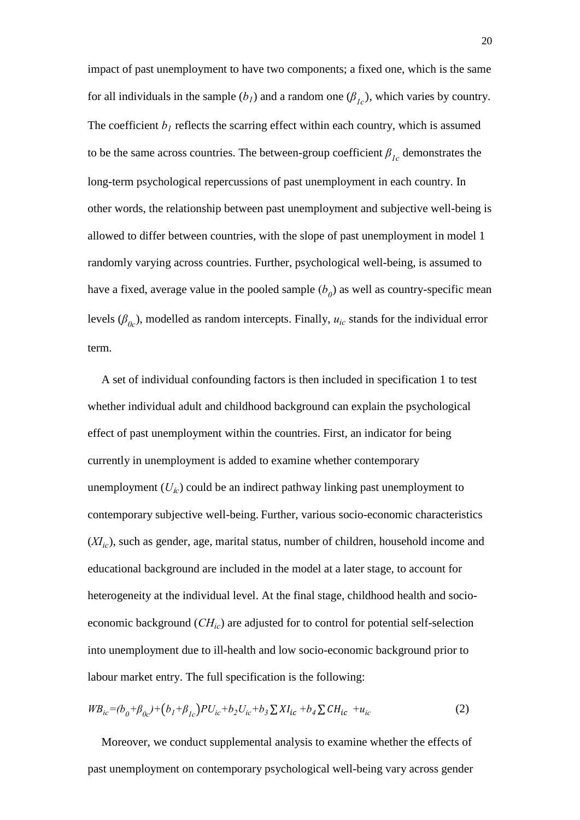impact of past unemployment to have two components; a fixed one, which is the same for all individuals in the sample  $(b<sub>1</sub>)$  and a random one  $(\beta<sub>1c</sub>)$ , which varies by country. The coefficient  $b<sub>l</sub>$  reflects the scarring effect within each country, which is assumed to be the same across countries. The between-group coefficient  $\beta_{1c}$  demonstrates the long-term psychological repercussions of past unemployment in each country. In other words, the relationship between past unemployment and subjective well-being is allowed to differ between countries, with the slope of past unemployment in model 1 randomly varying across countries. Further, psychological well-being, is assumed to have a fixed, average value in the pooled sample  $(b<sub>0</sub>)$  as well as country-specific mean levels ( $\beta_{0c}$ ), modelled as random intercepts. Finally,  $u_{ic}$  stands for the individual error term.

A set of individual confounding factors is then included in specification 1 to test whether individual adult and childhood background can explain the psychological effect of past unemployment within the countries. First, an indicator for being currently in unemployment is added to examine whether contemporary unemployment  $(U_k)$  could be an indirect pathway linking past unemployment to contemporary subjective well-being. Further, various socio-economic characteristics (*XIic*), such as gender, age, marital status, number of children, household income and educational background are included in the model at a later stage, to account for heterogeneity at the individual level. At the final stage, childhood health and socioeconomic background (*CHic*) are adjusted for to control for potential self-selection into unemployment due to ill-health and low socio-economic background prior to labour market entry. The full specification is the following:

$$
W B_{ic} = (b_0 + \beta_{0c}) + (b_1 + \beta_{1c}) P U_{ic} + b_2 U_{ic} + b_3 \sum X I_{ic} + b_4 \sum CH_{ic} + u_{ic}
$$
 (2)

Moreover, we conduct supplemental analysis to examine whether the effects of past unemployment on contemporary psychological well-being vary across gender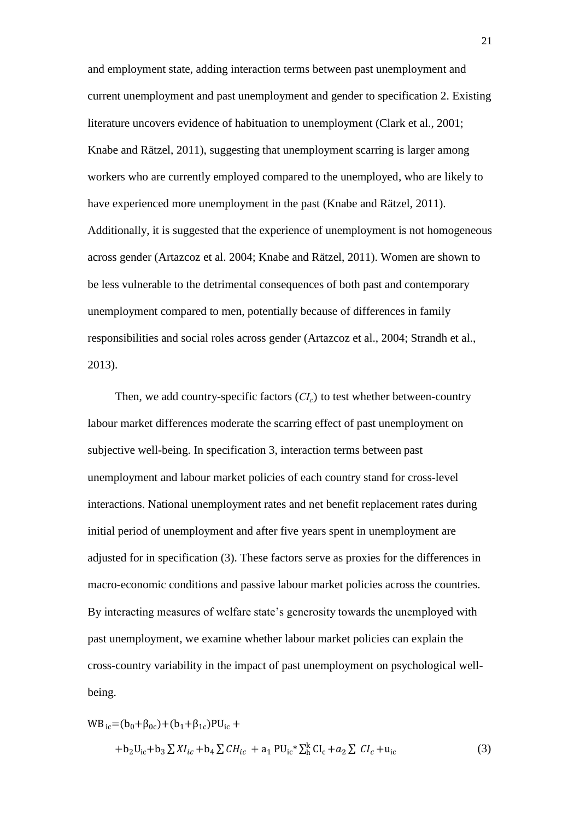and employment state, adding interaction terms between past unemployment and current unemployment and past unemployment and gender to specification 2. Existing literature uncovers evidence of habituation to unemployment (Clark et al., 2001; Knabe and Rätzel, 2011), suggesting that unemployment scarring is larger among workers who are currently employed compared to the unemployed, who are likely to have experienced more unemployment in the past (Knabe and Rätzel, 2011). Additionally, it is suggested that the experience of unemployment is not homogeneous across gender (Artazcoz et al. 2004; Knabe and Rätzel, 2011). Women are shown to be less vulnerable to the detrimental consequences of both past and contemporary unemployment compared to men, potentially because οf differences in family responsibilities and social roles across gender (Artazcoz et al., 2004; Strandh et al., 2013).

Then, we add country-specific factors (*CIc*) to test whether between-country labour market differences moderate the scarring effect of past unemployment on subjective well-being. In specification 3, interaction terms between past unemployment and labour market policies of each country stand for cross-level interactions. National unemployment rates and net benefit replacement rates during initial period of unemployment and after five years spent in unemployment are adjusted for in specification (3). These factors serve as proxies for the differences in macro-economic conditions and passive labour market policies across the countries. By interacting measures of welfare state's generosity towards the unemployed with past unemployment, we examine whether labour market policies can explain the cross-country variability in the impact of past unemployment on psychological wellbeing.

$$
WB_{ic} = (b_0 + \beta_{0c}) + (b_1 + \beta_{1c})PU_{ic} ++ b_2U_{ic} + b_3 \sum XI_{ic} + b_4 \sum CH_{ic} + a_1 PU_{ic} \sum_{h}^{k} CI_c + a_2 \sum CI_c + u_{ic}
$$
 (3)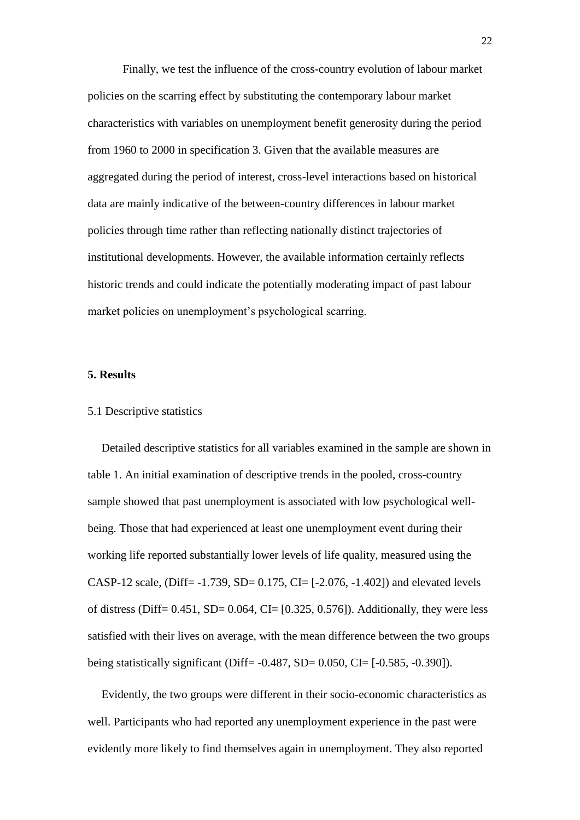Finally, we test the influence of the cross-country evolution of labour market policies on the scarring effect by substituting the contemporary labour market characteristics with variables on unemployment benefit generosity during the period from 1960 to 2000 in specification 3. Given that the available measures are aggregated during the period of interest, cross-level interactions based on historical data are mainly indicative of the between-country differences in labour market policies through time rather than reflecting nationally distinct trajectories of institutional developments. However, the available information certainly reflects historic trends and could indicate the potentially moderating impact of past labour market policies on unemployment's psychological scarring.

## **5. Results**

## 5.1 Descriptive statistics

Detailed descriptive statistics for all variables examined in the sample are shown in table 1. An initial examination of descriptive trends in the pooled, cross-country sample showed that past unemployment is associated with low psychological wellbeing. Those that had experienced at least one unemployment event during their working life reported substantially lower levels of life quality, measured using the CASP-12 scale, (Diff=  $-1.739$ , SD= 0.175, CI=  $[-2.076, -1.402]$ ) and elevated levels of distress (Diff=  $0.451$ , SD=  $0.064$ , CI=  $[0.325, 0.576]$ ). Additionally, they were less satisfied with their lives on average, with the mean difference between the two groups being statistically significant (Diff= -0.487, SD= 0.050, CI= [-0.585, -0.390]).

Evidently, the two groups were different in their socio-economic characteristics as well. Participants who had reported any unemployment experience in the past were evidently more likely to find themselves again in unemployment. They also reported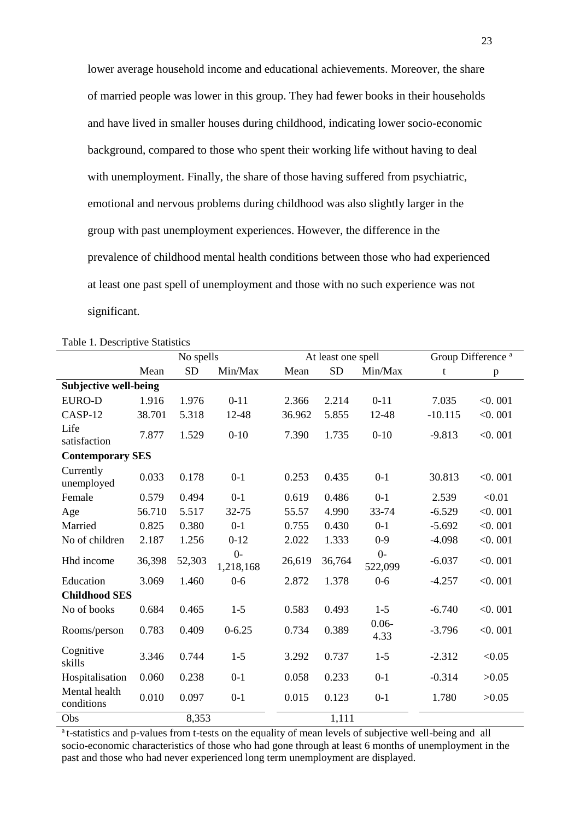lower average household income and educational achievements. Moreover, the share of married people was lower in this group. They had fewer books in their households and have lived in smaller houses during childhood, indicating lower socio-economic background, compared to those who spent their working life without having to deal with unemployment. Finally, the share of those having suffered from psychiatric, emotional and nervous problems during childhood was also slightly larger in the group with past unemployment experiences. However, the difference in the prevalence of childhood mental health conditions between those who had experienced at least one past spell of unemployment and those with no such experience was not significant.

|                              |        | No spells |                   |        | At least one spell |                  | Group Difference <sup>a</sup> |         |
|------------------------------|--------|-----------|-------------------|--------|--------------------|------------------|-------------------------------|---------|
|                              | Mean   | <b>SD</b> | Min/Max           | Mean   | <b>SD</b>          | Min/Max          | t                             | p       |
| <b>Subjective well-being</b> |        |           |                   |        |                    |                  |                               |         |
| <b>EURO-D</b>                | 1.916  | 1.976     | $0 - 11$          | 2.366  | 2.214              | $0 - 11$         | 7.035                         | < 0.001 |
| CASP-12                      | 38.701 | 5.318     | 12-48             | 36.962 | 5.855              | 12-48            | $-10.115$                     | < 0.001 |
| Life<br>satisfaction         | 7.877  | 1.529     | $0 - 10$          | 7.390  | 1.735              | $0 - 10$         | $-9.813$                      | < 0.001 |
| <b>Contemporary SES</b>      |        |           |                   |        |                    |                  |                               |         |
| Currently<br>unemployed      | 0.033  | 0.178     | $0 - 1$           | 0.253  | 0.435              | $0 - 1$          | 30.813                        | < 0.001 |
| Female                       | 0.579  | 0.494     | $0 - 1$           | 0.619  | 0.486              | $0 - 1$          | 2.539                         | < 0.01  |
| Age                          | 56.710 | 5.517     | 32-75             | 55.57  | 4.990              | 33-74            | $-6.529$                      | < 0.001 |
| Married                      | 0.825  | 0.380     | $0-1$             | 0.755  | 0.430              | $0-1$            | $-5.692$                      | < 0.001 |
| No of children               | 2.187  | 1.256     | $0 - 12$          | 2.022  | 1.333              | $0-9$            | $-4.098$                      | < 0.001 |
| Hhd income                   | 36,398 | 52,303    | $0-$<br>1,218,168 | 26,619 | 36,764             | $0-$<br>522,099  | $-6.037$                      | < 0.001 |
| Education                    | 3.069  | 1.460     | $0-6$             | 2.872  | 1.378              | $0 - 6$          | $-4.257$                      | < 0.001 |
| <b>Childhood SES</b>         |        |           |                   |        |                    |                  |                               |         |
| No of books                  | 0.684  | 0.465     | $1-5$             | 0.583  | 0.493              | $1 - 5$          | $-6.740$                      | < 0.001 |
| Rooms/person                 | 0.783  | 0.409     | $0 - 6.25$        | 0.734  | 0.389              | $0.06 -$<br>4.33 | $-3.796$                      | < 0.001 |
| Cognitive<br>skills          | 3.346  | 0.744     | $1-5$             | 3.292  | 0.737              | $1-5$            | $-2.312$                      | < 0.05  |
| Hospitalisation              | 0.060  | 0.238     | $0 - 1$           | 0.058  | 0.233              | $0 - 1$          | $-0.314$                      | >0.05   |
| Mental health<br>conditions  | 0.010  | 0.097     | $0 - 1$           | 0.015  | 0.123              | $0 - 1$          | 1.780                         | >0.05   |
| Obs                          |        | 8,353     |                   |        | 1,111              |                  |                               |         |

Table 1. Descriptive Statistics

<sup>a</sup>t-statistics and p-values from t-tests on the equality of mean levels of subjective well-being and all socio-economic characteristics of those who had gone through at least 6 months of unemployment in the past and those who had never experienced long term unemployment are displayed.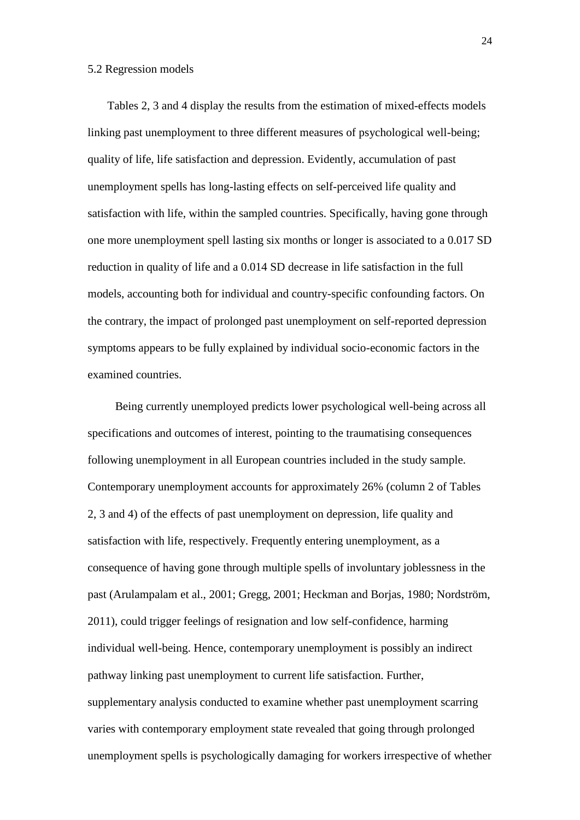## 5.2 Regression models

 Tables 2, 3 and 4 display the results from the estimation of mixed-effects models linking past unemployment to three different measures of psychological well-being; quality of life, life satisfaction and depression. Evidently, accumulation of past unemployment spells has long-lasting effects on self-perceived life quality and satisfaction with life, within the sampled countries. Specifically, having gone through one more unemployment spell lasting six months or longer is associated to a 0.017 SD reduction in quality of life and a 0.014 SD decrease in life satisfaction in the full models, accounting both for individual and country-specific confounding factors. On the contrary, the impact of prolonged past unemployment on self-reported depression symptoms appears to be fully explained by individual socio-economic factors in the examined countries.

Being currently unemployed predicts lower psychological well-being across all specifications and outcomes of interest, pointing to the traumatising consequences following unemployment in all European countries included in the study sample. Contemporary unemployment accounts for approximately 26% (column 2 of Tables 2, 3 and 4) of the effects of past unemployment on depression, life quality and satisfaction with life, respectively. Frequently entering unemployment, as a consequence of having gone through multiple spells of involuntary joblessness in the past (Arulampalam et al., 2001; Gregg, 2001; Heckman and Borjas, 1980; Nordström, 2011), could trigger feelings of resignation and low self-confidence, harming individual well-being. Hence, contemporary unemployment is possibly an indirect pathway linking past unemployment to current life satisfaction. Further, supplementary analysis conducted to examine whether past unemployment scarring varies with contemporary employment state revealed that going through prolonged unemployment spells is psychologically damaging for workers irrespective of whether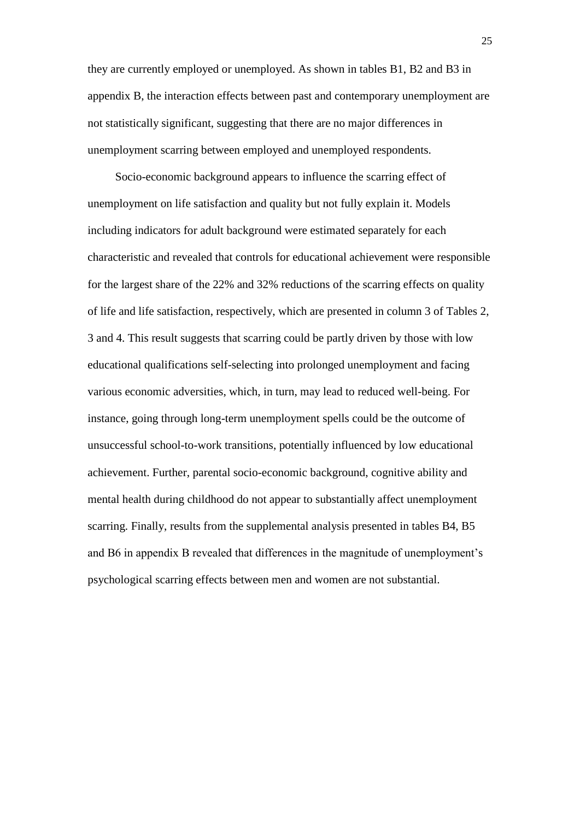they are currently employed or unemployed. As shown in tables B1, B2 and B3 in appendix B, the interaction effects between past and contemporary unemployment are not statistically significant, suggesting that there are no major differences in unemployment scarring between employed and unemployed respondents.

Socio-economic background appears to influence the scarring effect of unemployment on life satisfaction and quality but not fully explain it. Models including indicators for adult background were estimated separately for each characteristic and revealed that controls for educational achievement were responsible for the largest share of the 22% and 32% reductions of the scarring effects on quality of life and life satisfaction, respectively, which are presented in column 3 of Tables 2, 3 and 4. This result suggests that scarring could be partly driven by those with low educational qualifications self-selecting into prolonged unemployment and facing various economic adversities, which, in turn, may lead to reduced well-being. For instance, going through long-term unemployment spells could be the outcome of unsuccessful school-to-work transitions, potentially influenced by low educational achievement. Further, parental socio-economic background, cognitive ability and mental health during childhood do not appear to substantially affect unemployment scarring. Finally, results from the supplemental analysis presented in tables B4, B5 and B6 in appendix B revealed that differences in the magnitude of unemployment's psychological scarring effects between men and women are not substantial.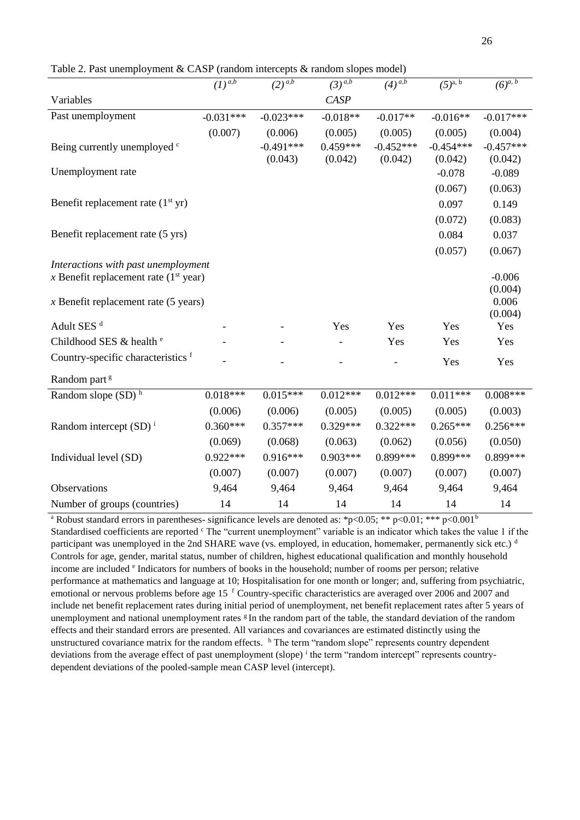Table 2. Past unemployment & CASP (random intercepts & random slopes model)

|                                         | $\overline{(1)^{a,b}}$ | $\sqrt{(2)^{a,b}}$ | $(3)^{a,b}$ | $(4)$ <sup><i>a,b</i></sup> | $(5)^{a, b}$ | $(6)^{\overline{a}, b}$ |  |  |  |
|-----------------------------------------|------------------------|--------------------|-------------|-----------------------------|--------------|-------------------------|--|--|--|
| Variables                               |                        |                    | <b>CASP</b> |                             |              |                         |  |  |  |
|                                         |                        |                    |             |                             |              |                         |  |  |  |
| Past unemployment                       | $-0.031***$            | $-0.023***$        | $-0.018**$  | $-0.017**$                  | $-0.016**$   | $-0.017***$             |  |  |  |
|                                         | (0.007)                | (0.006)            | (0.005)     | (0.005)                     | (0.005)      | (0.004)                 |  |  |  |
| Being currently unemployed c            |                        | $-0.491***$        | $0.459***$  | $-0.452***$                 | $-0.454***$  | $-0.457***$             |  |  |  |
|                                         |                        | (0.043)            | (0.042)     | (0.042)                     | (0.042)      | (0.042)                 |  |  |  |
| Unemployment rate                       |                        |                    |             |                             | $-0.078$     | $-0.089$                |  |  |  |
|                                         |                        |                    |             |                             | (0.067)      | (0.063)                 |  |  |  |
| Benefit replacement rate $(1st yr)$     |                        |                    |             |                             | 0.097        | 0.149                   |  |  |  |
|                                         |                        |                    |             |                             | (0.072)      | (0.083)                 |  |  |  |
| Benefit replacement rate (5 yrs)        |                        |                    |             |                             | 0.084        | 0.037                   |  |  |  |
|                                         |                        |                    |             |                             | (0.057)      | (0.067)                 |  |  |  |
| Interactions with past unemployment     |                        |                    |             |                             |              |                         |  |  |  |
| x Benefit replacement rate $(1st year)$ |                        |                    |             |                             |              | $-0.006$                |  |  |  |
|                                         |                        |                    |             |                             |              | (0.004)                 |  |  |  |
| $x$ Benefit replacement rate (5 years)  |                        |                    |             |                             |              | 0.006                   |  |  |  |
| Adult SES <sup>d</sup>                  |                        |                    | Yes         | Yes                         | Yes          | (0.004)<br>Yes          |  |  |  |
|                                         |                        |                    |             |                             |              |                         |  |  |  |
| Childhood SES & health <sup>e</sup>     |                        |                    |             | Yes                         | Yes          | Yes                     |  |  |  |
| Country-specific characteristics f      |                        |                    |             |                             | Yes          | Yes                     |  |  |  |
| Random part <sup>g</sup>                |                        |                    |             |                             |              |                         |  |  |  |
| Random slope $(SD)$ <sup>h</sup>        | $0.018***$             | $0.015***$         | $0.012***$  | $0.012***$                  | $0.011***$   | $0.008***$              |  |  |  |
|                                         | (0.006)                | (0.006)            | (0.005)     | (0.005)                     | (0.005)      | (0.003)                 |  |  |  |
| Random intercept $(SD)^{i}$             | $0.360***$             | $0.357***$         | $0.329***$  | $0.322***$                  | $0.265***$   | $0.256***$              |  |  |  |
|                                         | (0.069)                | (0.068)            | (0.063)     | (0.062)                     | (0.056)      | (0.050)                 |  |  |  |
| Individual level (SD)                   | $0.922***$             | $0.916***$         | $0.903***$  | $0.899***$                  | 0.899***     | $0.899***$              |  |  |  |
|                                         | (0.007)                | (0.007)            | (0.007)     | (0.007)                     | (0.007)      | (0.007)                 |  |  |  |
| Observations                            | 9,464                  | 9,464              | 9,464       | 9,464                       | 9,464        | 9,464                   |  |  |  |
| Number of groups (countries)            | 14                     | 14                 | 14          | 14                          | 14           | 14                      |  |  |  |

<sup>a</sup> Robust standard errors in parentheses- significance levels are denoted as: \*p<0.05; \*\* p<0.01; \*\*\* p<0.001<sup>b</sup> Standardised coefficients are reported  $\text{c}$  The "current unemployment" variable is an indicator which takes the value 1 if the participant was unemployed in the 2nd SHARE wave (vs. employed, in education, homemaker, permanently sick etc.) d Controls for age, gender, marital status, number of children, highest educational qualification and monthly household income are included <sup>e</sup> Indicators for numbers of books in the household; number of rooms per person; relative performance at mathematics and language at 10; Hospitalisation for one month or longer; and, suffering from psychiatric, emotional or nervous problems before age 15 <sup>f</sup> Country-specific characteristics are averaged over 2006 and 2007 and include net benefit replacement rates during initial period of unemployment, net benefit replacement rates after 5 years of unemployment and national unemployment rates  $\mathcal{L}$  In the random part of the table, the standard deviation of the random effects and their standard errors are presented. All variances and covariances are estimated distinctly using the unstructured covariance matrix for the random effects. h The term "random slope" represents country dependent deviations from the average effect of past unemployment (slope) <sup>i</sup> the term "random intercept" represents countrydependent deviations of the pooled-sample mean CASP level (intercept).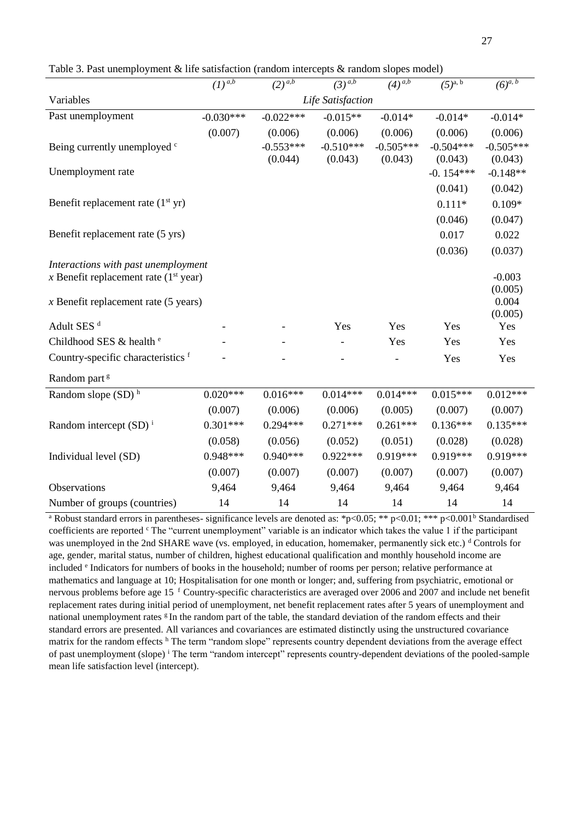Table 3. Past unemployment & life satisfaction (random intercepts & random slopes model)

|                                         | $\overline{(1)^{a,b}}$ | $(2)^{\overline{a,b}}$ | $(3)^{\overline{a,b}}$ | $(4)^{\overline{a,b}}$ | $(5)^{a, b}$ | $(6)^{a, b}$     |  |  |  |
|-----------------------------------------|------------------------|------------------------|------------------------|------------------------|--------------|------------------|--|--|--|
| Variables                               |                        |                        | Life Satisfaction      |                        |              |                  |  |  |  |
| Past unemployment                       | $-0.030***$            | $-0.022***$            | $-0.015**$             | $-0.014*$              | $-0.014*$    | $-0.014*$        |  |  |  |
|                                         | (0.007)                | (0.006)                | (0.006)                | (0.006)                | (0.006)      | (0.006)          |  |  |  |
| Being currently unemployed c            |                        | $-0.553***$            | $-0.510***$            | $-0.505***$            | $-0.504***$  | $-0.505***$      |  |  |  |
|                                         |                        | (0.044)                | (0.043)                | (0.043)                | (0.043)      | (0.043)          |  |  |  |
| Unemployment rate                       |                        |                        |                        |                        | $-0.154***$  | $-0.148**$       |  |  |  |
|                                         |                        |                        |                        |                        | (0.041)      | (0.042)          |  |  |  |
| Benefit replacement rate $(1st yr)$     |                        |                        |                        |                        | $0.111*$     | $0.109*$         |  |  |  |
|                                         |                        |                        |                        |                        | (0.046)      | (0.047)          |  |  |  |
| Benefit replacement rate (5 yrs)        |                        |                        |                        |                        | 0.017        | 0.022            |  |  |  |
|                                         |                        |                        |                        |                        | (0.036)      | (0.037)          |  |  |  |
| Interactions with past unemployment     |                        |                        |                        |                        |              |                  |  |  |  |
| x Benefit replacement rate $(1st year)$ |                        |                        |                        |                        |              | $-0.003$         |  |  |  |
| $x$ Benefit replacement rate (5 years)  |                        |                        |                        |                        |              | (0.005)<br>0.004 |  |  |  |
|                                         |                        |                        |                        |                        |              | (0.005)          |  |  |  |
| Adult SES <sup>d</sup>                  |                        |                        | Yes                    | Yes                    | Yes          | Yes              |  |  |  |
| Childhood SES & health <sup>e</sup>     |                        |                        |                        | Yes                    | Yes          | Yes              |  |  |  |
| Country-specific characteristics f      |                        |                        |                        |                        | Yes          | Yes              |  |  |  |
| Random part <sup>g</sup>                |                        |                        |                        |                        |              |                  |  |  |  |
| Random slope (SD) <sup>h</sup>          | $0.020***$             | $0.016***$             | $0.014***$             | $0.014***$             | $0.015***$   | $0.012***$       |  |  |  |
|                                         | (0.007)                | (0.006)                | (0.006)                | (0.005)                | (0.007)      | (0.007)          |  |  |  |
| Random intercept $(SD)^{i}$             | $0.301***$             | $0.294***$             | $0.271***$             | $0.261***$             | $0.136***$   | $0.135***$       |  |  |  |
|                                         | (0.058)                | (0.056)                | (0.052)                | (0.051)                | (0.028)      | (0.028)          |  |  |  |
| Individual level (SD)                   | $0.948***$             | $0.940***$             | $0.922***$             | $0.919***$             | $0.919***$   | $0.919***$       |  |  |  |
|                                         | (0.007)                | (0.007)                | (0.007)                | (0.007)                | (0.007)      | (0.007)          |  |  |  |
| Observations                            | 9,464                  | 9,464                  | 9,464                  | 9,464                  | 9,464        | 9,464            |  |  |  |
| Number of groups (countries)            | 14                     | 14                     | 14                     | 14                     | 14           | 14               |  |  |  |

<sup>a</sup> Robust standard errors in parentheses- significance levels are denoted as: \*p<0.05; \*\* p<0.01; \*\*\* p<0.001<sup>b</sup> Standardised coefficients are reported  $\text{c}$ . The "current unemployment" variable is an indicator which takes the value 1 if the participant was unemployed in the 2nd SHARE wave (vs. employed, in education, homemaker, permanently sick etc.) <sup>d</sup> Controls for age, gender, marital status, number of children, highest educational qualification and monthly household income are included <sup>e</sup> Indicators for numbers of books in the household; number of rooms per person; relative performance at mathematics and language at 10; Hospitalisation for one month or longer; and, suffering from psychiatric, emotional or nervous problems before age 15<sup>f</sup> Country-specific characteristics are averaged over 2006 and 2007 and include net benefit replacement rates during initial period of unemployment, net benefit replacement rates after 5 years of unemployment and national unemployment rates  $g$  In the random part of the table, the standard deviation of the random effects and their standard errors are presented. All variances and covariances are estimated distinctly using the unstructured covariance matrix for the random effects h The term "random slope" represents country dependent deviations from the average effect of past unemployment (slope) <sup>i</sup> Τhe term "random intercept" represents country-dependent deviations of the pooled-sample mean life satisfaction level (intercept).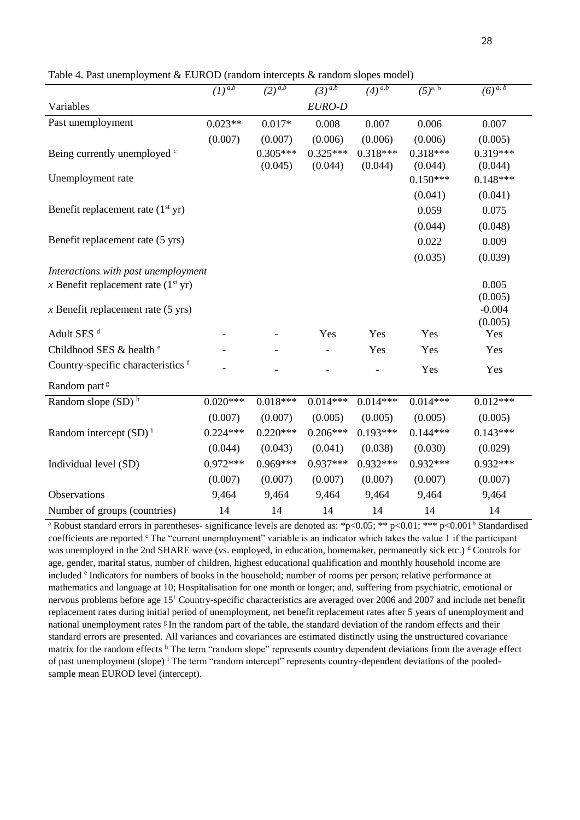| Table 4. Past unemployment & EUROD (random intercepts $\&$ random slopes model) |  |  |
|---------------------------------------------------------------------------------|--|--|
|                                                                                 |  |  |

|                                       | $\overline{(1)^{a,b}}$              | $(2)^{\overline{a,b}}$ | $\left(3\right)^{\overline{a,b}}$ | $\sqrt{4}$ <sup>a,b</sup> | $(5)^{a, b}$ | $(6)^{a, b}$        |  |  |  |  |
|---------------------------------------|-------------------------------------|------------------------|-----------------------------------|---------------------------|--------------|---------------------|--|--|--|--|
| Variables                             |                                     |                        | EURO-D                            |                           |              |                     |  |  |  |  |
| Past unemployment                     | $0.023**$                           | $0.017*$               | 0.008                             | 0.007                     | 0.006        | 0.007               |  |  |  |  |
|                                       | (0.007)                             | (0.007)                | (0.006)                           | (0.006)                   | (0.006)      | (0.005)             |  |  |  |  |
| Being currently unemployed c          |                                     | $0.305***$             | $0.325***$                        | $0.318***$                | $0.318***$   | $0.319***$          |  |  |  |  |
|                                       |                                     | (0.045)                | (0.044)                           | (0.044)                   | (0.044)      | (0.044)             |  |  |  |  |
| Unemployment rate                     |                                     |                        |                                   |                           | $0.150***$   | $0.148***$          |  |  |  |  |
|                                       |                                     |                        |                                   |                           | (0.041)      | (0.041)             |  |  |  |  |
| Benefit replacement rate $(1st yr)$   |                                     |                        |                                   |                           | 0.059        | 0.075               |  |  |  |  |
|                                       |                                     |                        |                                   |                           | (0.044)      | (0.048)             |  |  |  |  |
| Benefit replacement rate (5 yrs)      |                                     |                        |                                   |                           | 0.022        | 0.009               |  |  |  |  |
|                                       |                                     |                        |                                   |                           | (0.035)      | (0.039)             |  |  |  |  |
|                                       | Interactions with past unemployment |                        |                                   |                           |              |                     |  |  |  |  |
| x Benefit replacement rate $(1st yr)$ |                                     |                        |                                   |                           |              | 0.005               |  |  |  |  |
|                                       |                                     |                        |                                   |                           |              | (0.005)             |  |  |  |  |
| $x$ Benefit replacement rate (5 yrs)  |                                     |                        |                                   |                           |              | $-0.004$<br>(0.005) |  |  |  |  |
| Adult SES <sup>d</sup>                |                                     |                        | Yes                               | Yes                       | Yes          | Yes                 |  |  |  |  |
| Childhood SES & health <sup>e</sup>   |                                     |                        |                                   | Yes                       | Yes          | Yes                 |  |  |  |  |
| Country-specific characteristics f    |                                     |                        |                                   |                           |              |                     |  |  |  |  |
|                                       |                                     |                        |                                   |                           | Yes          | Yes                 |  |  |  |  |
| Random part <sup>g</sup>              |                                     |                        |                                   |                           |              |                     |  |  |  |  |
| Random slope $(SD)$ <sup>h</sup>      | $0.020***$                          | $0.018***$             | $0.014***$                        | $0.014***$                | $0.014***$   | $0.012***$          |  |  |  |  |
|                                       | (0.007)                             | (0.007)                | (0.005)                           | (0.005)                   | (0.005)      | (0.005)             |  |  |  |  |
| Random intercept $(SD)^{i}$           | $0.224***$                          | $0.220***$             | $0.206***$                        | $0.193***$                | $0.144***$   | $0.143***$          |  |  |  |  |
|                                       | (0.044)                             | (0.043)                | (0.041)                           | (0.038)                   | (0.030)      | (0.029)             |  |  |  |  |
| Individual level (SD)                 | $0.972***$                          | $0.969***$             | $0.937***$                        | $0.932***$                | $0.932***$   | $0.932***$          |  |  |  |  |
|                                       | (0.007)                             | (0.007)                | (0.007)                           | (0.007)                   | (0.007)      | (0.007)             |  |  |  |  |
| Observations                          | 9,464                               | 9,464                  | 9,464                             | 9,464                     | 9,464        | 9,464               |  |  |  |  |
| Number of groups (countries)          | 14                                  | 14                     | 14                                | 14                        | 14           | 14                  |  |  |  |  |

<sup>a</sup> Robust standard errors in parentheses- significance levels are denoted as: \*p<0.05; \*\* p<0.01; \*\*\* p<0.001<sup>b</sup> Standardised coefficients are reported  $\text{c}$ . The "current unemployment" variable is an indicator which takes the value 1 if the participant was unemployed in the 2nd SHARE wave (vs. employed, in education, homemaker, permanently sick etc.) <sup>d</sup> Controls for age, gender, marital status, number of children, highest educational qualification and monthly household income are included <sup>e</sup> Indicators for numbers of books in the household; number of rooms per person; relative performance at mathematics and language at 10; Hospitalisation for one month or longer; and, suffering from psychiatric, emotional or nervous problems before age  $15<sup>f</sup>$  Country-specific characteristics are averaged over 2006 and 2007 and include net benefit replacement rates during initial period of unemployment, net benefit replacement rates after 5 years of unemployment and national unemployment rates  $\frac{g}{g}$  In the random part of the table, the standard deviation of the random effects and their standard errors are presented. All variances and covariances are estimated distinctly using the unstructured covariance matrix for the random effects <sup>h</sup> Τhe term "random slope" represents country dependent deviations from the average effect of past unemployment (slope) <sup>i</sup> Τhe term "random intercept" represents country-dependent deviations of the pooledsample mean EUROD level (intercept).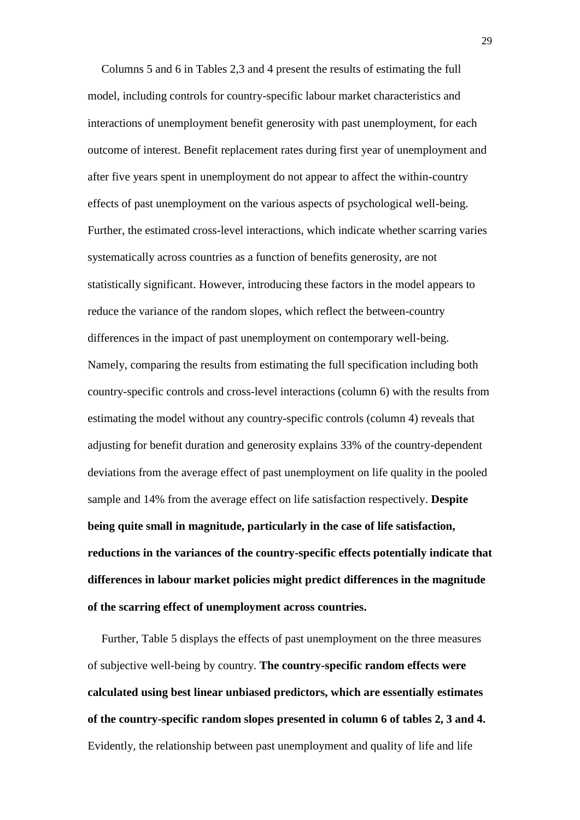Columns 5 and 6 in Tables 2,3 and 4 present the results of estimating the full model, including controls for country-specific labour market characteristics and interactions of unemployment benefit generosity with past unemployment, for each outcome of interest. Benefit replacement rates during first year of unemployment and after five years spent in unemployment do not appear to affect the within-country effects of past unemployment on the various aspects of psychological well-being. Further, the estimated cross-level interactions, which indicate whether scarring varies systematically across countries as a function of benefits generosity, are not statistically significant. However*,* introducing these factors in the model appears to reduce the variance of the random slopes, which reflect the between-country differences in the impact of past unemployment on contemporary well-being. Namely, comparing the results from estimating the full specification including both country-specific controls and cross-level interactions (column 6) with the results from estimating the model without any country-specific controls (column 4) reveals that adjusting for benefit duration and generosity explains 33% of the country-dependent deviations from the average effect of past unemployment on life quality in the pooled sample and 14% from the average effect on life satisfaction respectively. **Despite being quite small in magnitude, particularly in the case of life satisfaction, reductions in the variances of the country-specific effects potentially indicate that differences in labour market policies might predict differences in the magnitude of the scarring effect of unemployment across countries.**

Further, Table 5 displays the effects of past unemployment on the three measures of subjective well-being by country. **The country-specific random effects were calculated using best linear unbiased predictors, which are essentially estimates of the country-specific random slopes presented in column 6 of tables 2, 3 and 4.** Evidently, the relationship between past unemployment and quality of life and life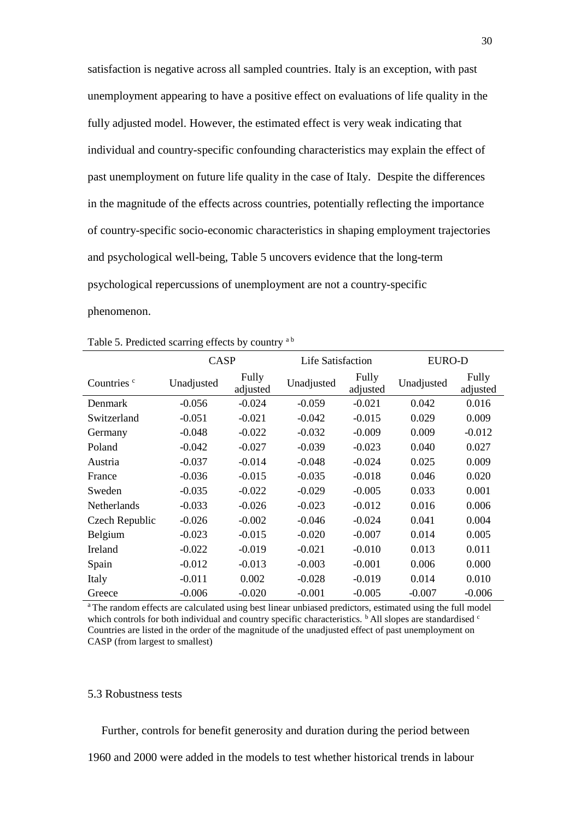satisfaction is negative across all sampled countries. Italy is an exception, with past unemployment appearing to have a positive effect on evaluations of life quality in the fully adjusted model. However, the estimated effect is very weak indicating that individual and country-specific confounding characteristics may explain the effect of past unemployment on future life quality in the case of Italy. Despite the differences in the magnitude of the effects across countries, potentially reflecting the importance of country-specific socio-economic characteristics in shaping employment trajectories and psychological well-being, Table 5 uncovers evidence that the long-term psychological repercussions of unemployment are not a country-specific phenomenon.

|                        | <b>CASP</b> |                   | Life Satisfaction |                   | <b>EURO-D</b> |                   |  |
|------------------------|-------------|-------------------|-------------------|-------------------|---------------|-------------------|--|
| Countries <sup>c</sup> | Unadjusted  | Fully<br>adjusted | Unadjusted        | Fully<br>adjusted | Unadjusted    | Fully<br>adjusted |  |
| Denmark                | $-0.056$    | $-0.024$          | $-0.059$          | $-0.021$          | 0.042         | 0.016             |  |
| Switzerland            | $-0.051$    | $-0.021$          | $-0.042$          | $-0.015$          | 0.029         | 0.009             |  |
| Germany                | $-0.048$    | $-0.022$          | $-0.032$          | $-0.009$          | 0.009         | $-0.012$          |  |
| Poland                 | $-0.042$    | $-0.027$          | $-0.039$          | $-0.023$          | 0.040         | 0.027             |  |
| Austria                | $-0.037$    | $-0.014$          | $-0.048$          | $-0.024$          | 0.025         | 0.009             |  |
| France                 | $-0.036$    | $-0.015$          | $-0.035$          | $-0.018$          | 0.046         | 0.020             |  |
| Sweden                 | $-0.035$    | $-0.022$          | $-0.029$          | $-0.005$          | 0.033         | 0.001             |  |
| <b>Netherlands</b>     | $-0.033$    | $-0.026$          | $-0.023$          | $-0.012$          | 0.016         | 0.006             |  |
| Czech Republic         | $-0.026$    | $-0.002$          | $-0.046$          | $-0.024$          | 0.041         | 0.004             |  |
| Belgium                | $-0.023$    | $-0.015$          | $-0.020$          | $-0.007$          | 0.014         | 0.005             |  |
| Ireland                | $-0.022$    | $-0.019$          | $-0.021$          | $-0.010$          | 0.013         | 0.011             |  |
| Spain                  | $-0.012$    | $-0.013$          | $-0.003$          | $-0.001$          | 0.006         | 0.000             |  |
| Italy                  | $-0.011$    | 0.002             | $-0.028$          | $-0.019$          | 0.014         | 0.010             |  |
| Greece                 | $-0.006$    | $-0.020$          | $-0.001$          | $-0.005$          | $-0.007$      | $-0.006$          |  |

| Table 5. Predicted scarring effects by country ab |  |  |  |
|---------------------------------------------------|--|--|--|
|                                                   |  |  |  |

<sup>a</sup>The random effects are calculated using best linear unbiased predictors, estimated using the full model which controls for both individual and country specific characteristics.  $\frac{b}{c}$  All slopes are standardised  $\frac{c}{c}$ Countries are listed in the order of the magnitude of the unadjusted effect of past unemployment on CASP (from largest to smallest)

## 5.3 Robustness tests

Further, controls for benefit generosity and duration during the period between

1960 and 2000 were added in the models to test whether historical trends in labour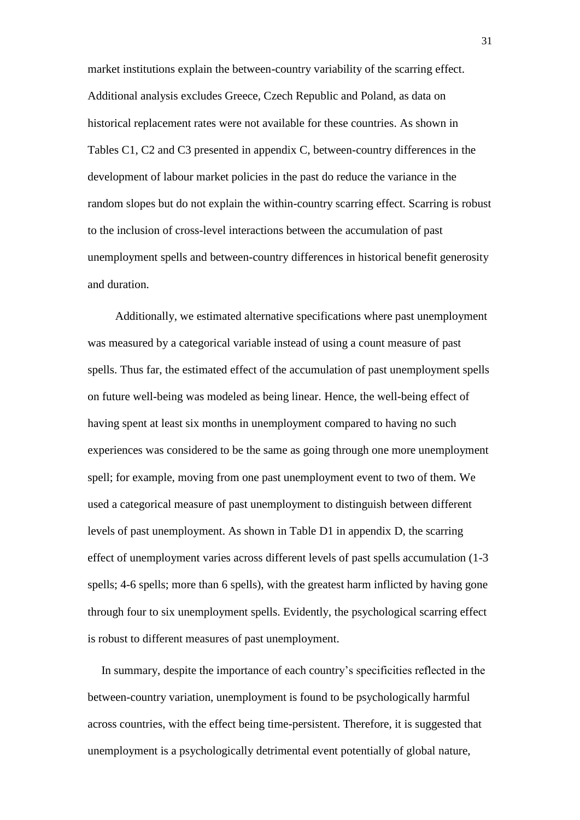market institutions explain the between-country variability of the scarring effect. Additional analysis excludes Greece, Czech Republic and Poland, as data on historical replacement rates were not available for these countries. As shown in Tables C1, C2 and C3 presented in appendix C, between-country differences in the development of labour market policies in the past do reduce the variance in the random slopes but do not explain the within-country scarring effect. Scarring is robust to the inclusion of cross-level interactions between the accumulation of past unemployment spells and between-country differences in historical benefit generosity and duration.

Additionally, we estimated alternative specifications where past unemployment was measured by a categorical variable instead of using a count measure of past spells. Thus far, the estimated effect of the accumulation of past unemployment spells on future well-being was modeled as being linear. Hence, the well-being effect of having spent at least six months in unemployment compared to having no such experiences was considered to be the same as going through one more unemployment spell; for example, moving from one past unemployment event to two of them. We used a categorical measure of past unemployment to distinguish between different levels of past unemployment. As shown in Table D1 in appendix D, the scarring effect of unemployment varies across different levels of past spells accumulation (1-3 spells; 4-6 spells; more than 6 spells), with the greatest harm inflicted by having gone through four to six unemployment spells. Evidently, the psychological scarring effect is robust to different measures of past unemployment.

In summary, despite the importance of each country's specificities reflected in the between-country variation, unemployment is found to be psychologically harmful across countries, with the effect being time-persistent. Therefore, it is suggested that unemployment is a psychologically detrimental event potentially of global nature,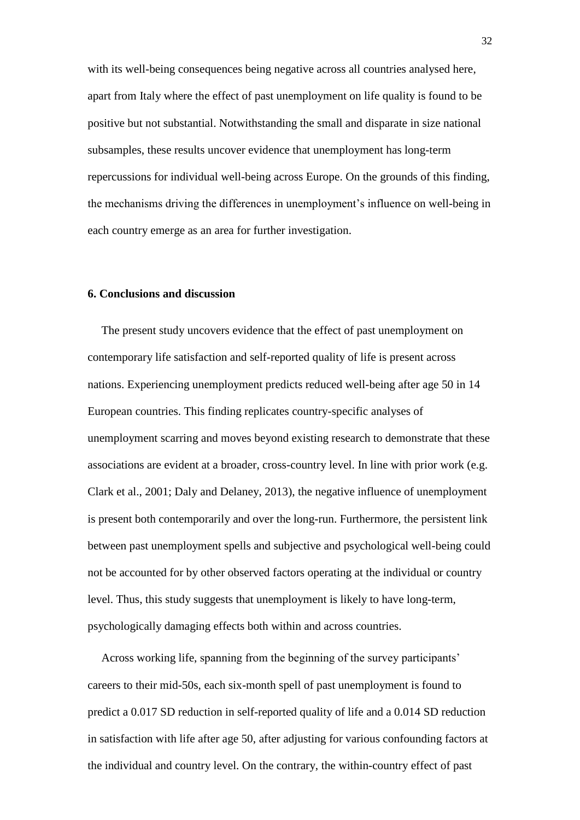with its well-being consequences being negative across all countries analysed here, apart from Italy where the effect of past unemployment on life quality is found to be positive but not substantial. Notwithstanding the small and disparate in size national subsamples, these results uncover evidence that unemployment has long-term repercussions for individual well-being across Europe. On the grounds of this finding, the mechanisms driving the differences in unemployment's influence on well-being in each country emerge as an area for further investigation.

# **6. Conclusions and discussion**

The present study uncovers evidence that the effect of past unemployment on contemporary life satisfaction and self-reported quality of life is present across nations. Experiencing unemployment predicts reduced well-being after age 50 in 14 European countries. This finding replicates country-specific analyses of unemployment scarring and moves beyond existing research to demonstrate that these associations are evident at a broader, cross-country level. In line with prior work (e.g. Clark et al., 2001; Daly and Delaney, 2013), the negative influence of unemployment is present both contemporarily and over the long-run. Furthermore, the persistent link between past unemployment spells and subjective and psychological well-being could not be accounted for by other observed factors operating at the individual or country level. Thus, this study suggests that unemployment is likely to have long-term, psychologically damaging effects both within and across countries.

Across working life, spanning from the beginning of the survey participants' careers to their mid-50s, each six-month spell of past unemployment is found to predict a 0.017 SD reduction in self-reported quality of life and a 0.014 SD reduction in satisfaction with life after age 50, after adjusting for various confounding factors at the individual and country level. On the contrary, the within-country effect of past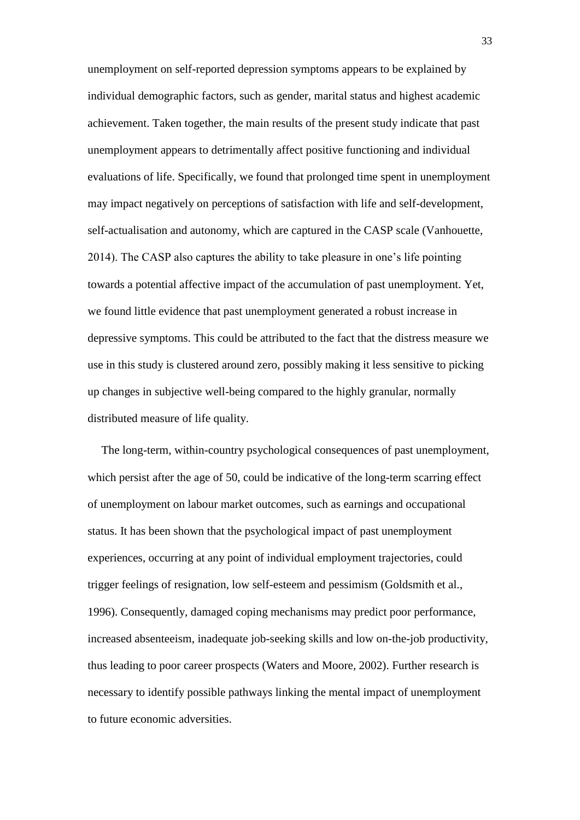unemployment on self-reported depression symptoms appears to be explained by individual demographic factors, such as gender, marital status and highest academic achievement. Taken together, the main results of the present study indicate that past unemployment appears to detrimentally affect positive functioning and individual evaluations of life. Specifically, we found that prolonged time spent in unemployment may impact negatively on perceptions of satisfaction with life and self-development, self-actualisation and autonomy, which are captured in the CASP scale (Vanhouette, 2014). The CASP also captures the ability to take pleasure in one's life pointing towards a potential affective impact of the accumulation of past unemployment. Yet, we found little evidence that past unemployment generated a robust increase in depressive symptoms. This could be attributed to the fact that the distress measure we use in this study is clustered around zero, possibly making it less sensitive to picking up changes in subjective well-being compared to the highly granular, normally distributed measure of life quality.

The long-term, within-country psychological consequences of past unemployment, which persist after the age of 50, could be indicative of the long-term scarring effect of unemployment on labour market outcomes, such as earnings and occupational status. It has been shown that the psychological impact of past unemployment experiences, occurring at any point of individual employment trajectories, could trigger feelings of resignation, low self-esteem and pessimism (Goldsmith et al., 1996). Consequently, damaged coping mechanisms may predict poor performance, increased absenteeism, inadequate job-seeking skills and low on-the-job productivity, thus leading to poor career prospects (Waters and Moore, 2002). Further research is necessary to identify possible pathways linking the mental impact of unemployment to future economic adversities.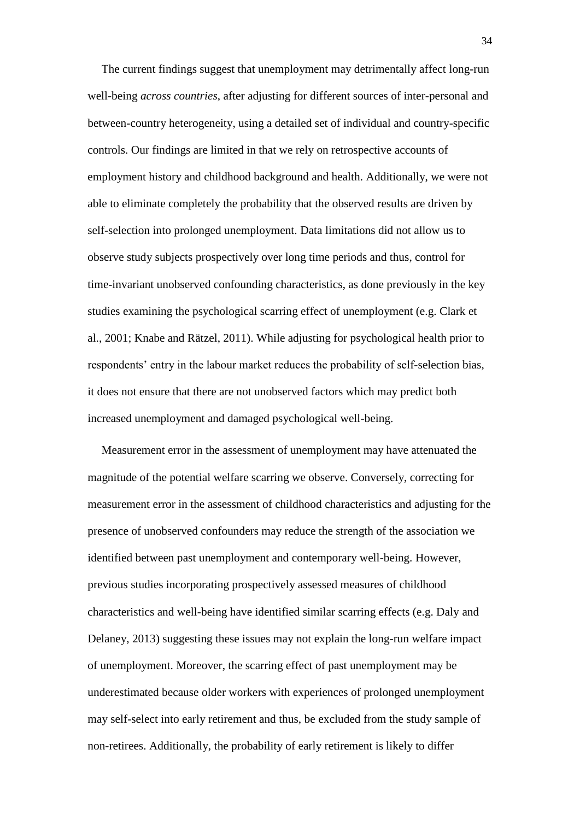Τhe current findings suggest that unemployment may detrimentally affect long-run well-being *across countries*, after adjusting for different sources of inter-personal and between-country heterogeneity, using a detailed set of individual and country-specific controls. Our findings are limited in that we rely on retrospective accounts of employment history and childhood background and health. Additionally, we were not able to eliminate completely the probability that the observed results are driven by self-selection into prolonged unemployment. Data limitations did not allow us to observe study subjects prospectively over long time periods and thus, control for time-invariant unobserved confounding characteristics, as done previously in the key studies examining the psychological scarring effect of unemployment (e.g. Clark et al., 2001; Knabe and Rätzel, 2011). While adjusting for psychological health prior to respondents' entry in the labour market reduces the probability of self-selection bias, it does not ensure that there are not unobserved factors which may predict both increased unemployment and damaged psychological well-being.

Measurement error in the assessment of unemployment may have attenuated the magnitude of the potential welfare scarring we observe. Conversely, correcting for measurement error in the assessment of childhood characteristics and adjusting for the presence of unobserved confounders may reduce the strength of the association we identified between past unemployment and contemporary well-being. However, previous studies incorporating prospectively assessed measures of childhood characteristics and well-being have identified similar scarring effects (e.g. Daly and Delaney, 2013) suggesting these issues may not explain the long-run welfare impact of unemployment. Moreover, the scarring effect of past unemployment may be underestimated because older workers with experiences of prolonged unemployment may self-select into early retirement and thus, be excluded from the study sample of non-retirees. Additionally, the probability of early retirement is likely to differ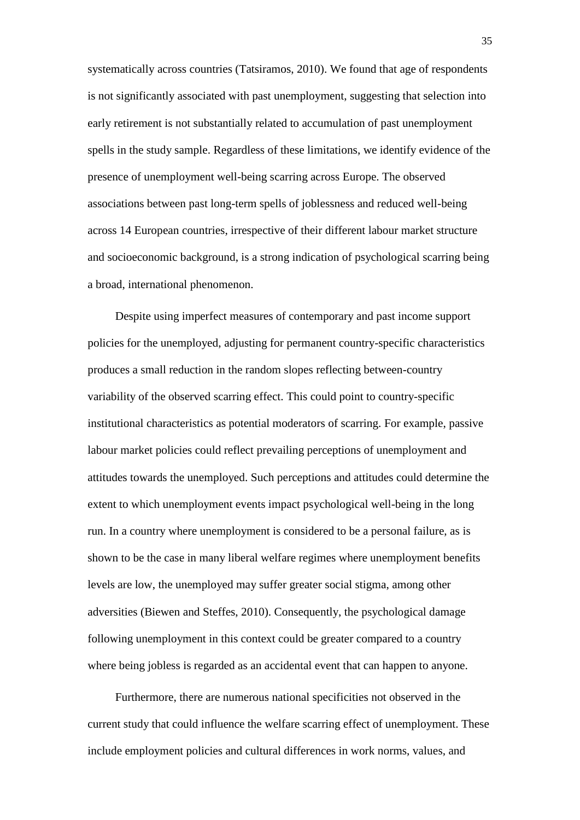systematically across countries (Tatsiramos, 2010). We found that age of respondents is not significantly associated with past unemployment, suggesting that selection into early retirement is not substantially related to accumulation of past unemployment spells in the study sample. Regardless of these limitations, we identify evidence of the presence of unemployment well-being scarring across Europe. The observed associations between past long-term spells of joblessness and reduced well-being across 14 European countries, irrespective of their different labour market structure and socioeconomic background, is a strong indication of psychological scarring being a broad, international phenomenon.

Despite using imperfect measures of contemporary and past income support policies for the unemployed, adjusting for permanent country-specific characteristics produces a small reduction in the random slopes reflecting between-country variability of the observed scarring effect. This could point to country-specific institutional characteristics as potential moderators of scarring. For example, passive labour market policies could reflect prevailing perceptions of unemployment and attitudes towards the unemployed. Such perceptions and attitudes could determine the extent to which unemployment events impact psychological well-being in the long run. In a country where unemployment is considered to be a personal failure, as is shown to be the case in many liberal welfare regimes where unemployment benefits levels are low, the unemployed may suffer greater social stigma, among other adversities (Biewen and Steffes, 2010). Consequently, the psychological damage following unemployment in this context could be greater compared to a country where being jobless is regarded as an accidental event that can happen to anyone.

Furthermore, there are numerous national specificities not observed in the current study that could influence the welfare scarring effect of unemployment. These include employment policies and cultural differences in work norms, values, and

35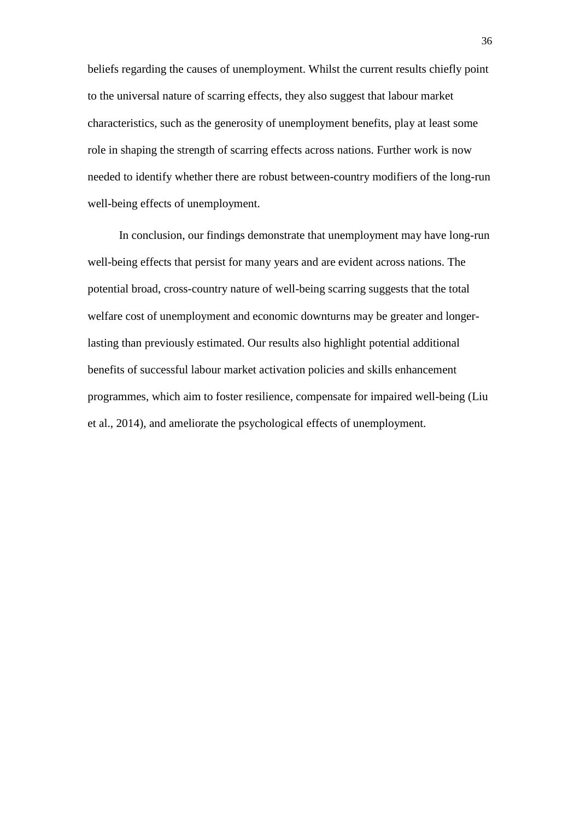beliefs regarding the causes of unemployment. Whilst the current results chiefly point to the universal nature of scarring effects, they also suggest that labour market characteristics, such as the generosity of unemployment benefits, play at least some role in shaping the strength of scarring effects across nations. Further work is now needed to identify whether there are robust between-country modifiers of the long-run well-being effects of unemployment.

 In conclusion, our findings demonstrate that unemployment may have long-run well-being effects that persist for many years and are evident across nations. The potential broad, cross-country nature of well-being scarring suggests that the total welfare cost of unemployment and economic downturns may be greater and longerlasting than previously estimated. Our results also highlight potential additional benefits of successful labour market activation policies and skills enhancement programmes, which aim to foster resilience, compensate for impaired well-being (Liu et al., 2014), and ameliorate the psychological effects of unemployment.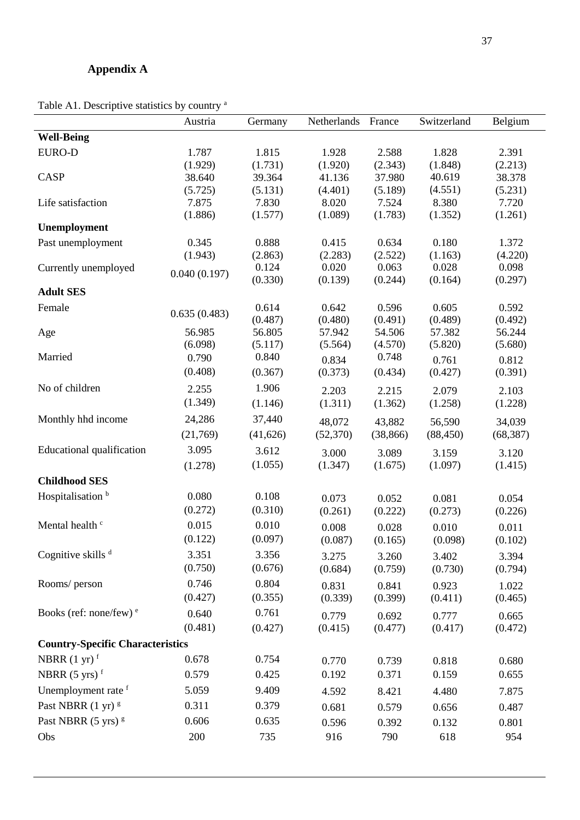# **Appendix A**

Table A1. Descriptive statistics by country <sup>a</sup>

|                                         | Austria      | Germany           | Netherlands       | France            | Switzerland       | Belgium           |
|-----------------------------------------|--------------|-------------------|-------------------|-------------------|-------------------|-------------------|
| <b>Well-Being</b>                       |              |                   |                   |                   |                   |                   |
| <b>EURO-D</b>                           | 1.787        | 1.815             | 1.928             | 2.588             | 1.828             | 2.391             |
|                                         | (1.929)      | (1.731)           | (1.920)           | (2.343)           | (1.848)           | (2.213)           |
| CASP                                    | 38.640       | 39.364            | 41.136            | 37.980            | 40.619            | 38.378            |
|                                         | (5.725)      | (5.131)           | (4.401)           | (5.189)           | (4.551)           | (5.231)           |
| Life satisfaction                       | 7.875        | 7.830             | 8.020             | 7.524             | 8.380             | 7.720             |
| Unemployment                            | (1.886)      | (1.577)           | (1.089)           | (1.783)           | (1.352)           | (1.261)           |
| Past unemployment                       | 0.345        | 0.888             | 0.415             | 0.634             | 0.180             | 1.372             |
|                                         | (1.943)      | (2.863)           | (2.283)           | (2.522)           | (1.163)           | (4.220)           |
| Currently unemployed                    | 0.040(0.197) | 0.124             | 0.020             | 0.063             | 0.028             | 0.098             |
|                                         |              | (0.330)           | (0.139)           | (0.244)           | (0.164)           | (0.297)           |
| <b>Adult SES</b>                        |              |                   |                   |                   |                   |                   |
| Female                                  | 0.635(0.483) | 0.614             | 0.642             | 0.596             | 0.605             | 0.592             |
|                                         | 56.985       | (0.487)<br>56.805 | (0.480)<br>57.942 | (0.491)<br>54.506 | (0.489)<br>57.382 | (0.492)<br>56.244 |
| Age                                     | (6.098)      | (5.117)           | (5.564)           | (4.570)           | (5.820)           | (5.680)           |
| Married                                 | 0.790        | 0.840             | 0.834             | 0.748             | 0.761             | 0.812             |
|                                         | (0.408)      | (0.367)           | (0.373)           | (0.434)           | (0.427)           | (0.391)           |
| No of children                          | 2.255        | 1.906             | 2.203             | 2.215             | 2.079             | 2.103             |
|                                         | (1.349)      | (1.146)           | (1.311)           | (1.362)           | (1.258)           | (1.228)           |
| Monthly hhd income                      | 24,286       | 37,440            | 48,072            | 43,882            | 56,590            | 34,039            |
|                                         | (21,769)     | (41, 626)         | (52, 370)         | (38, 866)         | (88, 450)         | (68, 387)         |
| <b>Educational qualification</b>        | 3.095        | 3.612             | 3.000             | 3.089             | 3.159             | 3.120             |
|                                         | (1.278)      | (1.055)           | (1.347)           | (1.675)           | (1.097)           | (1.415)           |
| <b>Childhood SES</b>                    |              |                   |                   |                   |                   |                   |
| Hospitalisation <sup>b</sup>            | 0.080        | 0.108             | 0.073             | 0.052             | 0.081             | 0.054             |
|                                         | (0.272)      | (0.310)           | (0.261)           | (0.222)           | (0.273)           | (0.226)           |
| Mental health <sup>c</sup>              | 0.015        | 0.010             | 0.008             | 0.028             | 0.010             | 0.011             |
|                                         | (0.122)      | (0.097)           | (0.087)           | (0.165)           | (0.098)           | (0.102)           |
| Cognitive skills <sup>d</sup>           | 3.351        | 3.356             | 3.275             | 3.260             | 3.402             | 3.394             |
|                                         | (0.750)      | (0.676)           | (0.684)           | (0.759)           | (0.730)           | (0.794)           |
| Rooms/ person                           | 0.746        | 0.804             | 0.831             | 0.841             | 0.923             | 1.022             |
|                                         | (0.427)      | (0.355)           | (0.339)           | (0.399)           | (0.411)           | (0.465)           |
| Books (ref: none/few) $e$               | 0.640        | 0.761             | 0.779             | 0.692             | 0.777             | 0.665             |
|                                         | (0.481)      | (0.427)           | (0.415)           | (0.477)           | (0.417)           | (0.472)           |
| <b>Country-Specific Characteristics</b> |              |                   |                   |                   |                   |                   |
| NBRR $(1 \text{ yr})$ <sup>f</sup>      | 0.678        | 0.754             | 0.770             | 0.739             | 0.818             | 0.680             |
| NBRR $(5 \text{ yrs})$ <sup>f</sup>     | 0.579        | 0.425             | 0.192             | 0.371             | 0.159             | 0.655             |
| Unemployment rate f                     | 5.059        | 9.409             | 4.592             | 8.421             | 4.480             | 7.875             |
| Past NBRR $(1 \text{ yr})$ <sup>g</sup> | 0.311        | 0.379             | 0.681             | 0.579             | 0.656             | 0.487             |
| Past NBRR (5 yrs) <sup>g</sup>          | 0.606        | 0.635             | 0.596             | 0.392             | 0.132             | 0.801             |
| Obs                                     | 200          | 735               | 916               | 790               | 618               | 954               |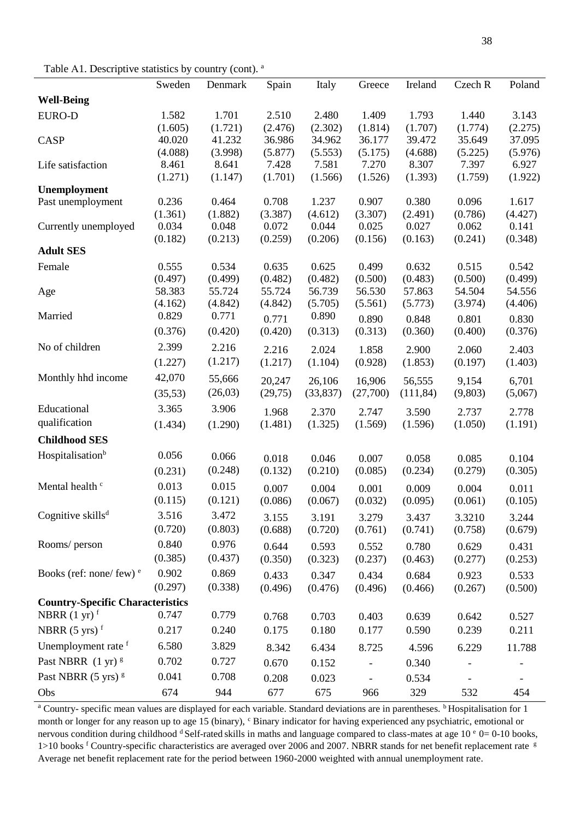Table A1. Descriptive statistics by country (cont). a

|                                          | Sweden           | Denmark          | Spain            | Italy            | Greece           | Ireland          | Czech R          | Poland           |
|------------------------------------------|------------------|------------------|------------------|------------------|------------------|------------------|------------------|------------------|
| <b>Well-Being</b>                        |                  |                  |                  |                  |                  |                  |                  |                  |
| <b>EURO-D</b>                            | 1.582            | 1.701            | 2.510            | 2.480            | 1.409            | 1.793            | 1.440            | 3.143            |
|                                          | (1.605)          | (1.721)          | (2.476)          | (2.302)          | (1.814)          | (1.707)          | (1.774)          | (2.275)          |
| <b>CASP</b>                              | 40.020           | 41.232           | 36.986           | 34.962           | 36.177           | 39.472           | 35.649           | 37.095           |
|                                          | (4.088)          | (3.998)          | (5.877)          | (5.553)          | (5.175)          | (4.688)          | (5.225)          | (5.976)          |
| Life satisfaction                        | 8.461            | 8.641            | 7.428            | 7.581            | 7.270            | 8.307            | 7.397            | 6.927            |
|                                          | (1.271)          | (1.147)          | (1.701)          | (1.566)          | (1.526)          | (1.393)          | (1.759)          | (1.922)          |
| Unemployment                             |                  |                  |                  |                  |                  |                  |                  |                  |
| Past unemployment                        | 0.236            | 0.464            | 0.708            | 1.237            | 0.907            | 0.380            | 0.096<br>(0.786) | 1.617            |
| Currently unemployed                     | (1.361)<br>0.034 | (1.882)<br>0.048 | (3.387)<br>0.072 | (4.612)<br>0.044 | (3.307)<br>0.025 | (2.491)<br>0.027 | 0.062            | (4.427)<br>0.141 |
|                                          | (0.182)          | (0.213)          | (0.259)          | (0.206)          | (0.156)          | (0.163)          | (0.241)          | (0.348)          |
| <b>Adult SES</b>                         |                  |                  |                  |                  |                  |                  |                  |                  |
| Female                                   | 0.555            | 0.534            | 0.635            | 0.625            | 0.499            | 0.632            | 0.515            | 0.542            |
|                                          | (0.497)          | (0.499)          | (0.482)          | (0.482)          | (0.500)          | (0.483)          | (0.500)          | (0.499)          |
| Age                                      | 58.383           | 55.724           | 55.724           | 56.739           | 56.530           | 57.863           | 54.504           | 54.556           |
|                                          | (4.162)          | (4.842)          | (4.842)          | (5.705)          | (5.561)          | (5.773)          | (3.974)          | (4.406)          |
| Married                                  | 0.829            | 0.771            | 0.771            | 0.890            |                  | 0.848            |                  |                  |
|                                          | (0.376)          |                  | (0.420)          | (0.313)          | 0.890<br>(0.313) | (0.360)          | 0.801<br>(0.400) | 0.830<br>(0.376) |
|                                          |                  | (0.420)          |                  |                  |                  |                  |                  |                  |
| No of children                           | 2.399            | 2.216            | 2.216            | 2.024            | 1.858            | 2.900            | 2.060            | 2.403            |
|                                          | (1.227)          | (1.217)          | (1.217)          | (1.104)          | (0.928)          | (1.853)          | (0.197)          | (1.403)          |
| Monthly hhd income                       | 42,070           | 55,666           | 20,247           | 26,106           | 16,906           | 56,555           | 9,154            | 6,701            |
|                                          | (35,53)          | (26,03)          | (29,75)          | (33, 837)        | (27,700)         | (111, 84)        | (9,803)          | (5,067)          |
| Educational                              | 3.365            | 3.906            | 1.968            | 2.370            | 2.747            | 3.590            | 2.737            | 2.778            |
| qualification                            | (1.434)          | (1.290)          | (1.481)          | (1.325)          | (1.569)          | (1.596)          | (1.050)          | (1.191)          |
| <b>Childhood SES</b>                     |                  |                  |                  |                  |                  |                  |                  |                  |
|                                          |                  |                  |                  |                  |                  |                  |                  |                  |
| Hospitalisation <sup>b</sup>             | 0.056            | 0.066            | 0.018            | 0.046            | 0.007            | 0.058            | 0.085            | 0.104            |
|                                          | (0.231)          | (0.248)          | (0.132)          | (0.210)          | (0.085)          | (0.234)          | (0.279)          | (0.305)          |
| Mental health <sup>c</sup>               | 0.013            | 0.015            | 0.007            | 0.004            | 0.001            | 0.009            | 0.004            | 0.011            |
|                                          | (0.115)          | (0.121)          | (0.086)          | (0.067)          | (0.032)          | (0.095)          | (0.061)          | (0.105)          |
| Cognitive skills <sup>d</sup>            | 3.516            | 3.472            | 3.155            | 3.191            | 3.279            | 3.437            | 3.3210           | 3.244            |
|                                          | (0.720)          | (0.803)          | (0.688)          | (0.720)          | (0.761)          | (0.741)          | (0.758)          | (0.679)          |
| Rooms/ person                            | 0.840            | 0.976            | 0.644            | 0.593            | 0.552            | 0.780            | 0.629            | 0.431            |
|                                          | (0.385)          | (0.437)          | (0.350)          | (0.323)          | (0.237)          | (0.463)          | (0.277)          | (0.253)          |
|                                          | 0.902            | 0.869            |                  |                  |                  |                  |                  |                  |
| Books (ref: none/ few) $e$               |                  |                  | 0.433            | 0.347            | 0.434            | 0.684            | 0.923            | 0.533            |
|                                          | (0.297)          | (0.338)          | (0.496)          | (0.476)          | (0.496)          | (0.466)          | (0.267)          | (0.500)          |
| <b>Country-Specific Characteristics</b>  |                  |                  |                  |                  |                  |                  |                  |                  |
| NBRR $(1 \text{ yr})$ <sup>f</sup>       | 0.747            | 0.779            | 0.768            | 0.703            | 0.403            | 0.639            | 0.642            | 0.527            |
| NBRR $(5 \text{ yrs})$ <sup>f</sup>      | 0.217            | 0.240            | 0.175            | 0.180            | 0.177            | 0.590            | 0.239            | 0.211            |
| Unemployment rate f                      | 6.580            | 3.829            | 8.342            | 6.434            | 8.725            | 4.596            | 6.229            | 11.788           |
| Past NBRR $(1 \text{ yr})$ <sup>g</sup>  | 0.702            | 0.727            | 0.670            | 0.152            |                  | 0.340            |                  |                  |
| Past NBRR $(5 \text{ yrs})$ <sup>g</sup> | 0.041            | 0.708            | 0.208            | 0.023            |                  | 0.534            |                  |                  |
| Obs                                      | 674              | 944              | 677              | 675              | 966              | 329              | 532              | 454              |
|                                          |                  |                  |                  |                  |                  |                  |                  |                  |

<sup>a</sup> Country- specific mean values are displayed for each variable. Standard deviations are in parentheses. <sup>b</sup>Hospitalisation for 1 month or longer for any reason up to age 15 (binary),  $c$  Binary indicator for having experienced any psychiatric, emotional or nervous condition during childhood <sup>d</sup> Self-rated skills in maths and language compared to class-mates at age 10  $^{\circ}$  0= 0-10 books, 1>10 books f Country-specific characteristics are averaged over 2006 and 2007. NBRR stands for net benefit replacement rate  $\frac{g}{g}$ Average net benefit replacement rate for the period between 1960-2000 weighted with annual unemployment rate.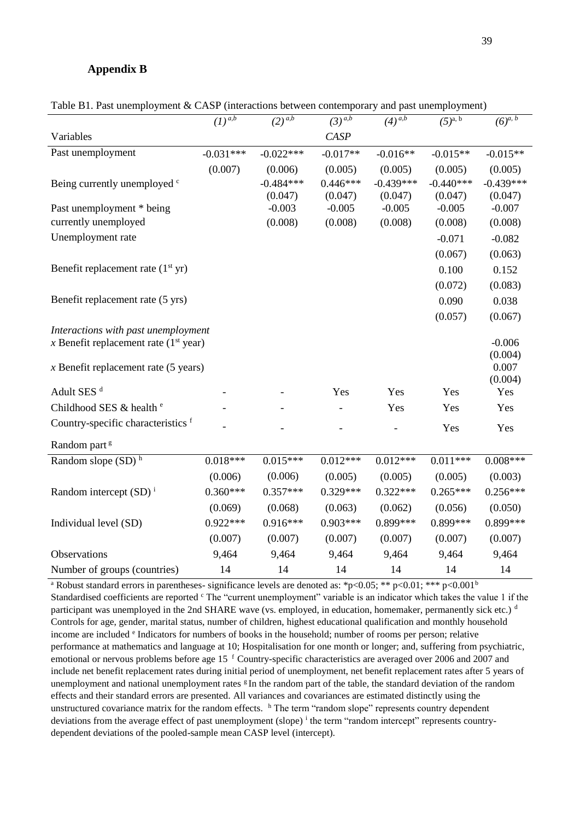## **Appendix B**

|                                         | $\overline{(1)^{a,b}}$ | $\sqrt{(2)^{a,b}}$ | $(3)^{\overline{a,b}}$ | $(4)^{\overline{a,b}}$ | $(5)^{a, b}$ | $(6)^{a, b}$     |
|-----------------------------------------|------------------------|--------------------|------------------------|------------------------|--------------|------------------|
| Variables                               |                        |                    | <b>CASP</b>            |                        |              |                  |
| Past unemployment                       | $-0.031***$            | $-0.022***$        | $-0.017**$             | $-0.016**$             | $-0.015**$   | $-0.015**$       |
|                                         | (0.007)                | (0.006)            | (0.005)                | (0.005)                | (0.005)      | (0.005)          |
| Being currently unemployed <sup>c</sup> |                        | $-0.484***$        | $0.446***$             | $-0.439***$            | $-0.440***$  | $-0.439***$      |
|                                         |                        | (0.047)            | (0.047)                | (0.047)                | (0.047)      | (0.047)          |
| Past unemployment * being               |                        | $-0.003$           | $-0.005$               | $-0.005$               | $-0.005$     | $-0.007$         |
| currently unemployed                    |                        | (0.008)            | (0.008)                | (0.008)                | (0.008)      | (0.008)          |
| Unemployment rate                       |                        |                    |                        |                        | $-0.071$     | $-0.082$         |
|                                         |                        |                    |                        |                        | (0.067)      | (0.063)          |
| Benefit replacement rate $(1st yr)$     |                        |                    |                        |                        | 0.100        | 0.152            |
|                                         |                        |                    |                        |                        | (0.072)      | (0.083)          |
| Benefit replacement rate (5 yrs)        |                        |                    |                        |                        | 0.090        | 0.038            |
|                                         |                        |                    |                        |                        | (0.057)      | (0.067)          |
| Interactions with past unemployment     |                        |                    |                        |                        |              |                  |
| x Benefit replacement rate $(1st$ year) |                        |                    |                        |                        |              | $-0.006$         |
|                                         |                        |                    |                        |                        |              | (0.004)          |
| $x$ Benefit replacement rate (5 years)  |                        |                    |                        |                        |              | 0.007<br>(0.004) |
| Adult SES <sup>d</sup>                  |                        |                    | Yes                    | Yes                    | Yes          | Yes              |
| Childhood SES & health <sup>e</sup>     |                        |                    |                        | Yes                    | Yes          | Yes              |
| Country-specific characteristics f      |                        |                    |                        |                        | Yes          | Yes              |
| Random part <sup>g</sup>                |                        |                    |                        |                        |              |                  |
| Random slope (SD) <sup>h</sup>          | $0.018***$             | $0.015***$         | $0.012***$             | $0.012***$             | $0.011***$   | $0.008***$       |
|                                         | (0.006)                | (0.006)            | (0.005)                | (0.005)                | (0.005)      | (0.003)          |
| Random intercept $(SD)^{i}$             | $0.360***$             | $0.357***$         | $0.329***$             | $0.322***$             | $0.265***$   | $0.256***$       |
|                                         | (0.069)                | (0.068)            | (0.063)                | (0.062)                | (0.056)      | (0.050)          |
| Individual level (SD)                   | $0.922***$             | $0.916***$         | $0.903***$             | 0.899***               | 0.899***     | 0.899***         |
|                                         | (0.007)                | (0.007)            | (0.007)                | (0.007)                | (0.007)      | (0.007)          |
| Observations                            | 9,464                  | 9,464              | 9,464                  | 9,464                  | 9,464        | 9,464            |
| Number of groups (countries)            | 14                     | 14                 | 14                     | 14                     | 14           | 14               |

Table B1. Past unemployment & CASP (interactions between contemporary and past unemployment)

<sup>a</sup> Robust standard errors in parentheses- significance levels are denoted as: \*p<0.05; \*\* p<0.01; \*\*\* p<0.001<sup>b</sup> Standardised coefficients are reported <sup>c</sup> The "current unemployment" variable is an indicator which takes the value 1 if the participant was unemployed in the 2nd SHARE wave (vs. employed, in education, homemaker, permanently sick etc.)  $\rm^d$ Controls for age, gender, marital status, number of children, highest educational qualification and monthly household income are included <sup>e</sup> Indicators for numbers of books in the household; number of rooms per person; relative performance at mathematics and language at 10; Hospitalisation for one month or longer; and, suffering from psychiatric, emotional or nervous problems before age 15 <sup>f</sup> Country-specific characteristics are averaged over 2006 and 2007 and include net benefit replacement rates during initial period of unemployment, net benefit replacement rates after 5 years of unemployment and national unemployment rates  $\mathcal{L}$  In the random part of the table, the standard deviation of the random effects and their standard errors are presented. All variances and covariances are estimated distinctly using the unstructured covariance matrix for the random effects. <sup>h</sup> The term "random slope" represents country dependent deviations from the average effect of past unemployment (slope) <sup>i</sup> the term "random intercept" represents countrydependent deviations of the pooled-sample mean CASP level (intercept).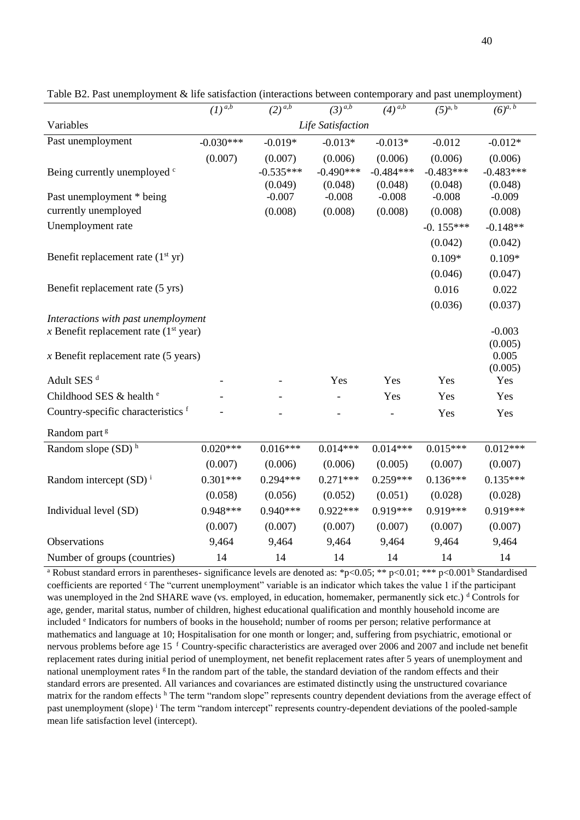|                                         | $\left(1\right)^{a,\overline{b}}$ | $(2)^{a,b}$ | $(3)^{\overline{a,b}}$   | $(4)^{a,b}$ | $(5)^{a, b}$ | $(6)^{a, b}$     |
|-----------------------------------------|-----------------------------------|-------------|--------------------------|-------------|--------------|------------------|
| Variables                               |                                   |             | Life Satisfaction        |             |              |                  |
| Past unemployment                       | $-0.030***$                       | $-0.019*$   | $-0.013*$                | $-0.013*$   | $-0.012$     | $-0.012*$        |
|                                         | (0.007)                           | (0.007)     | (0.006)                  | (0.006)     | (0.006)      | (0.006)          |
| Being currently unemployed <sup>c</sup> |                                   | $-0.535***$ | $-0.490***$              | $-0.484***$ | $-0.483***$  | $-0.483***$      |
|                                         |                                   | (0.049)     | (0.048)                  | (0.048)     | (0.048)      | (0.048)          |
| Past unemployment * being               |                                   | $-0.007$    | $-0.008$                 | $-0.008$    | $-0.008$     | $-0.009$         |
| currently unemployed                    |                                   | (0.008)     | (0.008)                  | (0.008)     | (0.008)      | (0.008)          |
| Unemployment rate                       |                                   |             |                          |             | $-0.155***$  | $-0.148**$       |
|                                         |                                   |             |                          |             | (0.042)      | (0.042)          |
| Benefit replacement rate $(1st yr)$     |                                   |             |                          |             | $0.109*$     | $0.109*$         |
|                                         |                                   |             |                          |             | (0.046)      | (0.047)          |
| Benefit replacement rate (5 yrs)        |                                   |             |                          |             | 0.016        | 0.022            |
|                                         |                                   |             |                          |             | (0.036)      | (0.037)          |
| Interactions with past unemployment     |                                   |             |                          |             |              |                  |
| x Benefit replacement rate $(1st year)$ |                                   |             |                          |             |              | $-0.003$         |
|                                         |                                   |             |                          |             |              | (0.005)<br>0.005 |
| $x$ Benefit replacement rate (5 years)  |                                   |             |                          |             |              | (0.005)          |
| Adult SES <sup>d</sup>                  |                                   |             | Yes                      | Yes         | Yes          | Yes              |
| Childhood SES & health <sup>e</sup>     |                                   |             | $\overline{\phantom{0}}$ | Yes         | Yes          | Yes              |
| Country-specific characteristics f      |                                   |             |                          |             | Yes          | Yes              |
| Random part <sup>g</sup>                |                                   |             |                          |             |              |                  |
| Random slope (SD) <sup>h</sup>          | $0.020***$                        | $0.016***$  | $0.014***$               | $0.014***$  | $0.015***$   | $0.012***$       |
|                                         | (0.007)                           | (0.006)     | (0.006)                  | (0.005)     | (0.007)      | (0.007)          |
| Random intercept $(SD)^{i}$             | $0.301***$                        | $0.294***$  | $0.271***$               | $0.259***$  | $0.136***$   | $0.135***$       |
|                                         | (0.058)                           | (0.056)     | (0.052)                  | (0.051)     | (0.028)      | (0.028)          |
| Individual level (SD)                   | $0.948***$                        | $0.940***$  | $0.922***$               | $0.919***$  | $0.919***$   | $0.919***$       |
|                                         | (0.007)                           | (0.007)     | (0.007)                  | (0.007)     | (0.007)      | (0.007)          |
| Observations                            | 9,464                             | 9,464       | 9,464                    | 9,464       | 9,464        | 9,464            |
| Number of groups (countries)            | 14                                | 14          | 14                       | 14          | 14           | 14               |

Table B2. Past unemployment & life satisfaction (interactions between contemporary and past unemployment)

<sup>a</sup> Robust standard errors in parentheses- significance levels are denoted as: \*p<0.05; \*\* p<0.01; \*\*\* p<0.001<sup>b</sup> Standardised coefficients are reported <sup>c</sup> The "current unemployment" variable is an indicator which takes the value 1 if the participant was unemployed in the 2nd SHARE wave (vs. employed, in education, homemaker, permanently sick etc.) <sup>d</sup> Controls for age, gender, marital status, number of children, highest educational qualification and monthly household income are included <sup>e</sup> Indicators for numbers of books in the household; number of rooms per person; relative performance at mathematics and language at 10; Hospitalisation for one month or longer; and, suffering from psychiatric, emotional or nervous problems before age 15<sup>f</sup> Country-specific characteristics are averaged over 2006 and 2007 and include net benefit replacement rates during initial period of unemployment, net benefit replacement rates after 5 years of unemployment and national unemployment rates <sup>g</sup>In the random part of the table, the standard deviation of the random effects and their standard errors are presented. All variances and covariances are estimated distinctly using the unstructured covariance matrix for the random effects <sup>h</sup> Τhe term "random slope" represents country dependent deviations from the average effect of past unemployment (slope) <sup>i</sup> The term "random intercept" represents country-dependent deviations of the pooled-sample mean life satisfaction level (intercept).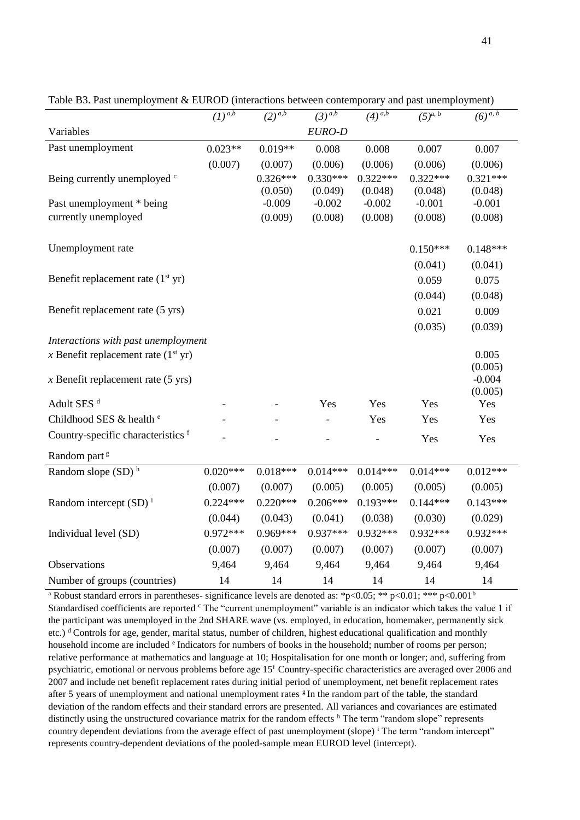|                                       | $(1)^{a,b}$ | $(2)^{a,b}$ | $(3)^{a,b}$ | $(4)^{a,b}$ | $(5)^{a, b}$ | $(6)^{a, b}$        |
|---------------------------------------|-------------|-------------|-------------|-------------|--------------|---------------------|
| Variables                             |             |             | EURO-D      |             |              |                     |
| Past unemployment                     | $0.023**$   | $0.019**$   | 0.008       | 0.008       | 0.007        | 0.007               |
|                                       | (0.007)     | (0.007)     | (0.006)     | (0.006)     | (0.006)      | (0.006)             |
| Being currently unemployed c          |             | $0.326***$  | $0.330***$  | $0.322***$  | $0.322***$   | $0.321***$          |
|                                       |             | (0.050)     | (0.049)     | (0.048)     | (0.048)      | (0.048)             |
| Past unemployment * being             |             | $-0.009$    | $-0.002$    | $-0.002$    | $-0.001$     | $-0.001$            |
| currently unemployed                  |             | (0.009)     | (0.008)     | (0.008)     | (0.008)      | (0.008)             |
| Unemployment rate                     |             |             |             |             | $0.150***$   | $0.148***$          |
|                                       |             |             |             |             | (0.041)      | (0.041)             |
| Benefit replacement rate $(1st yr)$   |             |             |             |             | 0.059        | 0.075               |
|                                       |             |             |             |             | (0.044)      | (0.048)             |
| Benefit replacement rate (5 yrs)      |             |             |             |             | 0.021        | 0.009               |
|                                       |             |             |             |             | (0.035)      | (0.039)             |
| Interactions with past unemployment   |             |             |             |             |              |                     |
| x Benefit replacement rate $(1st yr)$ |             |             |             |             |              | 0.005               |
|                                       |             |             |             |             |              | (0.005)             |
| $x$ Benefit replacement rate (5 yrs)  |             |             |             |             |              | $-0.004$<br>(0.005) |
| Adult SES <sup>d</sup>                |             |             | Yes         | Yes         | Yes          | Yes                 |
| Childhood SES & health <sup>e</sup>   |             |             |             | Yes         | Yes          | Yes                 |
| Country-specific characteristics f    |             |             |             |             | Yes          | Yes                 |
| Random part <sup>g</sup>              |             |             |             |             |              |                     |
| Random slope $(SD)$ <sup>h</sup>      | $0.020***$  | $0.018***$  | $0.014***$  | $0.014***$  | $0.014***$   | $0.012***$          |
|                                       | (0.007)     | (0.007)     | (0.005)     | (0.005)     | (0.005)      | (0.005)             |
| Random intercept $(SD)^{i}$           | $0.224***$  | $0.220***$  | $0.206***$  | $0.193***$  | $0.144***$   | $0.143***$          |
|                                       | (0.044)     | (0.043)     | (0.041)     | (0.038)     | (0.030)      | (0.029)             |
| Individual level (SD)                 | $0.972***$  | $0.969***$  | $0.937***$  | $0.932***$  | $0.932***$   | $0.932***$          |
|                                       | (0.007)     | (0.007)     | (0.007)     | (0.007)     | (0.007)      | (0.007)             |
| Observations                          | 9,464       | 9,464       | 9,464       | 9,464       | 9,464        | 9,464               |
| Number of groups (countries)          | 14          | 14          | 14          | 14          | 14           | 14                  |

Table B3. Past unemployment & EUROD (interactions between contemporary and past unemployment)

<sup>a</sup> Robust standard errors in parentheses- significance levels are denoted as: \*p<0.05; \*\* p<0.01; \*\*\* p<0.001<sup>b</sup> Standardised coefficients are reported <sup>c</sup> The "current unemployment" variable is an indicator which takes the value 1 if the participant was unemployed in the 2nd SHARE wave (vs. employed, in education, homemaker, permanently sick etc.)  $d$  Controls for age, gender, marital status, number of children, highest educational qualification and monthly household income are included <sup>e</sup> Indicators for numbers of books in the household; number of rooms per person; relative performance at mathematics and language at 10; Hospitalisation for one month or longer; and, suffering from psychiatric, emotional or nervous problems before age  $15<sup>f</sup>$  Country-specific characteristics are averaged over 2006 and 2007 and include net benefit replacement rates during initial period of unemployment, net benefit replacement rates after 5 years of unemployment and national unemployment rates  $\frac{1}{2}$  In the random part of the table, the standard deviation of the random effects and their standard errors are presented. All variances and covariances are estimated distinctly using the unstructured covariance matrix for the random effects <sup>h</sup> The term "random slope" represents country dependent deviations from the average effect of past unemployment (slope) <sup>i</sup> Τhe term "random intercept" represents country-dependent deviations of the pooled-sample mean EUROD level (intercept).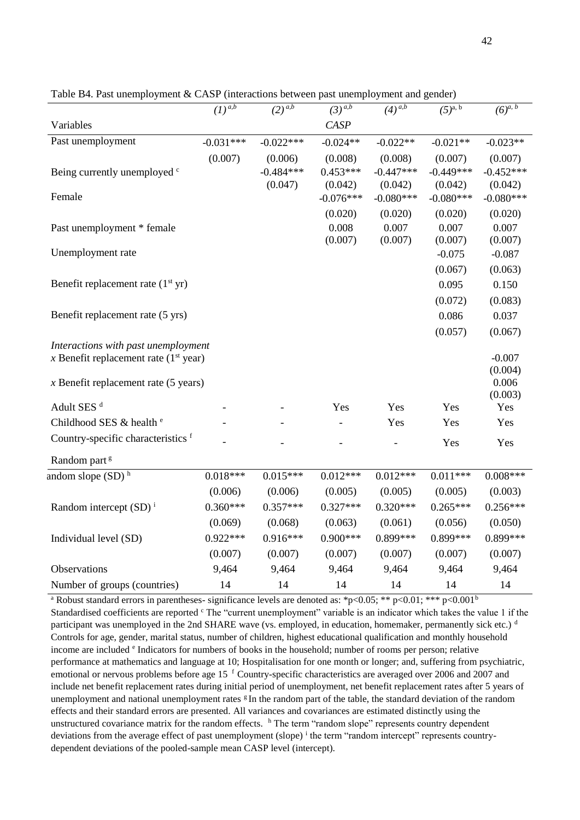|                                         | $\overline{(1)}^{\overline{a,b}}$ | $(2)^{\overline{a,b}}$ | $(3)^{a,b}$ | $(4)^{\overline{a,b}}$ | $(5)^{a, b}$ | $(6)^{\overline{a}, b}$ |
|-----------------------------------------|-----------------------------------|------------------------|-------------|------------------------|--------------|-------------------------|
| Variables                               |                                   |                        | CASP        |                        |              |                         |
| Past unemployment                       | $-0.031***$                       | $-0.022***$            | $-0.024**$  | $-0.022**$             | $-0.021**$   | $-0.023**$              |
|                                         | (0.007)                           | (0.006)                | (0.008)     | (0.008)                | (0.007)      | (0.007)                 |
| Being currently unemployed c            |                                   | $-0.484***$            | $0.453***$  | $-0.447***$            | $-0.449***$  | $-0.452***$             |
|                                         |                                   | (0.047)                | (0.042)     | (0.042)                | (0.042)      | (0.042)                 |
| Female                                  |                                   |                        | $-0.076***$ | $-0.080***$            | $-0.080***$  | $-0.080***$             |
|                                         |                                   |                        | (0.020)     | (0.020)                | (0.020)      | (0.020)                 |
| Past unemployment * female              |                                   |                        | 0.008       | 0.007                  | 0.007        | 0.007                   |
|                                         |                                   |                        | (0.007)     | (0.007)                | (0.007)      | (0.007)                 |
| Unemployment rate                       |                                   |                        |             |                        | $-0.075$     | $-0.087$                |
|                                         |                                   |                        |             |                        | (0.067)      | (0.063)                 |
| Benefit replacement rate $(1st yr)$     |                                   |                        |             |                        | 0.095        | 0.150                   |
|                                         |                                   |                        |             |                        | (0.072)      | (0.083)                 |
| Benefit replacement rate (5 yrs)        |                                   |                        |             |                        | 0.086        | 0.037                   |
|                                         |                                   |                        |             |                        | (0.057)      | (0.067)                 |
| Interactions with past unemployment     |                                   |                        |             |                        |              |                         |
| x Benefit replacement rate $(1st$ year) |                                   |                        |             |                        |              | $-0.007$                |
|                                         |                                   |                        |             |                        |              | (0.004)<br>0.006        |
| $x$ Benefit replacement rate (5 years)  |                                   |                        |             |                        |              | (0.003)                 |
| Adult SES <sup>d</sup>                  |                                   |                        | Yes         | Yes                    | Yes          | Yes                     |
| Childhood SES & health <sup>e</sup>     |                                   |                        |             | Yes                    | Yes          | Yes                     |
| Country-specific characteristics f      |                                   |                        |             |                        |              |                         |
|                                         |                                   |                        |             |                        | Yes          | Yes                     |
| Random part <sup>g</sup>                |                                   |                        |             |                        |              |                         |
| andom slope $(SD)$ <sup>h</sup>         | $0.018***$                        | $0.015***$             | $0.012***$  | $0.012***$             | $0.011***$   | $0.008***$              |
|                                         | (0.006)                           | (0.006)                | (0.005)     | (0.005)                | (0.005)      | (0.003)                 |
| Random intercept $(SD)^{i}$             | $0.360***$                        | $0.357***$             | $0.327***$  | $0.320***$             | $0.265***$   | $0.256***$              |
|                                         | (0.069)                           | (0.068)                | (0.063)     | (0.061)                | (0.056)      | (0.050)                 |
| Individual level (SD)                   | $0.922***$                        | $0.916***$             | $0.900***$  | 0.899***               | $0.899***$   | 0.899***                |
|                                         | (0.007)                           | (0.007)                | (0.007)     | (0.007)                | (0.007)      | (0.007)                 |
| Observations                            | 9,464                             | 9,464                  | 9,464       | 9,464                  | 9,464        | 9,464                   |
| Number of groups (countries)            | 14                                | 14                     | 14          | 14                     | 14           | 14                      |

Table B4. Past unemployment & CASP (interactions between past unemployment and gender)

<sup>a</sup> Robust standard errors in parentheses- significance levels are denoted as: \*p<0.05; \*\* p<0.01; \*\*\* p<0.001<sup>b</sup> Standardised coefficients are reported  $\text{c}$  The "current unemployment" variable is an indicator which takes the value 1 if the participant was unemployed in the 2nd SHARE wave (vs. employed, in education, homemaker, permanently sick etc.)  $\frac{d}{dx}$ Controls for age, gender, marital status, number of children, highest educational qualification and monthly household income are included <sup>e</sup> Indicators for numbers of books in the household; number of rooms per person; relative performance at mathematics and language at 10; Hospitalisation for one month or longer; and, suffering from psychiatric, emotional or nervous problems before age 15<sup>f</sup> Country-specific characteristics are averaged over 2006 and 2007 and include net benefit replacement rates during initial period of unemployment, net benefit replacement rates after 5 years of unemployment and national unemployment rates  $\epsilon$  In the random part of the table, the standard deviation of the random effects and their standard errors are presented. All variances and covariances are estimated distinctly using the unstructured covariance matrix for the random effects. <sup>h</sup> The term "random slope" represents country dependent deviations from the average effect of past unemployment (slope) <sup>i</sup> the term "random intercept" represents countrydependent deviations of the pooled-sample mean CASP level (intercept).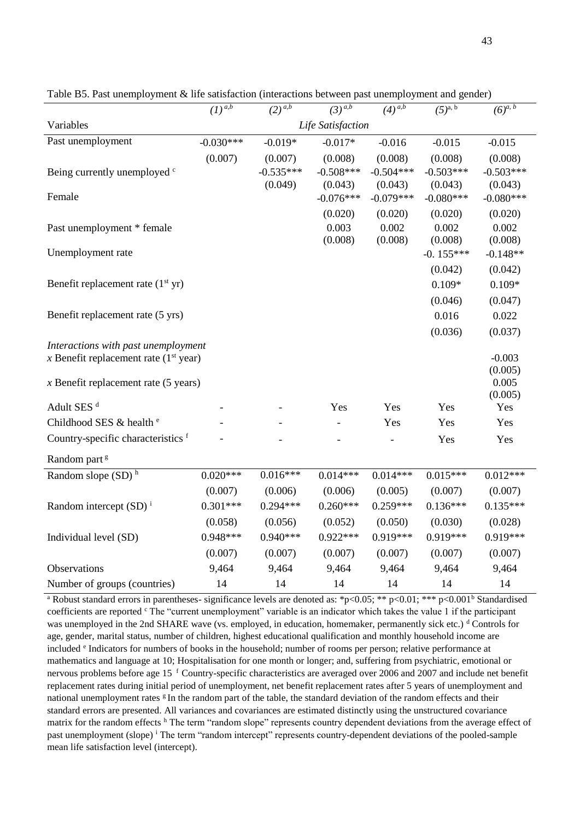|                                         | $\overline{(1)}^{a,b}$ | $(2)^{\overline{a,b}}$ | $(3)^{\overline{a,b}}$ | $(4)^{\overline{a,b}}$ | $(5)^{a, b}$ | $(6)^{\overline{a,b}}$ |  |  |
|-----------------------------------------|------------------------|------------------------|------------------------|------------------------|--------------|------------------------|--|--|
| Variables                               | Life Satisfaction      |                        |                        |                        |              |                        |  |  |
| Past unemployment                       | $-0.030***$            | $-0.019*$              | $-0.017*$              | $-0.016$               | $-0.015$     | $-0.015$               |  |  |
|                                         | (0.007)                | (0.007)                | (0.008)                | (0.008)                | (0.008)      | (0.008)                |  |  |
| Being currently unemployed c            |                        | $-0.535***$            | $-0.508***$            | $-0.504***$            | $-0.503***$  | $-0.503***$            |  |  |
|                                         |                        | (0.049)                | (0.043)                | (0.043)                | (0.043)      | (0.043)                |  |  |
| Female                                  |                        |                        | $-0.076***$            | $-0.079***$            | $-0.080***$  | $-0.080***$            |  |  |
|                                         |                        |                        | (0.020)                | (0.020)                | (0.020)      | (0.020)                |  |  |
| Past unemployment * female              |                        |                        | 0.003                  | 0.002                  | 0.002        | 0.002                  |  |  |
|                                         |                        |                        | (0.008)                | (0.008)                | (0.008)      | (0.008)                |  |  |
| Unemployment rate                       |                        |                        |                        |                        | $-0.155***$  | $-0.148**$             |  |  |
|                                         |                        |                        |                        |                        | (0.042)      | (0.042)                |  |  |
| Benefit replacement rate $(1st yr)$     |                        |                        |                        |                        | $0.109*$     | $0.109*$               |  |  |
|                                         |                        |                        |                        |                        | (0.046)      | (0.047)                |  |  |
| Benefit replacement rate (5 yrs)        |                        |                        |                        |                        | 0.016        | 0.022                  |  |  |
|                                         |                        |                        |                        |                        | (0.036)      | (0.037)                |  |  |
| Interactions with past unemployment     |                        |                        |                        |                        |              |                        |  |  |
| x Benefit replacement rate $(1st year)$ |                        |                        |                        |                        |              | $-0.003$               |  |  |
| $x$ Benefit replacement rate (5 years)  |                        |                        |                        |                        |              | (0.005)<br>0.005       |  |  |
|                                         |                        |                        |                        |                        |              | (0.005)                |  |  |
| Adult SES <sup>d</sup>                  |                        |                        | Yes                    | Yes                    | Yes          | Yes                    |  |  |
| Childhood SES & health <sup>e</sup>     |                        |                        |                        | Yes                    | Yes          | Yes                    |  |  |
| Country-specific characteristics f      |                        |                        |                        |                        | Yes          | Yes                    |  |  |
| Random part <sup>g</sup>                |                        |                        |                        |                        |              |                        |  |  |
| Random slope $(SD)$ <sup>h</sup>        | $0.020***$             | $0.016***$             | $0.014***$             | $0.014***$             | $0.015***$   | $0.012***$             |  |  |
|                                         | (0.007)                | (0.006)                | (0.006)                | (0.005)                | (0.007)      | (0.007)                |  |  |
| Random intercept $(SD)^{i}$             | $0.301***$             | $0.294***$             | $0.260***$             | $0.259***$             | $0.136***$   | $0.135***$             |  |  |
|                                         | (0.058)                | (0.056)                | (0.052)                | (0.050)                | (0.030)      | (0.028)                |  |  |
| Individual level (SD)                   | 0.948***               | $0.940***$             | $0.922***$             | $0.919***$             | $0.919***$   | $0.919***$             |  |  |
|                                         | (0.007)                | (0.007)                | (0.007)                | (0.007)                | (0.007)      | (0.007)                |  |  |
| Observations                            | 9,464                  | 9,464                  | 9,464                  | 9,464                  | 9,464        | 9,464                  |  |  |
|                                         |                        |                        |                        |                        |              |                        |  |  |
| Number of groups (countries)            | 14                     | 14                     | 14                     | 14                     | 14           | 14                     |  |  |

Table B5. Past unemployment & life satisfaction (interactions between past unemployment and gender)

<sup>a</sup> Robust standard errors in parentheses- significance levels are denoted as: \*p<0.05; \*\* p<0.01; \*\*\* p<0.001<sup>b</sup> Standardised coefficients are reported <sup>c</sup> The "current unemployment" variable is an indicator which takes the value 1 if the participant was unemployed in the 2nd SHARE wave (vs. employed, in education, homemaker, permanently sick etc.) <sup>d</sup> Controls for age, gender, marital status, number of children, highest educational qualification and monthly household income are included <sup>e</sup> Indicators for numbers of books in the household; number of rooms per person; relative performance at mathematics and language at 10; Hospitalisation for one month or longer; and, suffering from psychiatric, emotional or nervous problems before age 15<sup>f</sup> Country-specific characteristics are averaged over 2006 and 2007 and include net benefit replacement rates during initial period of unemployment, net benefit replacement rates after 5 years of unemployment and national unemployment rates  $g$  In the random part of the table, the standard deviation of the random effects and their standard errors are presented. All variances and covariances are estimated distinctly using the unstructured covariance matrix for the random effects <sup>h</sup> Τhe term "random slope" represents country dependent deviations from the average effect of past unemployment (slope) <sup>i</sup> The term "random intercept" represents country-dependent deviations of the pooled-sample mean life satisfaction level (intercept).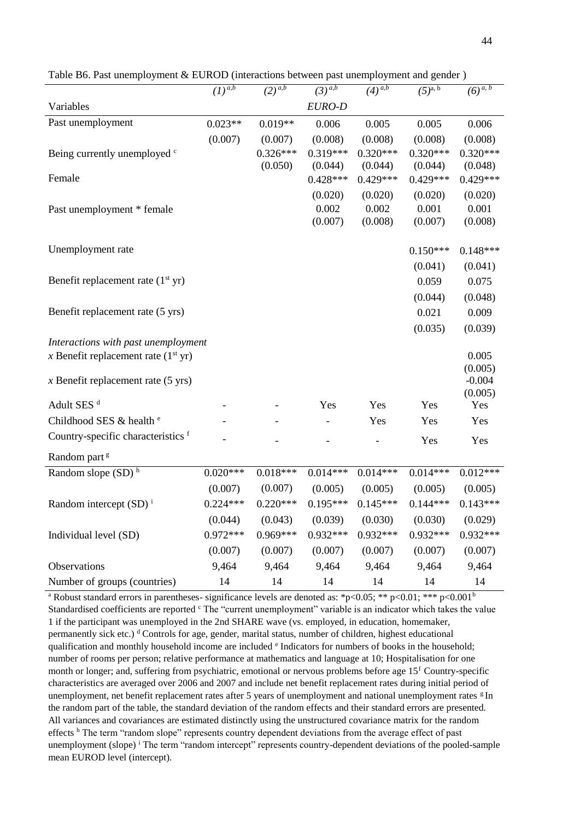|                                       | $\left(1\right)^{a,b}$ | $(2)^{a,b}$ | $\left(3\right)^{a,b}$ | $(4)^{\overline{a,b}}$ | $(5)^{\overline{a}, b}$ | $(6)^{\overline{a}, b}$ |
|---------------------------------------|------------------------|-------------|------------------------|------------------------|-------------------------|-------------------------|
| Variables                             |                        |             | EURO-D                 |                        |                         |                         |
| Past unemployment                     | $0.023**$              | $0.019**$   | 0.006                  | 0.005                  | 0.005                   | 0.006                   |
|                                       | (0.007)                | (0.007)     | (0.008)                | (0.008)                | (0.008)                 | (0.008)                 |
| Being currently unemployed c          |                        | $0.326***$  | $0.319***$             | $0.320***$             | $0.320***$              | $0.320***$              |
|                                       |                        | (0.050)     | (0.044)                | (0.044)                | (0.044)                 | (0.048)                 |
| Female                                |                        |             | $0.428***$             | $0.429***$             | $0.429***$              | $0.429***$              |
|                                       |                        |             | (0.020)                | (0.020)                | (0.020)                 | (0.020)                 |
| Past unemployment * female            |                        |             | 0.002                  | 0.002                  | 0.001                   | 0.001                   |
|                                       |                        |             | (0.007)                | (0.008)                | (0.007)                 | (0.008)                 |
| Unemployment rate                     |                        |             |                        |                        | $0.150***$              | $0.148***$              |
|                                       |                        |             |                        |                        | (0.041)                 | (0.041)                 |
| Benefit replacement rate $(1st yr)$   |                        |             |                        |                        | 0.059                   | 0.075                   |
|                                       |                        |             |                        |                        | (0.044)                 | (0.048)                 |
| Benefit replacement rate (5 yrs)      |                        |             |                        |                        | 0.021                   | 0.009                   |
|                                       |                        |             |                        |                        | (0.035)                 | (0.039)                 |
| Interactions with past unemployment   |                        |             |                        |                        |                         |                         |
| x Benefit replacement rate $(1st yr)$ |                        |             |                        |                        |                         | 0.005                   |
|                                       |                        |             |                        |                        |                         | (0.005)                 |
| $x$ Benefit replacement rate (5 yrs)  |                        |             |                        |                        |                         | $-0.004$<br>(0.005)     |
| Adult SES <sup>d</sup>                |                        |             | Yes                    | Yes                    | Yes                     | Yes                     |
| Childhood SES & health <sup>e</sup>   |                        |             |                        | Yes                    | Yes                     | Yes                     |
| Country-specific characteristics f    |                        |             |                        |                        |                         |                         |
|                                       |                        |             |                        |                        | Yes                     | Yes                     |
| Random part <sup>g</sup>              |                        |             |                        |                        |                         |                         |
| Random slope (SD) <sup>h</sup>        | $0.020***$             | $0.018***$  | $0.014***$             | $0.014***$             | $0.014***$              | $0.012***$              |
|                                       | (0.007)                | (0.007)     | (0.005)                | (0.005)                | (0.005)                 | (0.005)                 |
| Random intercept $(SD)^{i}$           | $0.224***$             | $0.220***$  | $0.195***$             | $0.145***$             | $0.144***$              | $0.143***$              |
|                                       | (0.044)                | (0.043)     | (0.039)                | (0.030)                | (0.030)                 | (0.029)                 |
| Individual level (SD)                 | $0.972***$             | $0.969***$  | $0.932***$             | $0.932***$             | $0.932***$              | $0.932***$              |
|                                       | (0.007)                | (0.007)     | (0.007)                | (0.007)                | (0.007)                 | (0.007)                 |
| Observations                          | 9,464                  | 9,464       | 9,464                  | 9,464                  | 9,464                   | 9,464                   |
| Number of groups (countries)          | 14                     | 14          | 14                     | 14                     | 14                      | 14                      |

Table B6. Past unemployment & EUROD (interactions between past unemployment and gender )

<sup>a</sup> Robust standard errors in parentheses- significance levels are denoted as: \*p<0.05; \*\* p<0.01; \*\*\* p<0.001<sup>b</sup> Standardised coefficients are reported <sup>c</sup> The "current unemployment" variable is an indicator which takes the value 1 if the participant was unemployed in the 2nd SHARE wave (vs. employed, in education, homemaker, permanently sick etc.) <sup>d</sup> Controls for age, gender, marital status, number of children, highest educational qualification and monthly household income are included <sup>e</sup> Indicators for numbers of books in the household; number of rooms per person; relative performance at mathematics and language at 10; Hospitalisation for one month or longer; and, suffering from psychiatric, emotional or nervous problems before age  $15<sup>f</sup>$  Country-specific characteristics are averaged over 2006 and 2007 and include net benefit replacement rates during initial period of unemployment, net benefit replacement rates after 5 years of unemployment and national unemployment rates  $\epsilon$  In the random part of the table, the standard deviation of the random effects and their standard errors are presented. All variances and covariances are estimated distinctly using the unstructured covariance matrix for the random effects <sup>h</sup> The term "random slope" represents country dependent deviations from the average effect of past unemployment (slope) <sup>i</sup> The term "random intercept" represents country-dependent deviations of the pooled-sample mean EUROD level (intercept).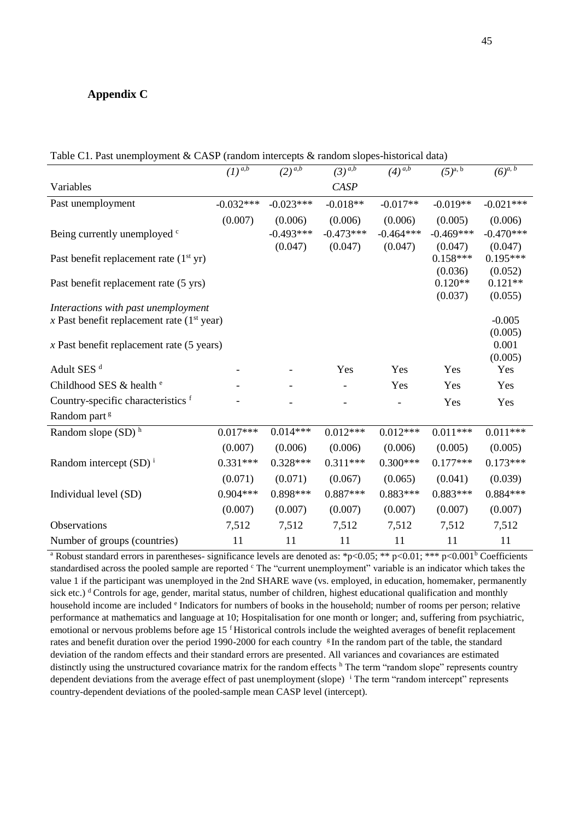# **Appendix C**

| Table C1. Past unemployment & CASP (random intercepts & random slopes-historical data) |  |  |  |
|----------------------------------------------------------------------------------------|--|--|--|
|----------------------------------------------------------------------------------------|--|--|--|

|                                              | $\overline{(1)^{a,b}}$ | $(2)^{\overline{a,b}}$ | $(3)^{\overline{a,b}}$ | $(4)^{\overline{a,b}}$ | $(5)^{\overline{a}, b}$ | $(6)^{\overline{a}, b}$ |
|----------------------------------------------|------------------------|------------------------|------------------------|------------------------|-------------------------|-------------------------|
| Variables                                    |                        |                        | <b>CASP</b>            |                        |                         |                         |
| Past unemployment                            | $-0.032***$            | $-0.023***$            | $-0.018**$             | $-0.017**$             | $-0.019**$              | $-0.021***$             |
|                                              | (0.007)                | (0.006)                | (0.006)                | (0.006)                | (0.005)                 | (0.006)                 |
| Being currently unemployed c                 |                        | $-0.493***$            | $-0.473***$            | $-0.464***$            | $-0.469***$             | $-0.470***$             |
|                                              |                        | (0.047)                | (0.047)                | (0.047)                | (0.047)                 | (0.047)                 |
| Past benefit replacement rate $(1st yr)$     |                        |                        |                        |                        | $0.158***$              | $0.195***$              |
|                                              |                        |                        |                        |                        | (0.036)                 | (0.052)                 |
| Past benefit replacement rate (5 yrs)        |                        |                        |                        |                        | $0.120**$               | $0.121**$               |
|                                              |                        |                        |                        |                        | (0.037)                 | (0.055)                 |
| Interactions with past unemployment          |                        |                        |                        |                        |                         | $-0.005$                |
| x Past benefit replacement rate $(1st$ year) |                        |                        |                        |                        |                         | (0.005)                 |
| $x$ Past benefit replacement rate (5 years)  |                        |                        |                        |                        |                         | 0.001                   |
|                                              |                        |                        |                        |                        |                         | (0.005)                 |
| Adult SES <sup>d</sup>                       |                        |                        | Yes                    | Yes                    | Yes                     | Yes                     |
| Childhood SES & health <sup>e</sup>          |                        |                        |                        | Yes                    | Yes                     | Yes                     |
| Country-specific characteristics f           |                        |                        |                        |                        | Yes                     | Yes                     |
| Random part <sup>g</sup>                     |                        |                        |                        |                        |                         |                         |
| Random slope $(SD)$ <sup>h</sup>             | $0.017***$             | $0.014***$             | $0.012***$             | $0.012***$             | $0.011***$              | $0.011***$              |
|                                              | (0.007)                | (0.006)                | (0.006)                | (0.006)                | (0.005)                 | (0.005)                 |
| Random intercept $(SD)^{i}$                  | $0.331***$             | $0.328***$             | $0.311***$             | $0.300***$             | $0.177***$              | $0.173***$              |
|                                              | (0.071)                | (0.071)                | (0.067)                | (0.065)                | (0.041)                 | (0.039)                 |
| Individual level (SD)                        | $0.904***$             | $0.898***$             | $0.887***$             | $0.883***$             | $0.883***$              | $0.884***$              |
|                                              | (0.007)                | (0.007)                | (0.007)                | (0.007)                | (0.007)                 | (0.007)                 |
| Observations                                 | 7,512                  | 7,512                  | 7,512                  | 7,512                  | 7,512                   | 7,512                   |
| Number of groups (countries)                 | 11                     | 11                     | 11                     | 11                     | 11                      | 11                      |

<sup>a</sup> Robust standard errors in parentheses- significance levels are denoted as: \*p<0.05; \*\* p<0.01; \*\*\* p<0.001<sup>b</sup> Coefficients standardised across the pooled sample are reported <sup>c</sup> The "current unemployment" variable is an indicator which takes the value 1 if the participant was unemployed in the 2nd SHARE wave (vs. employed, in education, homemaker, permanently sick etc.) <sup>d</sup> Controls for age, gender, marital status, number of children, highest educational qualification and monthly household income are included <sup>e</sup> Indicators for numbers of books in the household; number of rooms per person; relative performance at mathematics and language at 10; Hospitalisation for one month or longer; and, suffering from psychiatric, emotional or nervous problems before age 15<sup>f</sup> Historical controls include the weighted averages of benefit replacement rates and benefit duration over the period 1990-2000 for each country  $g$ In the random part of the table, the standard deviation of the random effects and their standard errors are presented. All variances and covariances are estimated distinctly using the unstructured covariance matrix for the random effects <sup>h</sup> The term "random slope" represents country dependent deviations from the average effect of past unemployment (slope) <sup>i</sup> Τhe term "random intercept" represents country-dependent deviations of the pooled-sample mean CASP level (intercept).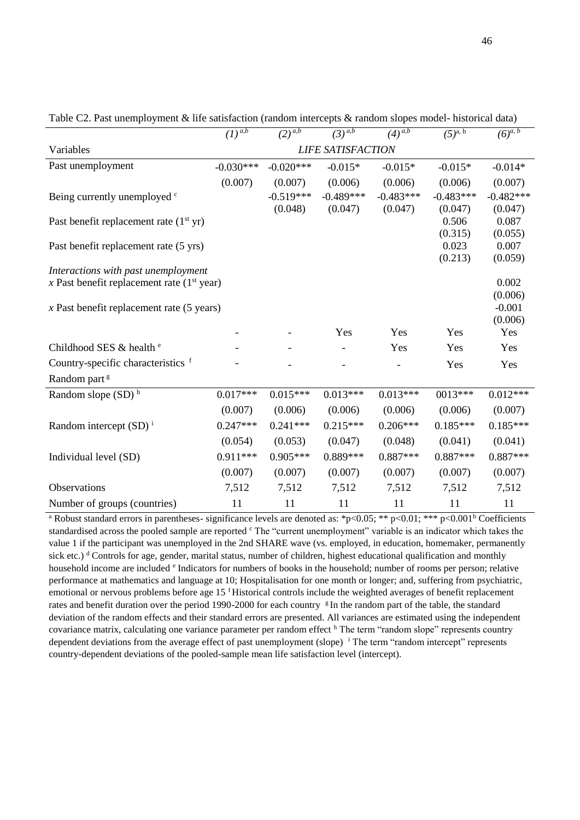|                                              | $(1)^{a,b}$              | $(2)$ <sup><i>a,b</i></sup> | $(3)^{a,b}$ | $(4)$ <sup><i>a,b</i></sup> | $(5)^{a, b}$ | $(6)^{a, b}$ |  |
|----------------------------------------------|--------------------------|-----------------------------|-------------|-----------------------------|--------------|--------------|--|
| Variables                                    | <b>LIFE SATISFACTION</b> |                             |             |                             |              |              |  |
| Past unemployment                            | $-0.030***$              | $-0.020***$                 | $-0.015*$   | $-0.015*$                   | $-0.015*$    | $-0.014*$    |  |
|                                              | (0.007)                  | (0.007)                     | (0.006)     | (0.006)                     | (0.006)      | (0.007)      |  |
| Being currently unemployed <sup>c</sup>      |                          | $-0.519***$                 | $-0.489***$ | $-0.483***$                 | $-0.483***$  | $-0.482***$  |  |
|                                              |                          | (0.048)                     | (0.047)     | (0.047)                     | (0.047)      | (0.047)      |  |
| Past benefit replacement rate $(1st yr)$     |                          |                             |             |                             | 0.506        | 0.087        |  |
|                                              |                          |                             |             |                             | (0.315)      | (0.055)      |  |
| Past benefit replacement rate (5 yrs)        |                          |                             |             |                             | 0.023        | 0.007        |  |
|                                              |                          |                             |             |                             | (0.213)      | (0.059)      |  |
| Interactions with past unemployment          |                          |                             |             |                             |              | 0.002        |  |
| x Past benefit replacement rate $(1st$ year) |                          |                             |             |                             |              | (0.006)      |  |
| $x$ Past benefit replacement rate (5 years)  |                          |                             |             |                             |              | $-0.001$     |  |
|                                              |                          |                             |             |                             |              | (0.006)      |  |
|                                              |                          |                             | Yes         | Yes                         | Yes          | Yes          |  |
| Childhood SES & health <sup>e</sup>          |                          |                             |             | Yes                         | Yes          | Yes          |  |
| Country-specific characteristics f           |                          |                             |             |                             | Yes          | Yes          |  |
| Random part <sup>g</sup>                     |                          |                             |             |                             |              |              |  |
| Random slope $(SD)$ <sup>h</sup>             | $0.017***$               | $0.015***$                  | $0.013***$  | $0.013***$                  | $0013***$    | $0.012***$   |  |
|                                              | (0.007)                  | (0.006)                     | (0.006)     | (0.006)                     | (0.006)      | (0.007)      |  |
| Random intercept $(SD)^{i}$                  | $0.247***$               | $0.241***$                  | $0.215***$  | $0.206***$                  | $0.185***$   | $0.185***$   |  |
|                                              | (0.054)                  | (0.053)                     | (0.047)     | (0.048)                     | (0.041)      | (0.041)      |  |
| Individual level (SD)                        | $0.911***$               | $0.905***$                  | 0.889***    | $0.887***$                  | $0.887***$   | $0.887***$   |  |
|                                              | (0.007)                  | (0.007)                     | (0.007)     | (0.007)                     | (0.007)      | (0.007)      |  |
| Observations                                 | 7,512                    | 7,512                       | 7,512       | 7,512                       | 7,512        | 7,512        |  |
| Number of groups (countries)                 | 11                       | 11                          | 11          | 11                          | 11           | 11           |  |

Table C2. Past unemployment & life satisfaction (random intercepts & random slopes model- historical data)

<sup>a</sup> Robust standard errors in parentheses- significance levels are denoted as: \*p<0.05; \*\* p<0.01; \*\*\* p<0.001<sup>b</sup> Coefficients standardised across the pooled sample are reported <sup>c</sup> The "current unemployment" variable is an indicator which takes the value 1 if the participant was unemployed in the 2nd SHARE wave (vs. employed, in education, homemaker, permanently sick etc.)  $d$  Controls for age, gender, marital status, number of children, highest educational qualification and monthly household income are included <sup>e</sup> Indicators for numbers of books in the household; number of rooms per person; relative performance at mathematics and language at 10; Hospitalisation for one month or longer; and, suffering from psychiatric, emotional or nervous problems before age 15<sup>f</sup>Historical controls include the weighted averages of benefit replacement rates and benefit duration over the period 1990-2000 for each country  $g$ In the random part of the table, the standard deviation of the random effects and their standard errors are presented. All variances are estimated using the independent covariance matrix, calculating one variance parameter per random effect <sup>h</sup> Τhe term "random slope" represents country dependent deviations from the average effect of past unemployment (slope) <sup>i</sup> Τhe term "random intercept" represents country-dependent deviations of the pooled-sample mean life satisfaction level (intercept).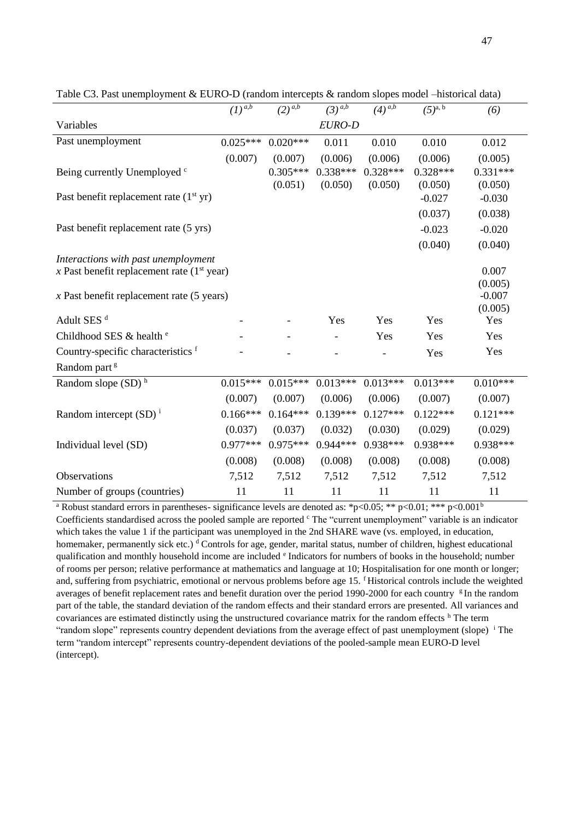|                                              | $\overline{(1)}^{a,b}$ | $(2)^{\overline{a,b}}$ | $(3)^{a,b}$ | $(4)^{\overline{a,b}}$ | $(5)^{a, b}$ | (6)                 |
|----------------------------------------------|------------------------|------------------------|-------------|------------------------|--------------|---------------------|
| Variables                                    |                        |                        | EURO-D      |                        |              |                     |
| Past unemployment                            | $0.025***$             | $0.020***$             | 0.011       | 0.010                  | 0.010        | 0.012               |
|                                              | (0.007)                | (0.007)                | (0.006)     | (0.006)                | (0.006)      | (0.005)             |
| Being currently Unemployed c                 |                        | $0.305***$             | $0.338***$  | $0.328***$             | $0.328***$   | $0.331***$          |
|                                              |                        | (0.051)                | (0.050)     | (0.050)                | (0.050)      | (0.050)             |
| Past benefit replacement rate $(1st yr)$     |                        |                        |             |                        | $-0.027$     | $-0.030$            |
|                                              |                        |                        |             |                        | (0.037)      | (0.038)             |
| Past benefit replacement rate (5 yrs)        |                        |                        |             |                        | $-0.023$     | $-0.020$            |
|                                              |                        |                        |             |                        | (0.040)      | (0.040)             |
| Interactions with past unemployment          |                        |                        |             |                        |              |                     |
| x Past benefit replacement rate $(1st year)$ |                        |                        |             |                        |              | 0.007               |
|                                              |                        |                        |             |                        |              | (0.005)             |
| $x$ Past benefit replacement rate (5 years)  |                        |                        |             |                        |              | $-0.007$<br>(0.005) |
| Adult SES <sup>d</sup>                       |                        |                        | Yes         | Yes                    | Yes          | Yes                 |
| Childhood SES & health <sup>e</sup>          |                        |                        |             | Yes                    | Yes          | Yes                 |
|                                              |                        |                        |             |                        |              |                     |
| Country-specific characteristics f           |                        |                        |             |                        | Yes          | Yes                 |
| Random part <sup>g</sup>                     |                        |                        |             |                        |              |                     |
| Random slope $(SD)$ <sup>h</sup>             | $0.015***$             | $0.015***$             | $0.013***$  | $0.013***$             | $0.013***$   | $0.010***$          |
|                                              | (0.007)                | (0.007)                | (0.006)     | (0.006)                | (0.007)      | (0.007)             |
| Random intercept $(SD)^{i}$                  | $0.166***$             | $0.164***$             | $0.139***$  | $0.127***$             | $0.122***$   | $0.121***$          |
|                                              | (0.037)                | (0.037)                | (0.032)     | (0.030)                | (0.029)      | (0.029)             |
| Individual level (SD)                        | $0.977***$             | $0.975***$             | $0.944***$  | 0.938***               | $0.938***$   | $0.938***$          |
|                                              | (0.008)                | (0.008)                | (0.008)     | (0.008)                | (0.008)      | (0.008)             |
| Observations                                 | 7,512                  | 7,512                  | 7,512       | 7,512                  | 7,512        | 7,512               |
| Number of groups (countries)                 | 11                     | 11                     | 11          | 11                     | 11           | 11                  |

Table C3. Past unemployment & EURO-D (random intercepts & random slopes model –historical data)

<sup>a</sup> Robust standard errors in parentheses- significance levels are denoted as: \*p<0.05; \*\* p<0.01; \*\*\* p<0.001<sup>b</sup> Coefficients standardised across the pooled sample are reported  $\epsilon$ . The "current unemployment" variable is an indicator which takes the value 1 if the participant was unemployed in the 2nd SHARE wave (vs. employed, in education, homemaker, permanently sick etc.)  $\text{d}$  Controls for age, gender, marital status, number of children, highest educational qualification and monthly household income are included <sup>e</sup> Indicators for numbers of books in the household; number of rooms per person; relative performance at mathematics and language at 10; Hospitalisation for one month or longer; and, suffering from psychiatric, emotional or nervous problems before age 15. <sup>f</sup>Historical controls include the weighted averages of benefit replacement rates and benefit duration over the period 1990-2000 for each country  $g$  In the random part of the table, the standard deviation of the random effects and their standard errors are presented. All variances and covariances are estimated distinctly using the unstructured covariance matrix for the random effects <sup>h</sup> Τhe term "random slope" represents country dependent deviations from the average effect of past unemployment (slope) <sup>i</sup> The term "random intercept" represents country-dependent deviations of the pooled-sample mean EURO-D level (intercept).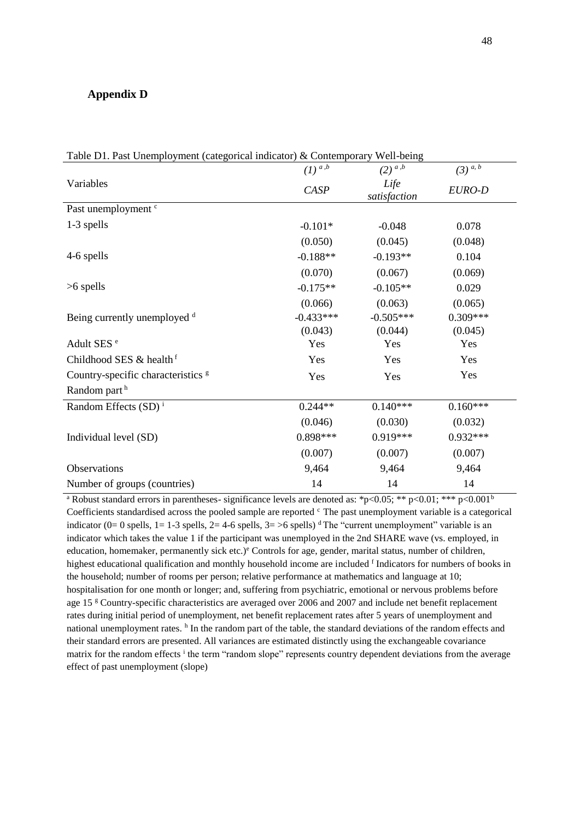# **Appendix D**

| Table DT. Past Unemployment (categorical indicator) & Contemporary Well-being |                      |                                    |                       |  |  |  |  |
|-------------------------------------------------------------------------------|----------------------|------------------------------------|-----------------------|--|--|--|--|
|                                                                               | $(1)$ <sup>a,b</sup> | $(2)$ <sup><i>a</i>,<i>b</i></sup> | $(3)$ <sup>a, b</sup> |  |  |  |  |
| Variables                                                                     | CASP                 | Life<br>satisfaction               | EURO-D                |  |  |  |  |
| Past unemployment <sup>c</sup>                                                |                      |                                    |                       |  |  |  |  |
| 1-3 spells                                                                    | $-0.101*$            | $-0.048$                           | 0.078                 |  |  |  |  |
|                                                                               | (0.050)              | (0.045)                            | (0.048)               |  |  |  |  |
| 4-6 spells                                                                    | $-0.188**$           | $-0.193**$                         | 0.104                 |  |  |  |  |
|                                                                               | (0.070)              | (0.067)                            | (0.069)               |  |  |  |  |
| $>6$ spells                                                                   | $-0.175**$           | $-0.105**$                         | 0.029                 |  |  |  |  |
|                                                                               | (0.066)              | (0.063)                            | (0.065)               |  |  |  |  |
| Being currently unemployed d                                                  | $-0.433***$          | $-0.505***$                        | $0.309***$            |  |  |  |  |
|                                                                               | (0.043)              | (0.044)                            | (0.045)               |  |  |  |  |
| Adult SES <sup>e</sup>                                                        | Yes                  | Yes                                | Yes                   |  |  |  |  |
| Childhood SES & health <sup>f</sup>                                           | Yes                  | Yes                                | Yes                   |  |  |  |  |
| Country-specific characteristics <sup>g</sup>                                 | Yes                  | Yes                                | Yes                   |  |  |  |  |
| Random part <sup>h</sup>                                                      |                      |                                    |                       |  |  |  |  |
| Random Effects $(SD)^{i}$                                                     | $0.244**$            | $0.140***$                         | $0.160***$            |  |  |  |  |
|                                                                               | (0.046)              | (0.030)                            | (0.032)               |  |  |  |  |
| Individual level (SD)                                                         | $0.898***$           | 0.919***                           | $0.932***$            |  |  |  |  |
|                                                                               | (0.007)              | (0.007)                            | (0.007)               |  |  |  |  |
| Observations                                                                  | 9,464                | 9,464                              | 9,464                 |  |  |  |  |
| Number of groups (countries)                                                  | 14                   | 14                                 | 14                    |  |  |  |  |

Table D1. Past Unemployment (categorical indicator) & Contemporary Well-being

<sup>a</sup> Robust standard errors in parentheses- significance levels are denoted as: \*p<0.05; \*\* p<0.01; \*\*\* p<0.001<sup>b</sup> Coefficients standardised across the pooled sample are reported  $\circ$  The past unemployment variable is a categorical indicator (0= 0 spells, 1= 1-3 spells, 2= 4-6 spells, 3= >6 spells) <sup>d</sup>The "current unemployment" variable is an indicator which takes the value 1 if the participant was unemployed in the 2nd SHARE wave (vs. employed, in education, homemaker, permanently sick etc.)<sup>e</sup> Controls for age, gender, marital status, number of children, highest educational qualification and monthly household income are included f Indicators for numbers of books in the household; number of rooms per person; relative performance at mathematics and language at 10; hospitalisation for one month or longer; and, suffering from psychiatric, emotional or nervous problems before age 15 <sup>g</sup> Country-specific characteristics are averaged over 2006 and 2007 and include net benefit replacement rates during initial period of unemployment, net benefit replacement rates after 5 years of unemployment and national unemployment rates.  $^h$  In the random part of the table, the standard deviations of the random effects and their standard errors are presented. All variances are estimated distinctly using the exchangeable covariance matrix for the random effects <sup>i</sup> the term "random slope" represents country dependent deviations from the average effect of past unemployment (slope)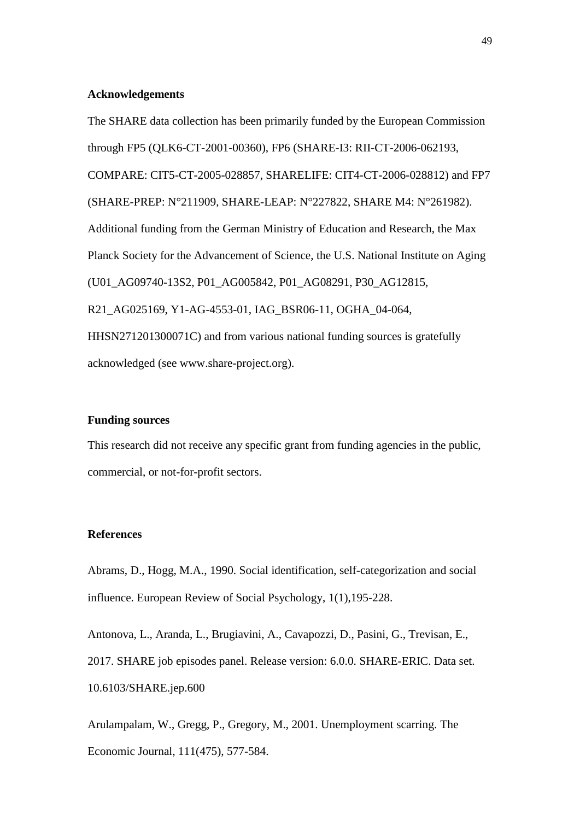## **Acknowledgements**

The SHARE data collection has been primarily funded by the European Commission through FP5 (QLK6-CT-2001-00360), FP6 (SHARE-I3: RII-CT-2006-062193, COMPARE: CIT5-CT-2005-028857, SHARELIFE: CIT4-CT-2006-028812) and FP7 (SHARE-PREP: N°211909, SHARE-LEAP: N°227822, SHARE M4: N°261982). Additional funding from the German Ministry of Education and Research, the Max Planck Society for the Advancement of Science, the U.S. National Institute on Aging (U01\_AG09740-13S2, P01\_AG005842, P01\_AG08291, P30\_AG12815, R21\_AG025169, Y1-AG-4553-01, IAG\_BSR06-11, OGHA\_04-064, HHSN271201300071C) and from various national funding sources is gratefully acknowledged (see [www.share-project.org\)](http://www.share-project.org/).

## **Funding sources**

This research did not receive any specific grant from funding agencies in the public, commercial, or not-for-profit sectors.

## **References**

Abrams, D., Hogg, M.A., 1990. Social identification, self-categorization and social influence. European Review of Social Psychology, 1(1),195-228.

Antonova, L., Aranda, L., Brugiavini, A., Cavapozzi, D., Pasini, G., Trevisan, E., 2017. SHARE job episodes panel. Release version: 6.0.0. SHARE-ERIC. Data set. 10.6103/SHARE.jep.600

Arulampalam, W., Gregg, P., Gregory, M., 2001. Unemployment scarring. The Economic Journal, 111(475), 577-584.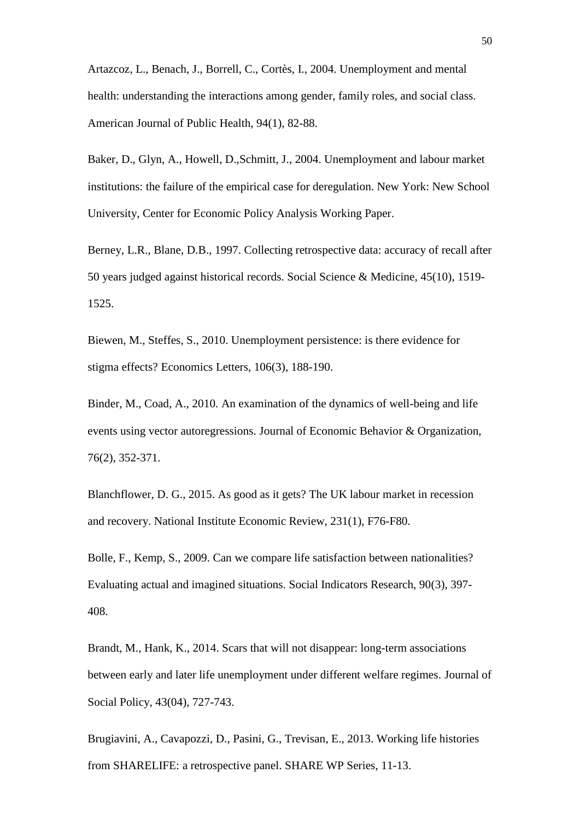Artazcoz, L., Benach, J., Borrell, C., Cortès, I., 2004. Unemployment and mental health: understanding the interactions among gender, family roles, and social class. American Journal of Public Health, 94(1), 82-88.

Baker, D., Glyn, A., Howell, D.,Schmitt, J., 2004. Unemployment and labour market institutions: the failure of the empirical case for deregulation. New York: New School University, Center for Economic Policy Analysis Working Paper.

Berney, L.R., Blane, D.B., 1997. Collecting retrospective data: accuracy of recall after 50 years judged against historical records. Social Science & Medicine, 45(10), 1519- 1525.

Biewen, M., Steffes, S., 2010. Unemployment persistence: is there evidence for stigma effects? Economics Letters, 106(3), 188-190.

Binder, M., Coad, A., 2010. An examination of the dynamics of well-being and life events using vector autoregressions. Journal of Economic Behavior & Organization, 76(2), 352-371.

Blanchflower, D. G., 2015. As good as it gets? The UK labour market in recession and recovery. National Institute Economic Review, 231(1), F76-F80.

Bolle, F., Kemp, S., 2009. Can we compare life satisfaction between nationalities? Evaluating actual and imagined situations. Social Indicators Research, 90(3), 397- 408.

Brandt, M., Hank, K., 2014. Scars that will not disappear: long-term associations between early and later life unemployment under different welfare regimes. Journal of Social Policy, 43(04), 727-743.

Brugiavini, A., Cavapozzi, D., Pasini, G., Trevisan, E., 2013. Working life histories from SHARELIFE: a retrospective panel. SHARE WP Series, 11-13.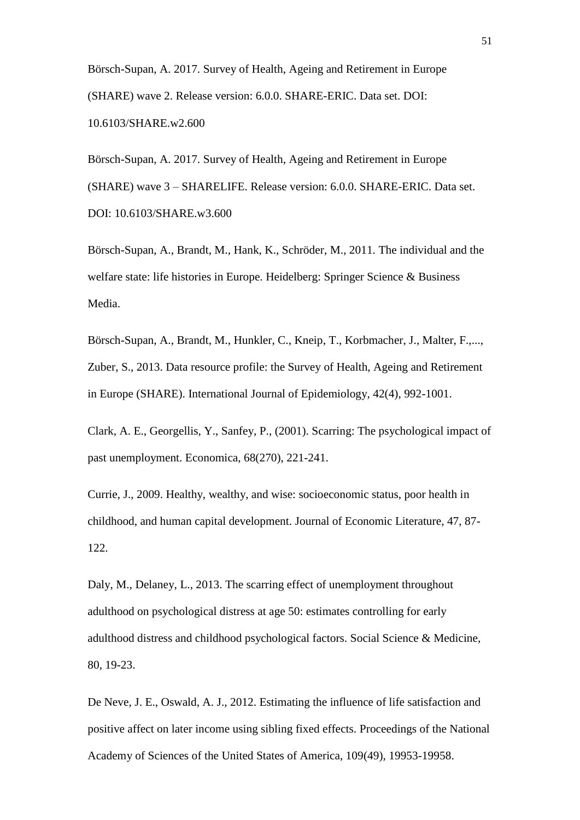Börsch-Supan, A. 2017. Survey of Health, Ageing and Retirement in Europe (SHARE) wave 2. Release version: 6.0.0. SHARE-ERIC. Data set. DOI: 10.6103/SHARE.w2.600

Börsch-Supan, A. 2017. Survey of Health, Ageing and Retirement in Europe (SHARE) wave 3 – SHARELIFE. Release version: 6.0.0. SHARE-ERIC. Data set. DOI: [10.6103/SHARE.w3.600](http://dx.doi.org/10.6103/SHARE.w3.600)

Börsch-Supan, A., Brandt, M., Hank, K., Schröder, M., 2011. The individual and the welfare state: life histories in Europe. Heidelberg: Springer Science & Business Media.

Börsch-Supan, A., Brandt, M., Hunkler, C., Kneip, T., Korbmacher, J., Malter, F.,..., Zuber, S., 2013. Data resource profile: the Survey of Health, Ageing and Retirement in Europe (SHARE). International Journal of Epidemiology, 42(4), 992-1001.

Clark, A. E., Georgellis, Y., Sanfey, P., (2001). Scarring: The psychological impact of past unemployment. Economica, 68(270), 221-241.

Currie, J., 2009. Healthy, wealthy, and wise: socioeconomic status, poor health in childhood, and human capital development. Journal of Economic Literature, 47, 87- 122.

Daly, M., Delaney, L., 2013. The scarring effect of unemployment throughout adulthood on psychological distress at age 50: estimates controlling for early adulthood distress and childhood psychological factors. Social Science & Medicine, 80, 19-23.

De Neve, J. E., Oswald, A. J., 2012. Estimating the influence of life satisfaction and positive affect on later income using sibling fixed effects. Proceedings of the National Academy of Sciences of the United States of America, 109(49), 19953-19958.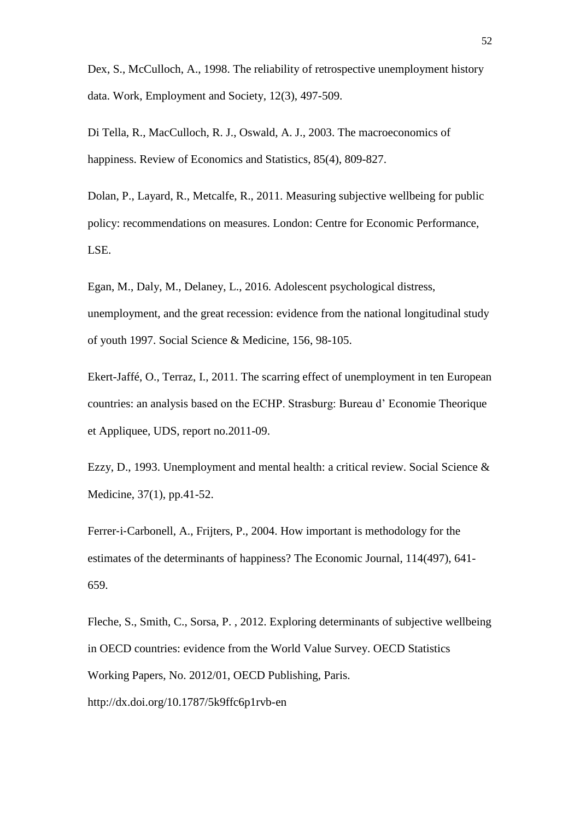Dex, S., McCulloch, A., 1998. The reliability of retrospective unemployment history data. Work, Employment and Society, 12(3), 497-509.

Di Tella, R., MacCulloch, R. J., Oswald, A. J., 2003. The macroeconomics of happiness. Review of Economics and Statistics, 85(4), 809-827.

Dolan, P., Layard, R., Metcalfe, R., 2011. Measuring subjective wellbeing for public policy: recommendations on measures. London: Centre for Economic Performance, LSE.

Egan, M., Daly, M., Delaney, L., 2016. Adolescent psychological distress, unemployment, and the great recession: evidence from the national longitudinal study of youth 1997. Social Science & Medicine, 156, 98-105.

Ekert-Jaffé, O., Terraz, I., 2011. The scarring effect of unemployment in ten European countries: an analysis based on the ECHP. Strasburg: Bureau d' Economie Theorique et Appliquee, UDS, report no.2011-09.

Ezzy, D., 1993. Unemployment and mental health: a critical review. Social Science & Medicine, 37(1), pp.41-52.

Ferrer-i-Carbonell, A., Frijters, P., 2004. How important is methodology for the estimates of the determinants of happiness? The Economic Journal, 114(497), 641- 659.

Fleche, S., Smith, C., Sorsa, P. , 2012. Exploring determinants of subjective wellbeing in OECD countries: evidence from the World Value Survey. OECD Statistics Working Papers, No. 2012/01, OECD Publishing, Paris. <http://dx.doi.org/10.1787/5k9ffc6p1rvb-en>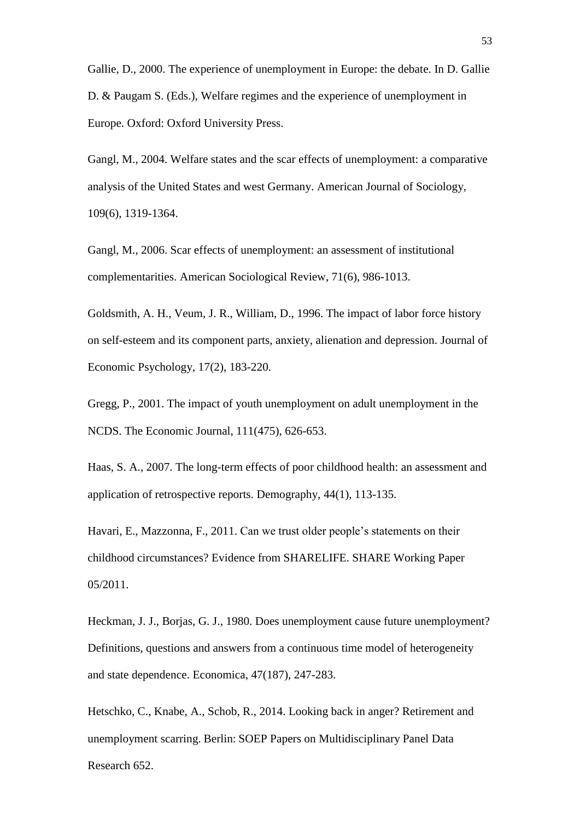Gallie, D., 2000. The experience of unemployment in Europe: the debate. In D. Gallie D. & Paugam S. (Eds.), Welfare regimes and the experience of unemployment in Europe. Oxford: Oxford University Press.

Gangl, M., 2004. Welfare states and the scar effects of unemployment: a comparative analysis of the United States and west Germany. American Journal of Sociology, 109(6), 1319-1364.

Gangl, M., 2006. Scar effects of unemployment: an assessment of institutional complementarities. American Sociological Review, 71(6), 986-1013.

Goldsmith, A. H., Veum, J. R., William, D., 1996. The impact of labor force history on self-esteem and its component parts, anxiety, alienation and depression. Journal of Economic Psychology, 17(2), 183-220.

Gregg, P., 2001. The impact of youth unemployment on adult unemployment in the NCDS. The Economic Journal, 111(475), 626-653.

Haas, S. A., 2007. The long-term effects of poor childhood health: an assessment and application of retrospective reports. Demography, 44(1), 113-135.

Havari, E., Mazzonna, F., 2011. Can we trust older people's statements on their childhood circumstances? Evidence from SHARELIFE. SHARE Working Paper 05/2011.

Heckman, J. J., Borjas, G. J., 1980. Does unemployment cause future unemployment? Definitions, questions and answers from a continuous time model of heterogeneity and state dependence. Economica, 47(187), 247-283.

Hetschko, C., Knabe, A., Schob, R., 2014. Looking back in anger? Retirement and unemployment scarring. Berlin: SOEP Papers on Multidisciplinary Panel Data Research 652.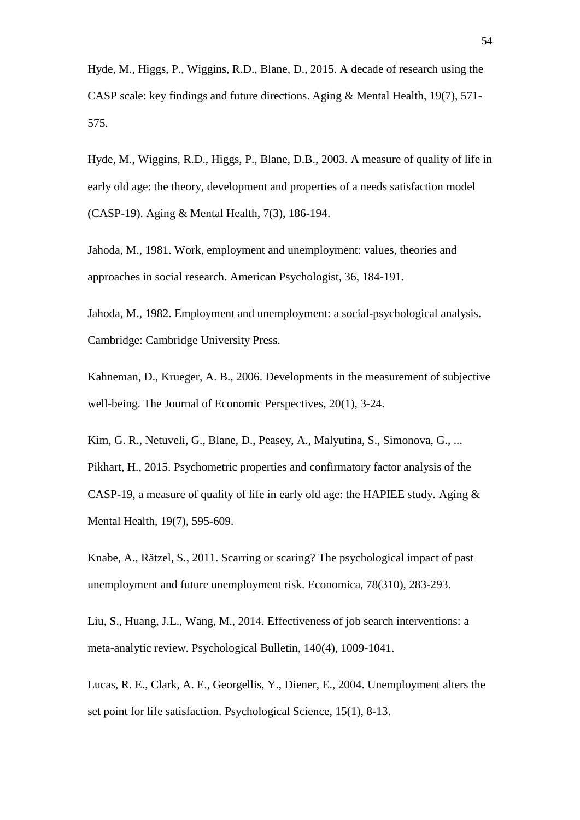Hyde, M., Higgs, P., Wiggins, R.D., Blane, D., 2015. A decade of research using the CASP scale: key findings and future directions. Aging & Mental Health, 19(7), 571- 575.

Hyde, M., Wiggins, R.D., Higgs, P., Blane, D.B., 2003. A measure of quality of life in early old age: the theory, development and properties of a needs satisfaction model (CASP-19). Aging & Mental Health, 7(3), 186-194.

Jahoda, M., 1981. Work, employment and unemployment: values, theories and approaches in social research. American Psychologist, 36, 184-191.

Jahoda, M., 1982. Employment and unemployment: a social-psychological analysis. Cambridge: Cambridge University Press.

Kahneman, D., Krueger, A. B., 2006. Developments in the measurement of subjective well-being. The Journal of Economic Perspectives, 20(1), 3-24.

Kim, G. R., Netuveli, G., Blane, D., Peasey, A., Malyutina, S., Simonova, G., ... Pikhart, H., 2015. Psychometric properties and confirmatory factor analysis of the CASP-19, a measure of quality of life in early old age: the HAPIEE study. Aging & Mental Health, 19(7), 595-609.

Knabe, A., Rätzel, S., 2011. Scarring or scaring? The psychological impact of past unemployment and future unemployment risk. Economica, 78(310), 283-293.

Liu, S., Huang, J.L., Wang, M., 2014. Effectiveness of job search interventions: a meta-analytic review. Psychological Bulletin, 140(4), 1009-1041.

Lucas, R. E., Clark, A. E., Georgellis, Y., Diener, E., 2004. Unemployment alters the set point for life satisfaction. Psychological Science, 15(1), 8-13.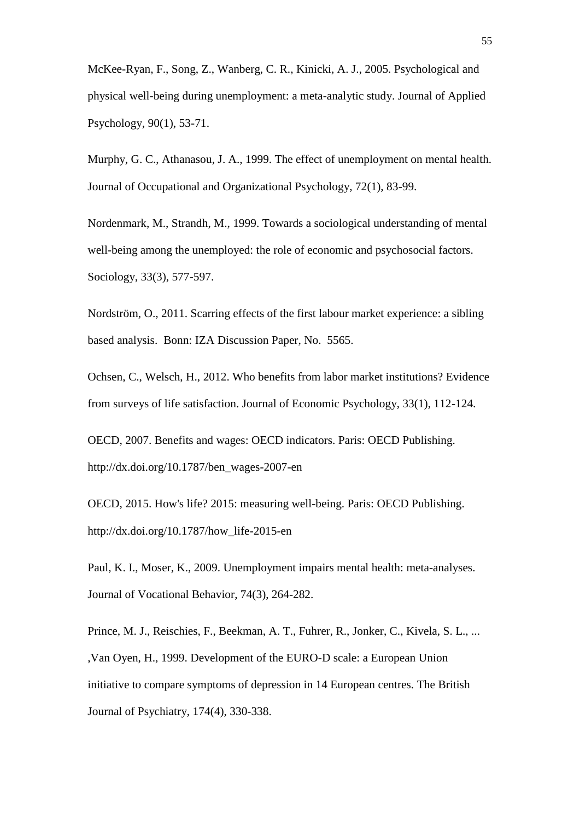McKee-Ryan, F., Song, Z., Wanberg, C. R., Kinicki, A. J., 2005. Psychological and physical well-being during unemployment: a meta-analytic study. Journal of Applied Psychology, 90(1), 53-71.

Murphy, G. C., Athanasou, J. A., 1999. The effect of unemployment on mental health. Journal of Occupational and Organizational Psychology, 72(1), 83-99.

Nordenmark, M., Strandh, M., 1999. Towards a sociological understanding of mental well-being among the unemployed: the role of economic and psychosocial factors. Sociology, 33(3), 577-597.

Nordström, O., 2011. Scarring effects of the first labour market experience: a sibling based analysis. Bonn: IZA Discussion Paper, No. 5565.

Ochsen, C., Welsch, H., 2012. Who benefits from labor market institutions? Evidence from surveys of life satisfaction. Journal of Economic Psychology, 33(1), 112-124.

OECD, 2007. Benefits and wages: OECD indicators. Paris: OECD Publishing. http://dx.doi.org/10.1787/ben\_wages-2007-en

OECD, 2015. How's life? 2015: measuring well-being. Paris: OECD Publishing. http://dx.doi.org/10.1787/how\_life-2015-en

Paul, K. I., Moser, K., 2009. Unemployment impairs mental health: meta-analyses. Journal of Vocational Behavior, 74(3), 264-282.

Prince, M. J., Reischies, F., Beekman, A. T., Fuhrer, R., Jonker, C., Kivela, S. L., ... ,Van Oyen, H., 1999. Development of the EURO-D scale: a European Union initiative to compare symptoms of depression in 14 European centres. The British Journal of Psychiatry, 174(4), 330-338.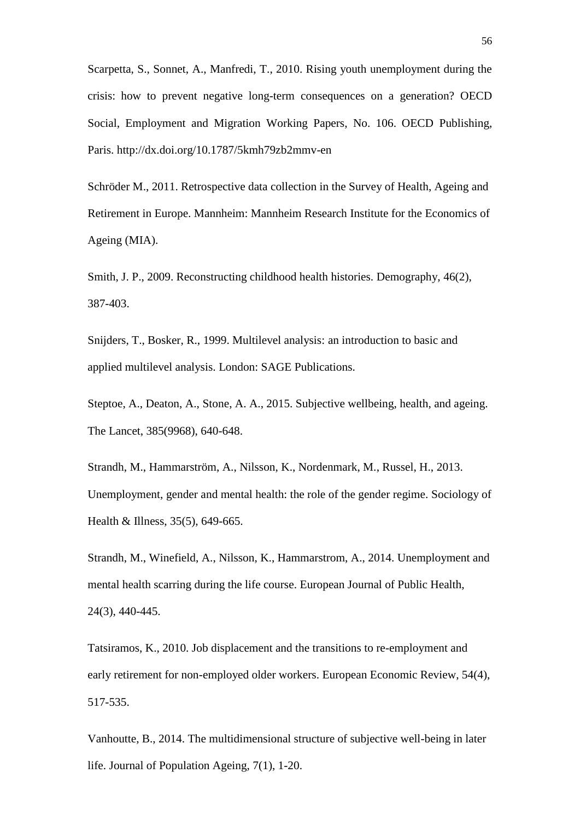Scarpetta, S., Sonnet, A., Manfredi, T., 2010. Rising youth unemployment during the crisis: how to prevent negative long-term consequences on a generation? OECD Social, Employment and Migration Working Papers, No. 106. OECD Publishing, Paris. http://dx.doi.org/10.1787/5kmh79zb2mmv-en

Schröder M., 2011. Retrospective data collection in the Survey of Health, Ageing and Retirement in Europe. Mannheim: Mannheim Research Institute for the Economics of Ageing (MIA).

Smith, J. P., 2009. Reconstructing childhood health histories. Demography, 46(2), 387-403.

Snijders, T., Bosker, R., 1999. Multilevel analysis: an introduction to basic and applied multilevel analysis. London: SAGE Publications.

Steptoe, A., Deaton, A., Stone, A. A., 2015. Subjective wellbeing, health, and ageing. The Lancet, 385(9968), 640-648.

Strandh, M., Hammarström, A., Nilsson, K., Nordenmark, M., Russel, H., 2013. Unemployment, gender and mental health: the role of the gender regime. Sociology of Health & Illness, 35(5), 649-665.

Strandh, M., Winefield, A., Nilsson, K., Hammarstrom, A., 2014. Unemployment and mental health scarring during the life course. European Journal of Public Health, 24(3), 440-445.

Tatsiramos, K., 2010. Job displacement and the transitions to re-employment and early retirement for non-employed older workers. European Economic Review, 54(4), 517-535.

Vanhoutte, B., 2014. The multidimensional structure of subjective well-being in later life. Journal of Population Ageing, 7(1), 1-20.